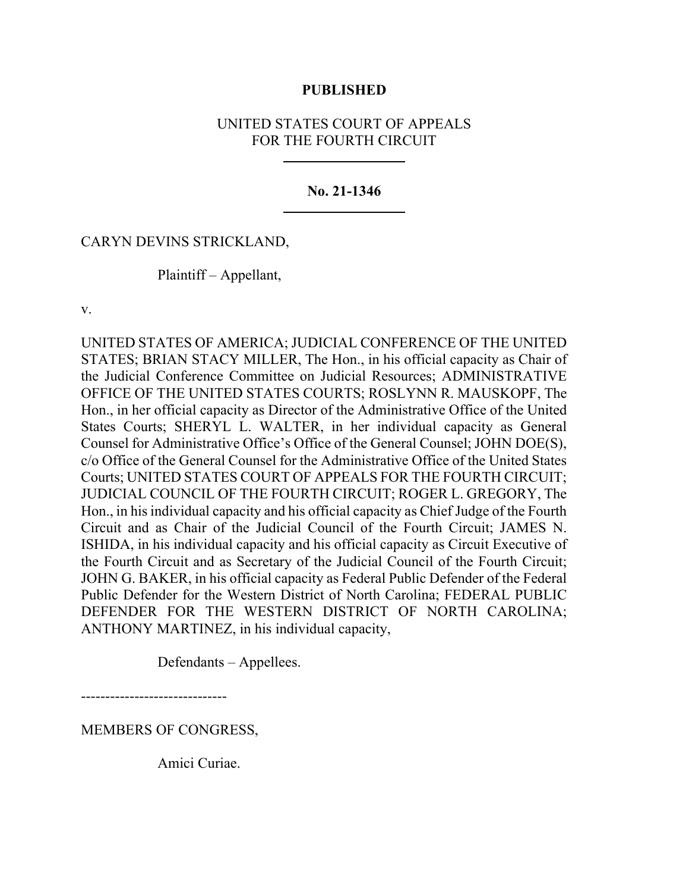### **PUBLISHED**

# UNITED STATES COURT OF APPEALS FOR THE FOURTH CIRCUIT

#### **No. 21-1346**

### CARYN DEVINS STRICKLAND,

Plaintiff – Appellant,

v.

UNITED STATES OF AMERICA; JUDICIAL CONFERENCE OF THE UNITED STATES; BRIAN STACY MILLER, The Hon., in his official capacity as Chair of the Judicial Conference Committee on Judicial Resources; ADMINISTRATIVE OFFICE OF THE UNITED STATES COURTS; ROSLYNN R. MAUSKOPF, The Hon., in her official capacity as Director of the Administrative Office of the United States Courts; SHERYL L. WALTER, in her individual capacity as General Counsel for Administrative Office's Office of the General Counsel; JOHN DOE(S), c/o Office of the General Counsel for the Administrative Office of the United States Courts; UNITED STATES COURT OF APPEALS FOR THE FOURTH CIRCUIT; JUDICIAL COUNCIL OF THE FOURTH CIRCUIT; ROGER L. GREGORY, The Hon., in his individual capacity and his official capacity as Chief Judge of the Fourth Circuit and as Chair of the Judicial Council of the Fourth Circuit; JAMES N. ISHIDA, in his individual capacity and his official capacity as Circuit Executive of the Fourth Circuit and as Secretary of the Judicial Council of the Fourth Circuit; JOHN G. BAKER, in his official capacity as Federal Public Defender of the Federal Public Defender for the Western District of North Carolina; FEDERAL PUBLIC DEFENDER FOR THE WESTERN DISTRICT OF NORTH CAROLINA; ANTHONY MARTINEZ, in his individual capacity,

Defendants – Appellees.

------------------------------

MEMBERS OF CONGRESS,

Amici Curiae.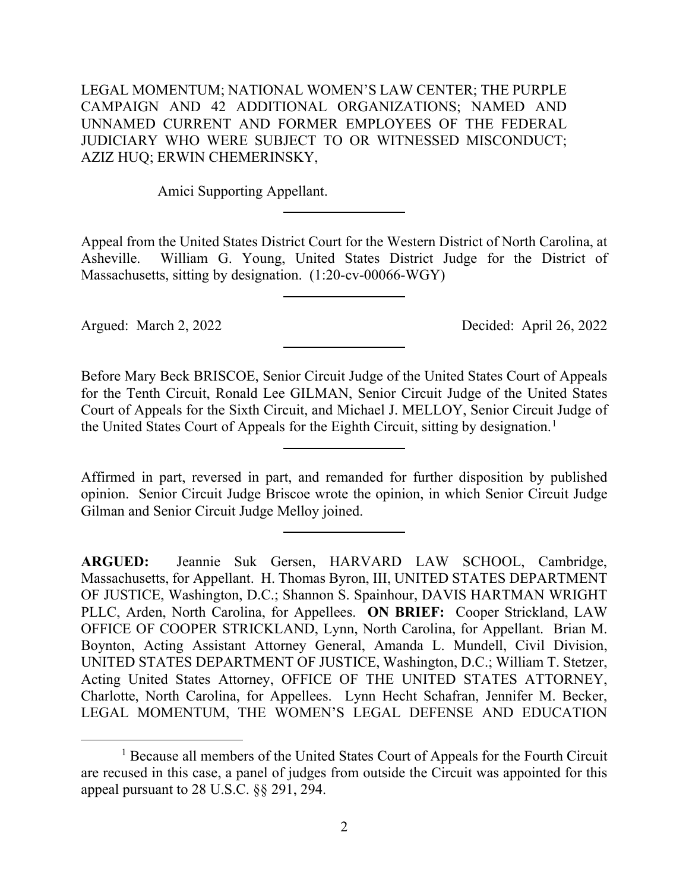LEGAL MOMENTUM; NATIONAL WOMEN'S LAW CENTER; THE PURPLE CAMPAIGN AND 42 ADDITIONAL ORGANIZATIONS; NAMED AND UNNAMED CURRENT AND FORMER EMPLOYEES OF THE FEDERAL JUDICIARY WHO WERE SUBJECT TO OR WITNESSED MISCONDUCT; AZIZ HUQ; ERWIN CHEMERINSKY,

Amici Supporting Appellant.

Appeal from the United States District Court for the Western District of North Carolina, at Asheville. William G. Young, United States District Judge for the District of Massachusetts, sitting by designation. (1:20-cv-00066-WGY)

Argued: March 2, 2022 Decided: April 26, 2022

Before Mary Beck BRISCOE, Senior Circuit Judge of the United States Court of Appeals for the Tenth Circuit, Ronald Lee GILMAN, Senior Circuit Judge of the United States Court of Appeals for the Sixth Circuit, and Michael J. MELLOY, Senior Circuit Judge of the United States Court of Appeals for the Eighth Circuit, sitting by designation. [1](#page-1-0)

Affirmed in part, reversed in part, and remanded for further disposition by published opinion. Senior Circuit Judge Briscoe wrote the opinion, in which Senior Circuit Judge Gilman and Senior Circuit Judge Melloy joined.

**ARGUED:** Jeannie Suk Gersen, HARVARD LAW SCHOOL, Cambridge, Massachusetts, for Appellant. H. Thomas Byron, III, UNITED STATES DEPARTMENT OF JUSTICE, Washington, D.C.; Shannon S. Spainhour, DAVIS HARTMAN WRIGHT PLLC, Arden, North Carolina, for Appellees. **ON BRIEF:** Cooper Strickland, LAW OFFICE OF COOPER STRICKLAND, Lynn, North Carolina, for Appellant. Brian M. Boynton, Acting Assistant Attorney General, Amanda L. Mundell, Civil Division, UNITED STATES DEPARTMENT OF JUSTICE, Washington, D.C.; William T. Stetzer, Acting United States Attorney, OFFICE OF THE UNITED STATES ATTORNEY, Charlotte, North Carolina, for Appellees. Lynn Hecht Schafran, Jennifer M. Becker, LEGAL MOMENTUM, THE WOMEN'S LEGAL DEFENSE AND EDUCATION

<span id="page-1-0"></span><sup>&</sup>lt;sup>1</sup> Because all members of the United States Court of Appeals for the Fourth Circuit are recused in this case, a panel of judges from outside the Circuit was appointed for this appeal pursuant to 28 U.S.C. §§ 291, 294.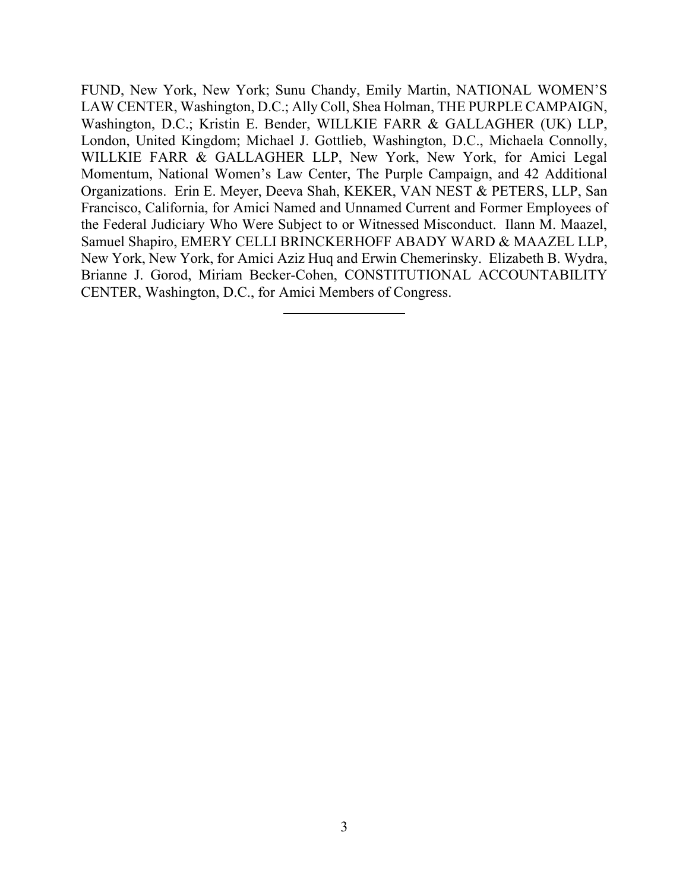FUND, New York, New York; Sunu Chandy, Emily Martin, NATIONAL WOMEN'S LAW CENTER, Washington, D.C.; Ally Coll, Shea Holman, THE PURPLE CAMPAIGN, Washington, D.C.; Kristin E. Bender, WILLKIE FARR & GALLAGHER (UK) LLP, London, United Kingdom; Michael J. Gottlieb, Washington, D.C., Michaela Connolly, WILLKIE FARR & GALLAGHER LLP, New York, New York, for Amici Legal Momentum, National Women's Law Center, The Purple Campaign, and 42 Additional Organizations. Erin E. Meyer, Deeva Shah, KEKER, VAN NEST & PETERS, LLP, San Francisco, California, for Amici Named and Unnamed Current and Former Employees of the Federal Judiciary Who Were Subject to or Witnessed Misconduct. Ilann M. Maazel, Samuel Shapiro, EMERY CELLI BRINCKERHOFF ABADY WARD & MAAZEL LLP, New York, New York, for Amici Aziz Huq and Erwin Chemerinsky. Elizabeth B. Wydra, Brianne J. Gorod, Miriam Becker-Cohen, CONSTITUTIONAL ACCOUNTABILITY CENTER, Washington, D.C., for Amici Members of Congress.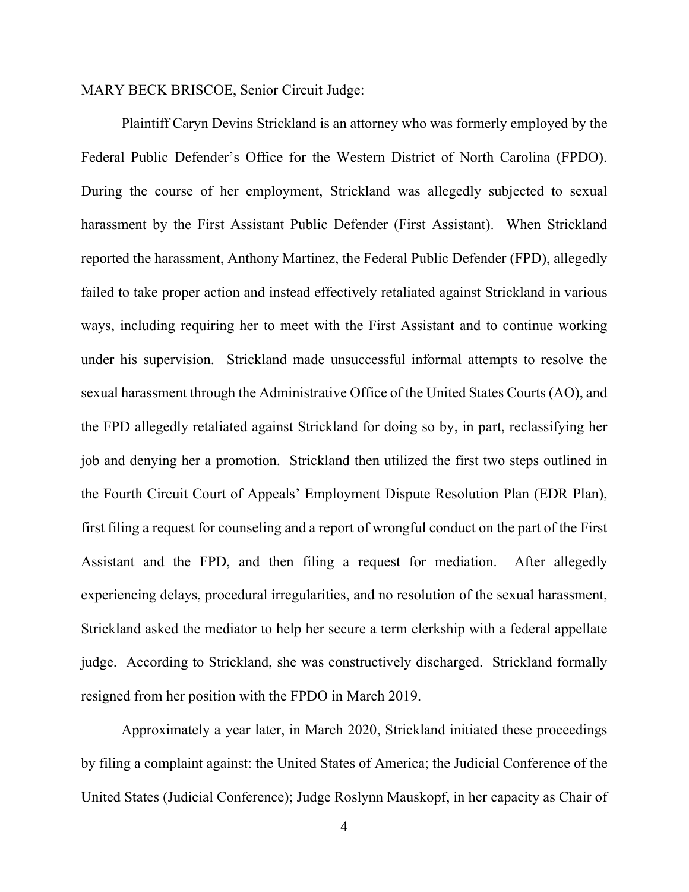MARY BECK BRISCOE, Senior Circuit Judge:

Plaintiff Caryn Devins Strickland is an attorney who was formerly employed by the Federal Public Defender's Office for the Western District of North Carolina (FPDO). During the course of her employment, Strickland was allegedly subjected to sexual harassment by the First Assistant Public Defender (First Assistant). When Strickland reported the harassment, Anthony Martinez, the Federal Public Defender (FPD), allegedly failed to take proper action and instead effectively retaliated against Strickland in various ways, including requiring her to meet with the First Assistant and to continue working under his supervision. Strickland made unsuccessful informal attempts to resolve the sexual harassment through the Administrative Office of the United States Courts (AO), and the FPD allegedly retaliated against Strickland for doing so by, in part, reclassifying her job and denying her a promotion. Strickland then utilized the first two steps outlined in the Fourth Circuit Court of Appeals' Employment Dispute Resolution Plan (EDR Plan), first filing a request for counseling and a report of wrongful conduct on the part of the First Assistant and the FPD, and then filing a request for mediation. After allegedly experiencing delays, procedural irregularities, and no resolution of the sexual harassment, Strickland asked the mediator to help her secure a term clerkship with a federal appellate judge. According to Strickland, she was constructively discharged. Strickland formally resigned from her position with the FPDO in March 2019.

Approximately a year later, in March 2020, Strickland initiated these proceedings by filing a complaint against: the United States of America; the Judicial Conference of the United States (Judicial Conference); Judge Roslynn Mauskopf, in her capacity as Chair of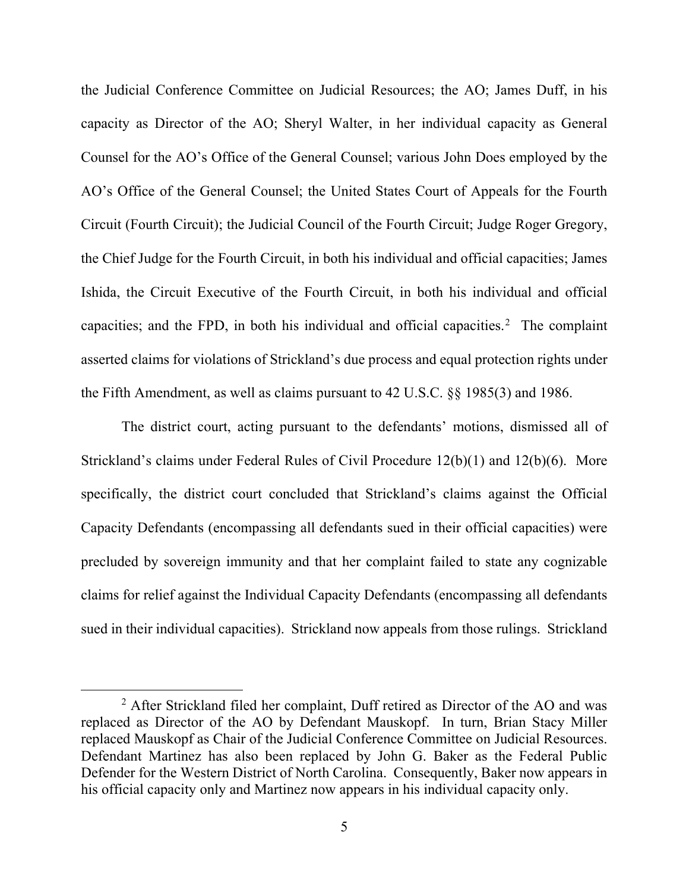the Judicial Conference Committee on Judicial Resources; the AO; James Duff, in his capacity as Director of the AO; Sheryl Walter, in her individual capacity as General Counsel for the AO's Office of the General Counsel; various John Does employed by the AO's Office of the General Counsel; the United States Court of Appeals for the Fourth Circuit (Fourth Circuit); the Judicial Council of the Fourth Circuit; Judge Roger Gregory, the Chief Judge for the Fourth Circuit, in both his individual and official capacities; James Ishida, the Circuit Executive of the Fourth Circuit, in both his individual and official capacities; and the FPD, in both his individual and official capacities.<sup>[2](#page-4-0)</sup> The complaint asserted claims for violations of Strickland's due process and equal protection rights under the Fifth Amendment, as well as claims pursuant to 42 U.S.C. §§ 1985(3) and 1986.

The district court, acting pursuant to the defendants' motions, dismissed all of Strickland's claims under Federal Rules of Civil Procedure 12(b)(1) and 12(b)(6). More specifically, the district court concluded that Strickland's claims against the Official Capacity Defendants (encompassing all defendants sued in their official capacities) were precluded by sovereign immunity and that her complaint failed to state any cognizable claims for relief against the Individual Capacity Defendants (encompassing all defendants sued in their individual capacities). Strickland now appeals from those rulings. Strickland

<span id="page-4-0"></span><sup>&</sup>lt;sup>2</sup> After Strickland filed her complaint, Duff retired as Director of the AO and was replaced as Director of the AO by Defendant Mauskopf. In turn, Brian Stacy Miller replaced Mauskopf as Chair of the Judicial Conference Committee on Judicial Resources. Defendant Martinez has also been replaced by John G. Baker as the Federal Public Defender for the Western District of North Carolina. Consequently, Baker now appears in his official capacity only and Martinez now appears in his individual capacity only.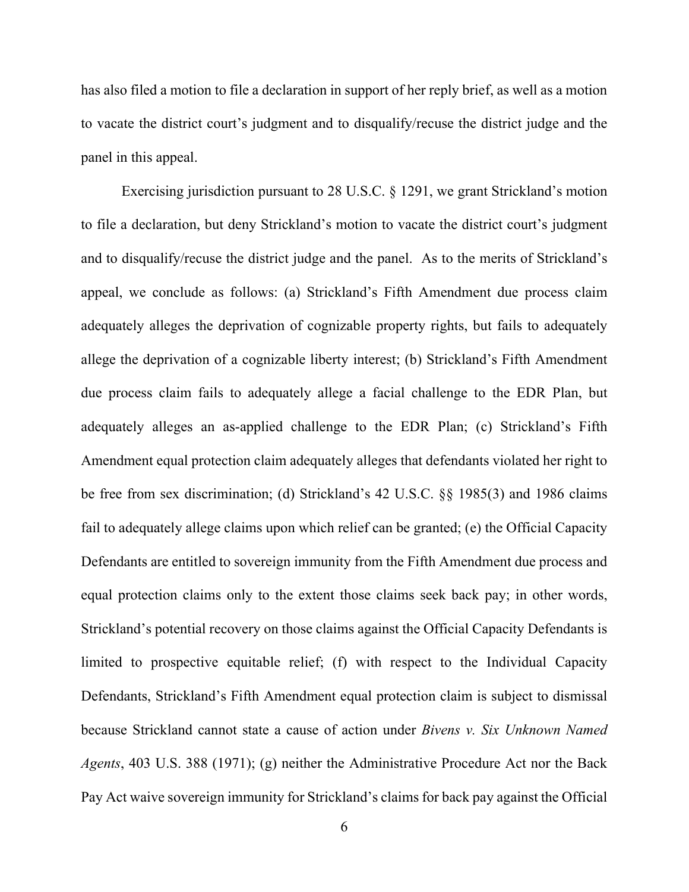has also filed a motion to file a declaration in support of her reply brief, as well as a motion to vacate the district court's judgment and to disqualify/recuse the district judge and the panel in this appeal.

Exercising jurisdiction pursuant to 28 U.S.C. § 1291, we grant Strickland's motion to file a declaration, but deny Strickland's motion to vacate the district court's judgment and to disqualify/recuse the district judge and the panel. As to the merits of Strickland's appeal, we conclude as follows: (a) Strickland's Fifth Amendment due process claim adequately alleges the deprivation of cognizable property rights, but fails to adequately allege the deprivation of a cognizable liberty interest; (b) Strickland's Fifth Amendment due process claim fails to adequately allege a facial challenge to the EDR Plan, but adequately alleges an as-applied challenge to the EDR Plan; (c) Strickland's Fifth Amendment equal protection claim adequately alleges that defendants violated her right to be free from sex discrimination; (d) Strickland's 42 U.S.C. §§ 1985(3) and 1986 claims fail to adequately allege claims upon which relief can be granted; (e) the Official Capacity Defendants are entitled to sovereign immunity from the Fifth Amendment due process and equal protection claims only to the extent those claims seek back pay; in other words, Strickland's potential recovery on those claims against the Official Capacity Defendants is limited to prospective equitable relief; (f) with respect to the Individual Capacity Defendants, Strickland's Fifth Amendment equal protection claim is subject to dismissal because Strickland cannot state a cause of action under *Bivens v. Six Unknown Named Agents*, 403 U.S. 388 (1971); (g) neither the Administrative Procedure Act nor the Back Pay Act waive sovereign immunity for Strickland's claims for back pay against the Official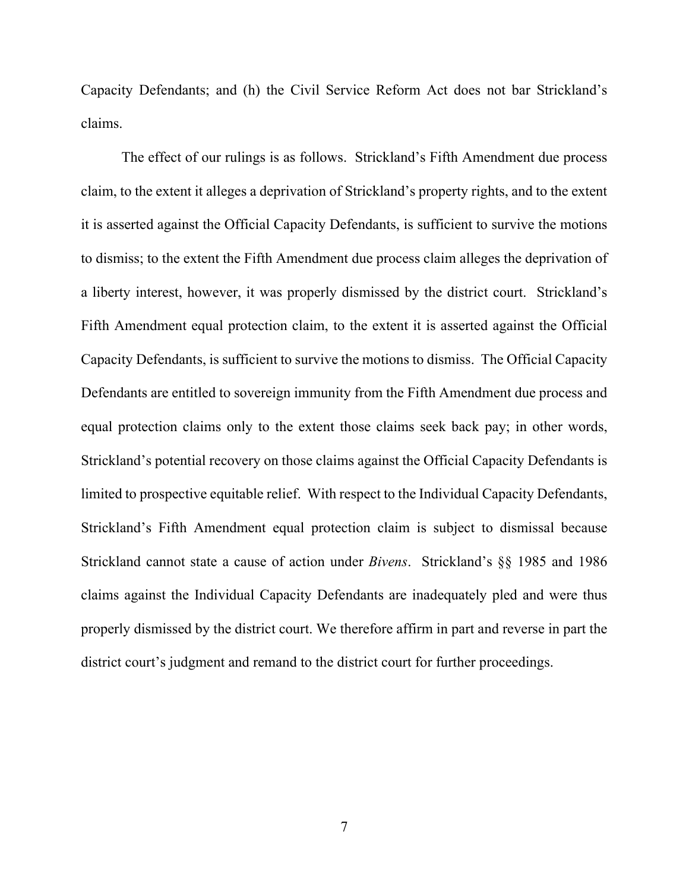Capacity Defendants; and (h) the Civil Service Reform Act does not bar Strickland's claims.

The effect of our rulings is as follows. Strickland's Fifth Amendment due process claim, to the extent it alleges a deprivation of Strickland's property rights, and to the extent it is asserted against the Official Capacity Defendants, is sufficient to survive the motions to dismiss; to the extent the Fifth Amendment due process claim alleges the deprivation of a liberty interest, however, it was properly dismissed by the district court. Strickland's Fifth Amendment equal protection claim, to the extent it is asserted against the Official Capacity Defendants, is sufficient to survive the motions to dismiss. The Official Capacity Defendants are entitled to sovereign immunity from the Fifth Amendment due process and equal protection claims only to the extent those claims seek back pay; in other words, Strickland's potential recovery on those claims against the Official Capacity Defendants is limited to prospective equitable relief. With respect to the Individual Capacity Defendants, Strickland's Fifth Amendment equal protection claim is subject to dismissal because Strickland cannot state a cause of action under *Bivens*. Strickland's §§ 1985 and 1986 claims against the Individual Capacity Defendants are inadequately pled and were thus properly dismissed by the district court. We therefore affirm in part and reverse in part the district court's judgment and remand to the district court for further proceedings.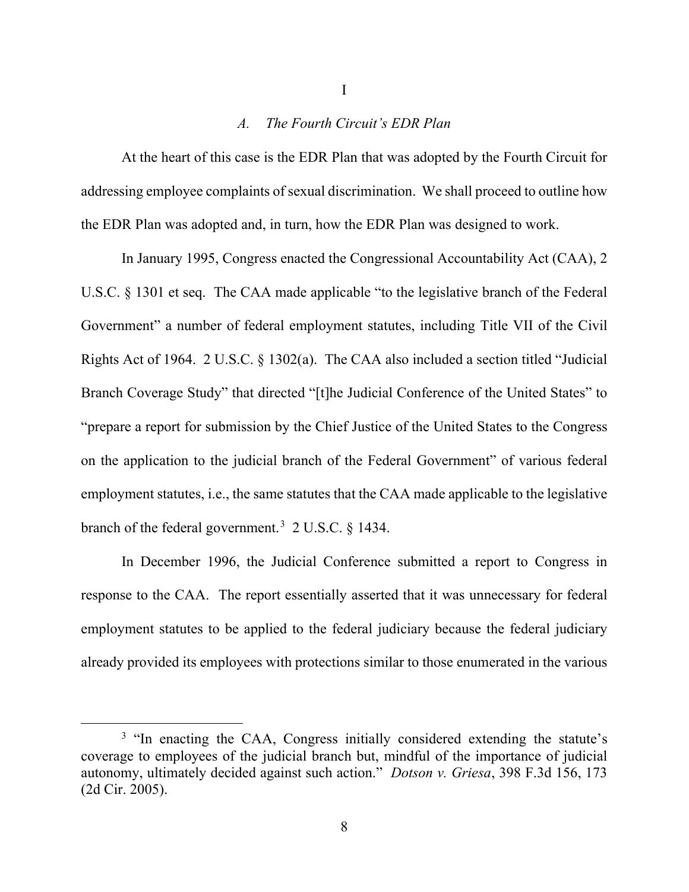#### *A. The Fourth Circuit's EDR Plan*

At the heart of this case is the EDR Plan that was adopted by the Fourth Circuit for addressing employee complaints of sexual discrimination. We shall proceed to outline how the EDR Plan was adopted and, in turn, how the EDR Plan was designed to work.

In January 1995, Congress enacted the Congressional Accountability Act (CAA), 2 U.S.C. § 1301 et seq. The CAA made applicable "to the legislative branch of the Federal Government" a number of federal employment statutes, including Title VII of the Civil Rights Act of 1964. 2 U.S.C. § 1302(a). The CAA also included a section titled "Judicial Branch Coverage Study" that directed "[t]he Judicial Conference of the United States" to "prepare a report for submission by the Chief Justice of the United States to the Congress on the application to the judicial branch of the Federal Government" of various federal employment statutes, i.e., the same statutes that the CAA made applicable to the legislative branch of the federal government.<sup>[3](#page-7-0)</sup> 2 U.S.C.  $\S$  1434.

In December 1996, the Judicial Conference submitted a report to Congress in response to the CAA. The report essentially asserted that it was unnecessary for federal employment statutes to be applied to the federal judiciary because the federal judiciary already provided its employees with protections similar to those enumerated in the various

<span id="page-7-0"></span><sup>&</sup>lt;sup>3</sup> "In enacting the CAA, Congress initially considered extending the statute's coverage to employees of the judicial branch but, mindful of the importance of judicial autonomy, ultimately decided against such action." *Dotson v. Griesa*, 398 F.3d 156, 173 (2d Cir. 2005).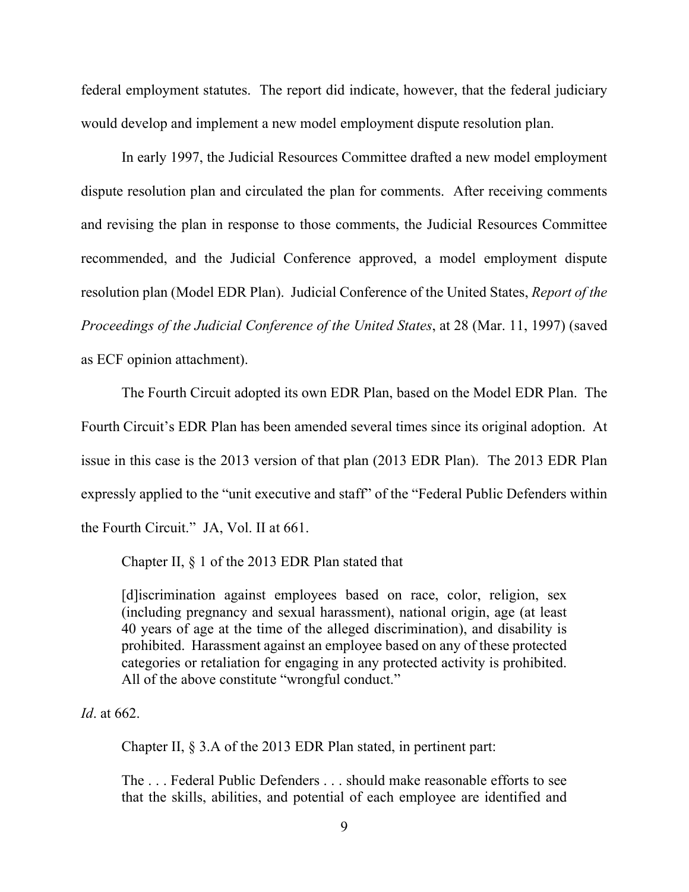federal employment statutes. The report did indicate, however, that the federal judiciary would develop and implement a new model employment dispute resolution plan.

In early 1997, the Judicial Resources Committee drafted a new model employment dispute resolution plan and circulated the plan for comments. After receiving comments and revising the plan in response to those comments, the Judicial Resources Committee recommended, and the Judicial Conference approved, a model employment dispute resolution plan (Model EDR Plan). Judicial Conference of the United States, *Report of the Proceedings of the Judicial Conference of the United States*, at 28 (Mar. 11, 1997) (saved as ECF opinion attachment).

The Fourth Circuit adopted its own EDR Plan, based on the Model EDR Plan. The Fourth Circuit's EDR Plan has been amended several times since its original adoption. At issue in this case is the 2013 version of that plan (2013 EDR Plan). The 2013 EDR Plan expressly applied to the "unit executive and staff" of the "Federal Public Defenders within the Fourth Circuit." JA, Vol. II at 661.

Chapter II, § 1 of the 2013 EDR Plan stated that

[d]iscrimination against employees based on race, color, religion, sex (including pregnancy and sexual harassment), national origin, age (at least 40 years of age at the time of the alleged discrimination), and disability is prohibited. Harassment against an employee based on any of these protected categories or retaliation for engaging in any protected activity is prohibited. All of the above constitute "wrongful conduct."

*Id*. at 662.

Chapter II, § 3.A of the 2013 EDR Plan stated, in pertinent part:

The . . . Federal Public Defenders . . . should make reasonable efforts to see that the skills, abilities, and potential of each employee are identified and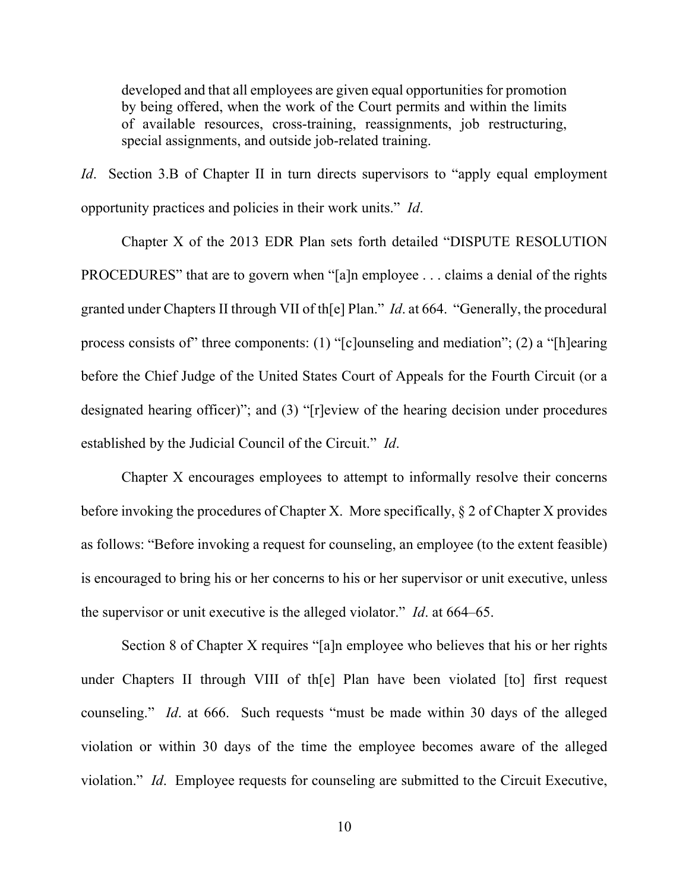developed and that all employees are given equal opportunities for promotion by being offered, when the work of the Court permits and within the limits of available resources, cross-training, reassignments, job restructuring, special assignments, and outside job-related training.

*Id.* Section 3.B of Chapter II in turn directs supervisors to "apply equal employment" opportunity practices and policies in their work units." *Id*.

Chapter X of the 2013 EDR Plan sets forth detailed "DISPUTE RESOLUTION PROCEDURES" that are to govern when "[a]n employee . . . claims a denial of the rights granted under Chapters II through VII of th[e] Plan." *Id*. at 664. "Generally, the procedural process consists of" three components: (1) "[c]ounseling and mediation"; (2) a "[h]earing before the Chief Judge of the United States Court of Appeals for the Fourth Circuit (or a designated hearing officer)"; and (3) "[r]eview of the hearing decision under procedures established by the Judicial Council of the Circuit." *Id*.

Chapter X encourages employees to attempt to informally resolve their concerns before invoking the procedures of Chapter X. More specifically, § 2 of Chapter X provides as follows: "Before invoking a request for counseling, an employee (to the extent feasible) is encouraged to bring his or her concerns to his or her supervisor or unit executive, unless the supervisor or unit executive is the alleged violator." *Id*. at 664–65.

Section 8 of Chapter X requires "[a]n employee who believes that his or her rights under Chapters II through VIII of th[e] Plan have been violated [to] first request counseling." *Id*. at 666. Such requests "must be made within 30 days of the alleged violation or within 30 days of the time the employee becomes aware of the alleged violation." *Id*. Employee requests for counseling are submitted to the Circuit Executive,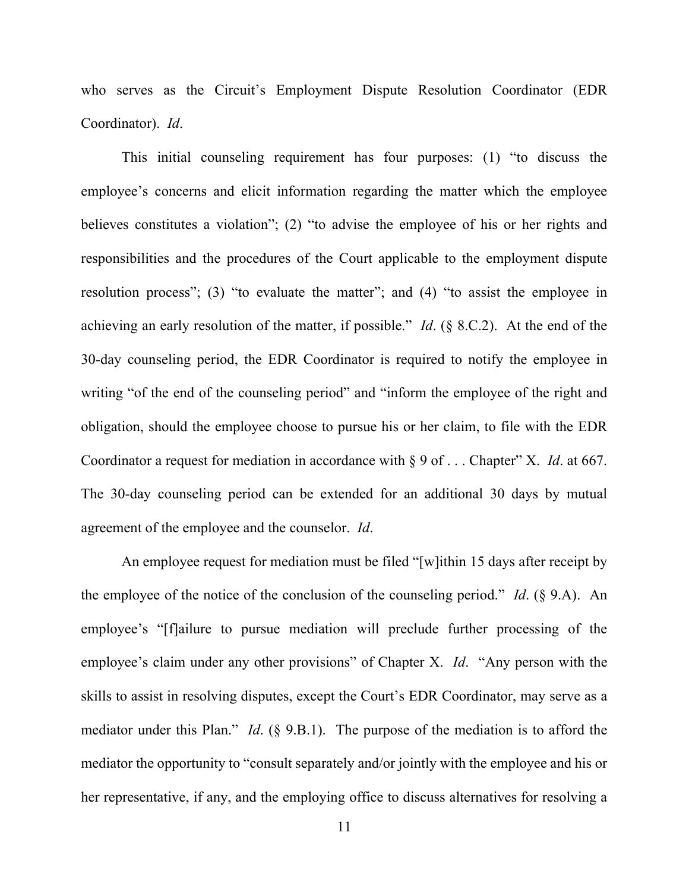who serves as the Circuit's Employment Dispute Resolution Coordinator (EDR Coordinator). *Id*.

This initial counseling requirement has four purposes: (1) "to discuss the employee's concerns and elicit information regarding the matter which the employee believes constitutes a violation"; (2) "to advise the employee of his or her rights and responsibilities and the procedures of the Court applicable to the employment dispute resolution process"; (3) "to evaluate the matter"; and (4) "to assist the employee in achieving an early resolution of the matter, if possible." *Id*. (§ 8.C.2). At the end of the 30-day counseling period, the EDR Coordinator is required to notify the employee in writing "of the end of the counseling period" and "inform the employee of the right and obligation, should the employee choose to pursue his or her claim, to file with the EDR Coordinator a request for mediation in accordance with § 9 of . . . Chapter" X. *Id*. at 667. The 30-day counseling period can be extended for an additional 30 days by mutual agreement of the employee and the counselor. *Id*.

An employee request for mediation must be filed "[w]ithin 15 days after receipt by the employee of the notice of the conclusion of the counseling period." *Id*. (§ 9.A). An employee's "[f]ailure to pursue mediation will preclude further processing of the employee's claim under any other provisions" of Chapter X. *Id*. "Any person with the skills to assist in resolving disputes, except the Court's EDR Coordinator, may serve as a mediator under this Plan." *Id*. (§ 9.B.1). The purpose of the mediation is to afford the mediator the opportunity to "consult separately and/or jointly with the employee and his or her representative, if any, and the employing office to discuss alternatives for resolving a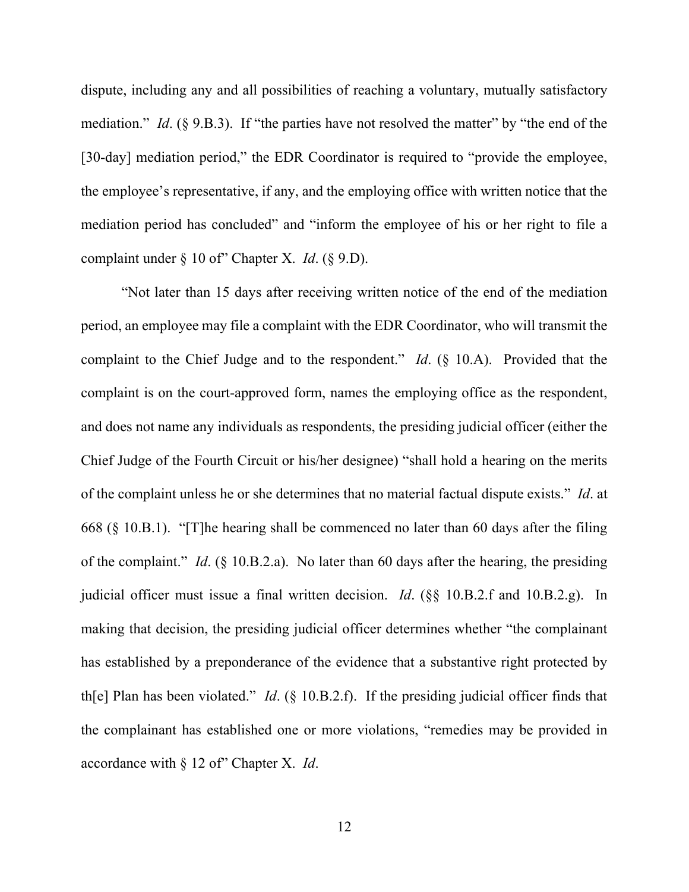dispute, including any and all possibilities of reaching a voluntary, mutually satisfactory mediation." *Id.* (§ 9.B.3). If "the parties have not resolved the matter" by "the end of the [30-day] mediation period," the EDR Coordinator is required to "provide the employee, the employee's representative, if any, and the employing office with written notice that the mediation period has concluded" and "inform the employee of his or her right to file a complaint under § 10 of" Chapter X. *Id*. (§ 9.D).

"Not later than 15 days after receiving written notice of the end of the mediation period, an employee may file a complaint with the EDR Coordinator, who will transmit the complaint to the Chief Judge and to the respondent." *Id*. (§ 10.A). Provided that the complaint is on the court-approved form, names the employing office as the respondent, and does not name any individuals as respondents, the presiding judicial officer (either the Chief Judge of the Fourth Circuit or his/her designee) "shall hold a hearing on the merits of the complaint unless he or she determines that no material factual dispute exists." *Id*. at 668 (§ 10.B.1). "[T]he hearing shall be commenced no later than 60 days after the filing of the complaint." *Id*. (§ 10.B.2.a). No later than 60 days after the hearing, the presiding judicial officer must issue a final written decision. *Id*. (§§ 10.B.2.f and 10.B.2.g). In making that decision, the presiding judicial officer determines whether "the complainant has established by a preponderance of the evidence that a substantive right protected by th[e] Plan has been violated." *Id*. (§ 10.B.2.f). If the presiding judicial officer finds that the complainant has established one or more violations, "remedies may be provided in accordance with § 12 of" Chapter X. *Id*.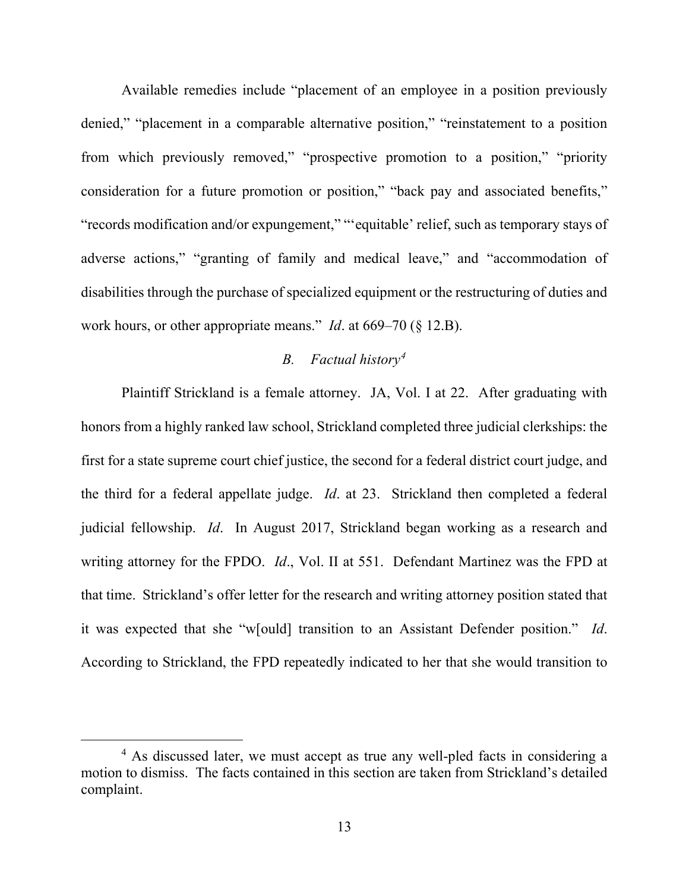Available remedies include "placement of an employee in a position previously denied," "placement in a comparable alternative position," "reinstatement to a position from which previously removed," "prospective promotion to a position," "priority consideration for a future promotion or position," "back pay and associated benefits," "records modification and/or expungement," "'equitable' relief, such as temporary stays of adverse actions," "granting of family and medical leave," and "accommodation of disabilities through the purchase of specialized equipment or the restructuring of duties and work hours, or other appropriate means." *Id*. at 669–70 (§ 12.B).

## *B. Factual history[4](#page-12-0)*

Plaintiff Strickland is a female attorney. JA, Vol. I at 22. After graduating with honors from a highly ranked law school, Strickland completed three judicial clerkships: the first for a state supreme court chief justice, the second for a federal district court judge, and the third for a federal appellate judge. *Id*. at 23. Strickland then completed a federal judicial fellowship. *Id*. In August 2017, Strickland began working as a research and writing attorney for the FPDO. *Id*., Vol. II at 551. Defendant Martinez was the FPD at that time. Strickland's offer letter for the research and writing attorney position stated that it was expected that she "w[ould] transition to an Assistant Defender position." *Id*. According to Strickland, the FPD repeatedly indicated to her that she would transition to

<span id="page-12-0"></span><sup>&</sup>lt;sup>4</sup> As discussed later, we must accept as true any well-pled facts in considering a motion to dismiss. The facts contained in this section are taken from Strickland's detailed complaint.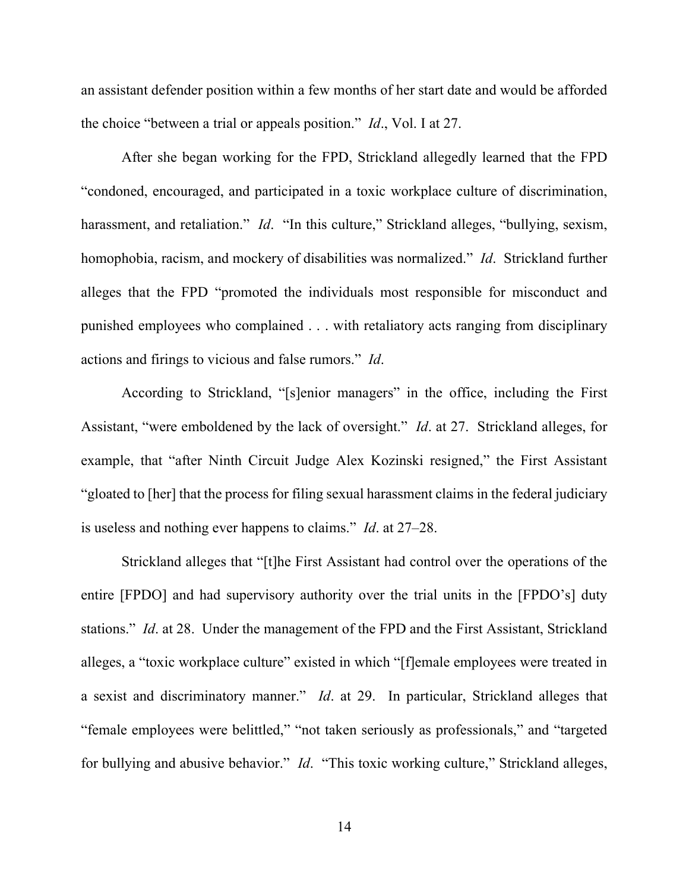an assistant defender position within a few months of her start date and would be afforded the choice "between a trial or appeals position." *Id*., Vol. I at 27.

After she began working for the FPD, Strickland allegedly learned that the FPD "condoned, encouraged, and participated in a toxic workplace culture of discrimination, harassment, and retaliation." *Id.* "In this culture," Strickland alleges, "bullying, sexism, homophobia, racism, and mockery of disabilities was normalized." *Id*. Strickland further alleges that the FPD "promoted the individuals most responsible for misconduct and punished employees who complained . . . with retaliatory acts ranging from disciplinary actions and firings to vicious and false rumors." *Id*.

According to Strickland, "[s]enior managers" in the office, including the First Assistant, "were emboldened by the lack of oversight." *Id*. at 27. Strickland alleges, for example, that "after Ninth Circuit Judge Alex Kozinski resigned," the First Assistant "gloated to [her] that the process for filing sexual harassment claims in the federal judiciary is useless and nothing ever happens to claims." *Id*. at 27–28.

Strickland alleges that "[t]he First Assistant had control over the operations of the entire [FPDO] and had supervisory authority over the trial units in the [FPDO's] duty stations." *Id*. at 28. Under the management of the FPD and the First Assistant, Strickland alleges, a "toxic workplace culture" existed in which "[f]emale employees were treated in a sexist and discriminatory manner." *Id*. at 29. In particular, Strickland alleges that "female employees were belittled," "not taken seriously as professionals," and "targeted for bullying and abusive behavior." *Id*. "This toxic working culture," Strickland alleges,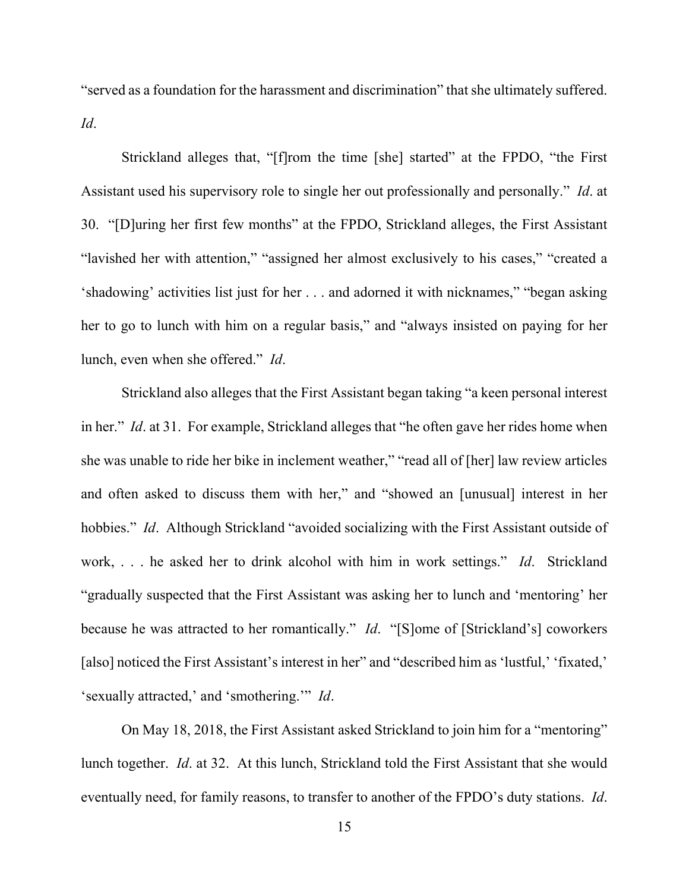"served as a foundation for the harassment and discrimination" that she ultimately suffered. *Id*.

Strickland alleges that, "[f]rom the time [she] started" at the FPDO, "the First Assistant used his supervisory role to single her out professionally and personally." *Id*. at 30. "[D]uring her first few months" at the FPDO, Strickland alleges, the First Assistant "lavished her with attention," "assigned her almost exclusively to his cases," "created a 'shadowing' activities list just for her . . . and adorned it with nicknames," "began asking her to go to lunch with him on a regular basis," and "always insisted on paying for her lunch, even when she offered." *Id*.

Strickland also alleges that the First Assistant began taking "a keen personal interest in her." *Id*. at 31. For example, Strickland alleges that "he often gave her rides home when she was unable to ride her bike in inclement weather," "read all of [her] law review articles and often asked to discuss them with her," and "showed an [unusual] interest in her hobbies." *Id.* Although Strickland "avoided socializing with the First Assistant outside of work, . . . he asked her to drink alcohol with him in work settings." *Id*. Strickland "gradually suspected that the First Assistant was asking her to lunch and 'mentoring' her because he was attracted to her romantically." *Id*. "[S]ome of [Strickland's] coworkers [also] noticed the First Assistant's interest in her" and "described him as 'lustful,' 'fixated,' 'sexually attracted,' and 'smothering.'" *Id*.

On May 18, 2018, the First Assistant asked Strickland to join him for a "mentoring" lunch together. *Id*. at 32. At this lunch, Strickland told the First Assistant that she would eventually need, for family reasons, to transfer to another of the FPDO's duty stations. *Id*.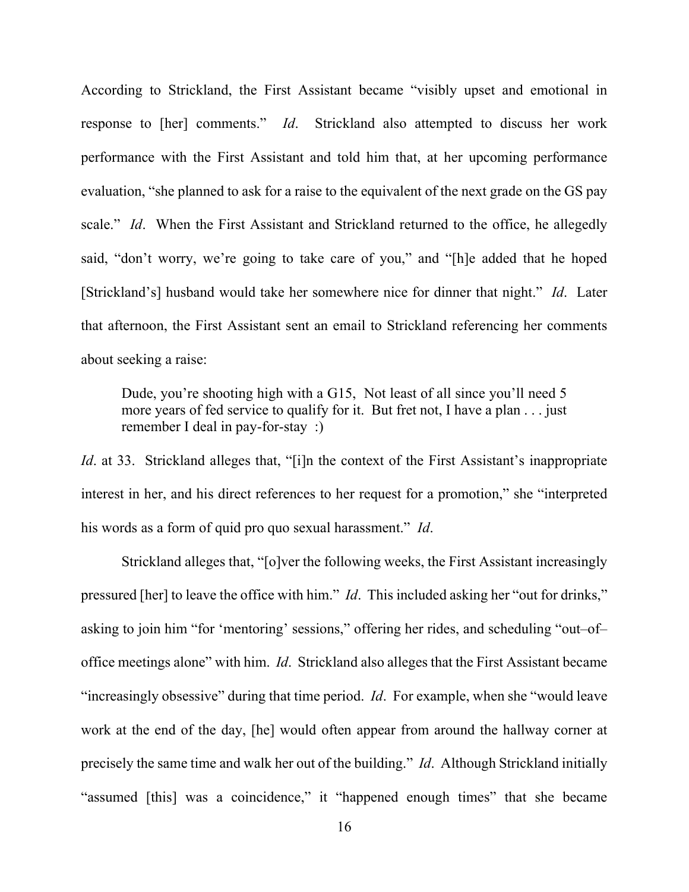According to Strickland, the First Assistant became "visibly upset and emotional in response to [her] comments." *Id*. Strickland also attempted to discuss her work performance with the First Assistant and told him that, at her upcoming performance evaluation, "she planned to ask for a raise to the equivalent of the next grade on the GS pay scale." *Id*. When the First Assistant and Strickland returned to the office, he allegedly said, "don't worry, we're going to take care of you," and "[h]e added that he hoped [Strickland's] husband would take her somewhere nice for dinner that night." *Id*. Later that afternoon, the First Assistant sent an email to Strickland referencing her comments about seeking a raise:

Dude, you're shooting high with a G15, Not least of all since you'll need 5 more years of fed service to qualify for it. But fret not, I have a plan . . . just remember I deal in pay-for-stay :)

*Id.* at 33. Strickland alleges that, "[i]n the context of the First Assistant's inappropriate interest in her, and his direct references to her request for a promotion," she "interpreted his words as a form of quid pro quo sexual harassment." *Id*.

Strickland alleges that, "[o]ver the following weeks, the First Assistant increasingly pressured [her] to leave the office with him." *Id*. This included asking her "out for drinks," asking to join him "for 'mentoring' sessions," offering her rides, and scheduling "out–of– office meetings alone" with him. *Id*. Strickland also alleges that the First Assistant became "increasingly obsessive" during that time period. *Id*. For example, when she "would leave work at the end of the day, [he] would often appear from around the hallway corner at precisely the same time and walk her out of the building." *Id*. Although Strickland initially "assumed [this] was a coincidence," it "happened enough times" that she became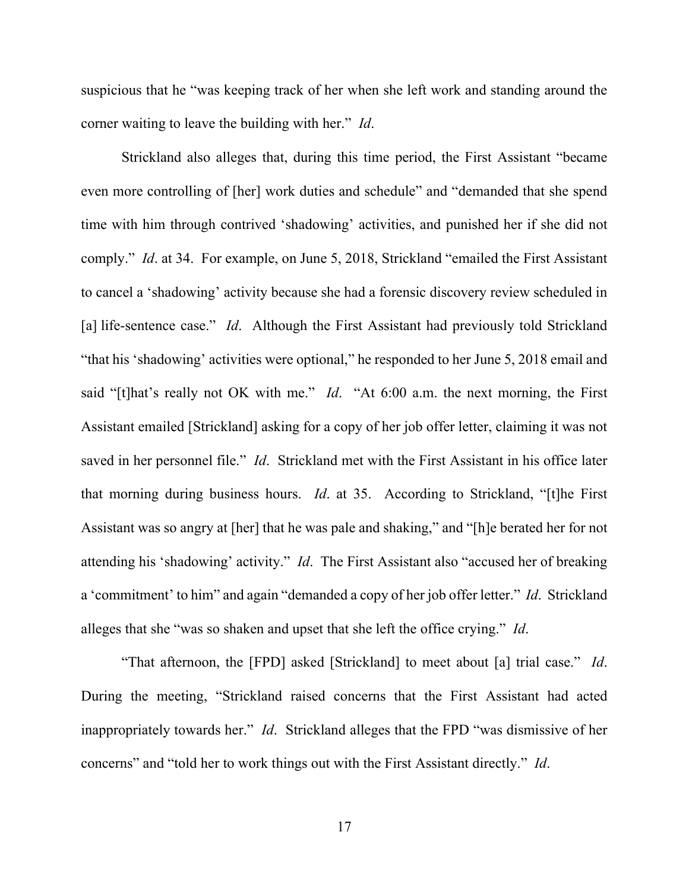suspicious that he "was keeping track of her when she left work and standing around the corner waiting to leave the building with her." *Id*.

Strickland also alleges that, during this time period, the First Assistant "became even more controlling of [her] work duties and schedule" and "demanded that she spend time with him through contrived 'shadowing' activities, and punished her if she did not comply." *Id*. at 34. For example, on June 5, 2018, Strickland "emailed the First Assistant to cancel a 'shadowing' activity because she had a forensic discovery review scheduled in [a] life-sentence case." *Id*. Although the First Assistant had previously told Strickland "that his 'shadowing' activities were optional," he responded to her June 5, 2018 email and said "[t]hat's really not OK with me." *Id*. "At 6:00 a.m. the next morning, the First Assistant emailed [Strickland] asking for a copy of her job offer letter, claiming it was not saved in her personnel file." *Id*. Strickland met with the First Assistant in his office later that morning during business hours. *Id*. at 35. According to Strickland, "[t]he First Assistant was so angry at [her] that he was pale and shaking," and "[h]e berated her for not attending his 'shadowing' activity." *Id*. The First Assistant also "accused her of breaking a 'commitment' to him" and again "demanded a copy of her job offer letter." *Id*. Strickland alleges that she "was so shaken and upset that she left the office crying." *Id*.

"That afternoon, the [FPD] asked [Strickland] to meet about [a] trial case." *Id*. During the meeting, "Strickland raised concerns that the First Assistant had acted inappropriately towards her." *Id*. Strickland alleges that the FPD "was dismissive of her concerns" and "told her to work things out with the First Assistant directly." *Id*.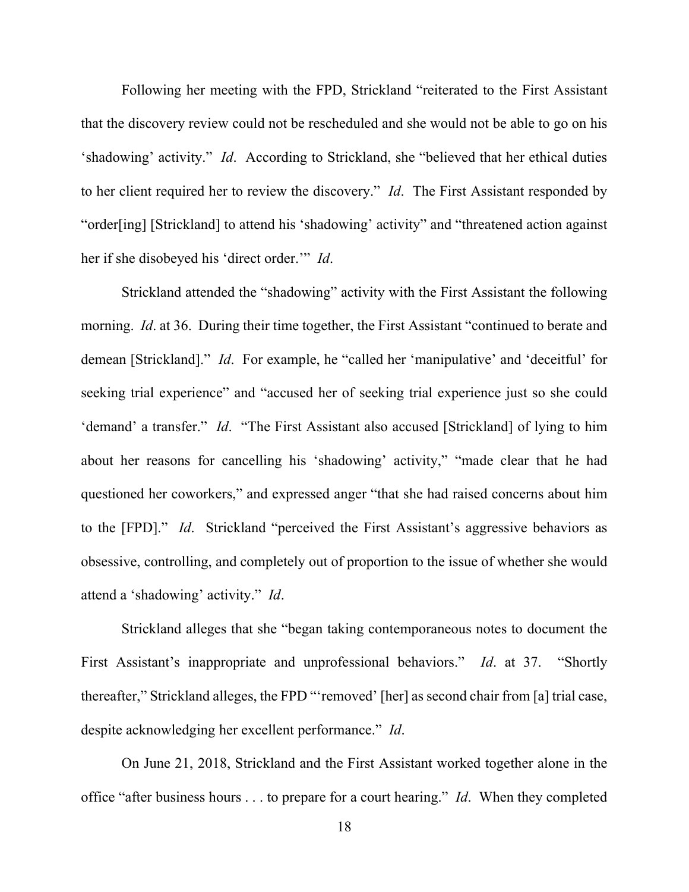Following her meeting with the FPD, Strickland "reiterated to the First Assistant that the discovery review could not be rescheduled and she would not be able to go on his 'shadowing' activity." *Id*. According to Strickland, she "believed that her ethical duties to her client required her to review the discovery." *Id*. The First Assistant responded by "order[ing] [Strickland] to attend his 'shadowing' activity" and "threatened action against her if she disobeyed his 'direct order.'" *Id*.

Strickland attended the "shadowing" activity with the First Assistant the following morning. *Id*. at 36. During their time together, the First Assistant "continued to berate and demean [Strickland]." *Id*. For example, he "called her 'manipulative' and 'deceitful' for seeking trial experience" and "accused her of seeking trial experience just so she could 'demand' a transfer." *Id*. "The First Assistant also accused [Strickland] of lying to him about her reasons for cancelling his 'shadowing' activity," "made clear that he had questioned her coworkers," and expressed anger "that she had raised concerns about him to the [FPD]." *Id*. Strickland "perceived the First Assistant's aggressive behaviors as obsessive, controlling, and completely out of proportion to the issue of whether she would attend a 'shadowing' activity." *Id*.

Strickland alleges that she "began taking contemporaneous notes to document the First Assistant's inappropriate and unprofessional behaviors." *Id*. at 37. "Shortly thereafter," Strickland alleges, the FPD "'removed' [her] as second chair from [a] trial case, despite acknowledging her excellent performance." *Id*.

On June 21, 2018, Strickland and the First Assistant worked together alone in the office "after business hours . . . to prepare for a court hearing." *Id*. When they completed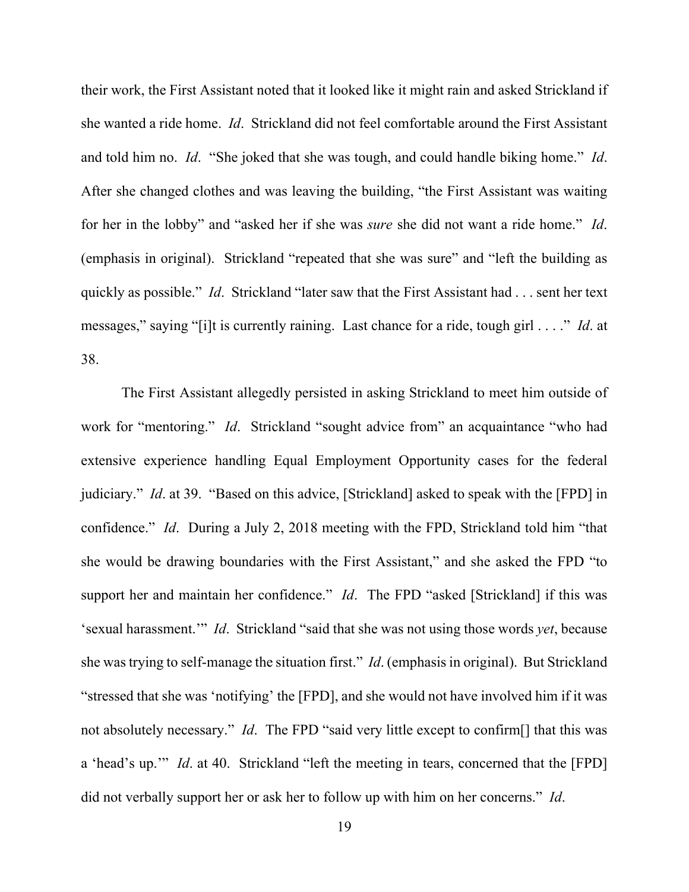their work, the First Assistant noted that it looked like it might rain and asked Strickland if she wanted a ride home. *Id*. Strickland did not feel comfortable around the First Assistant and told him no. *Id*. "She joked that she was tough, and could handle biking home." *Id*. After she changed clothes and was leaving the building, "the First Assistant was waiting for her in the lobby" and "asked her if she was *sure* she did not want a ride home." *Id*. (emphasis in original). Strickland "repeated that she was sure" and "left the building as quickly as possible." *Id*. Strickland "later saw that the First Assistant had . . . sent her text messages," saying "[i]t is currently raining. Last chance for a ride, tough girl . . . ." *Id*. at 38.

The First Assistant allegedly persisted in asking Strickland to meet him outside of work for "mentoring." *Id*. Strickland "sought advice from" an acquaintance "who had extensive experience handling Equal Employment Opportunity cases for the federal judiciary." *Id*. at 39. "Based on this advice, [Strickland] asked to speak with the [FPD] in confidence." *Id*. During a July 2, 2018 meeting with the FPD, Strickland told him "that she would be drawing boundaries with the First Assistant," and she asked the FPD "to support her and maintain her confidence." *Id*. The FPD "asked [Strickland] if this was 'sexual harassment.'" *Id*. Strickland "said that she was not using those words *yet*, because she was trying to self-manage the situation first." *Id*. (emphasis in original). But Strickland "stressed that she was 'notifying' the [FPD], and she would not have involved him if it was not absolutely necessary." *Id*. The FPD "said very little except to confirm[] that this was a 'head's up.'" *Id*. at 40. Strickland "left the meeting in tears, concerned that the [FPD] did not verbally support her or ask her to follow up with him on her concerns." *Id*.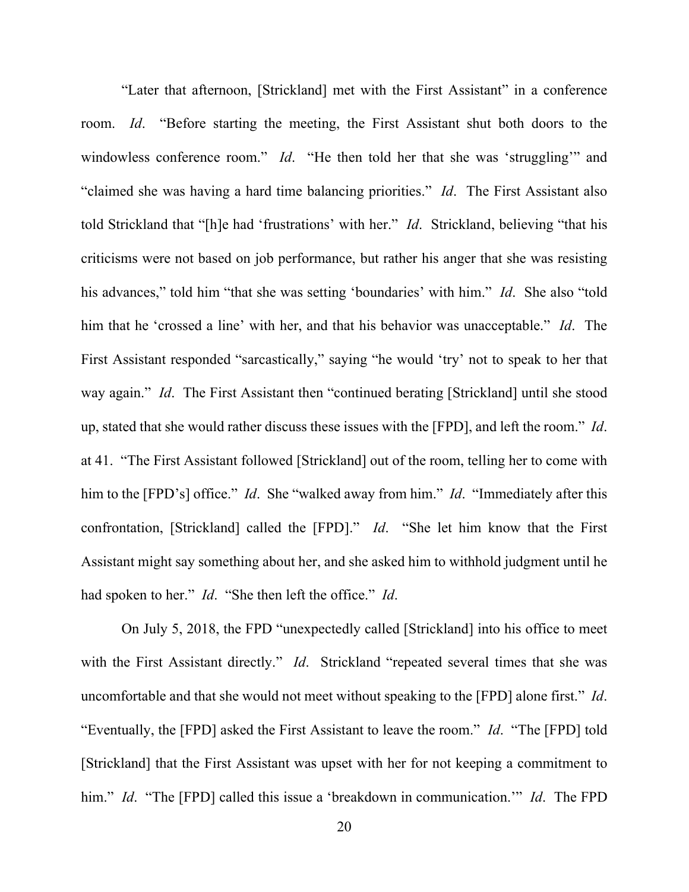"Later that afternoon, [Strickland] met with the First Assistant" in a conference room. *Id*. "Before starting the meeting, the First Assistant shut both doors to the windowless conference room." *Id*. "He then told her that she was 'struggling'" and "claimed she was having a hard time balancing priorities." *Id*. The First Assistant also told Strickland that "[h]e had 'frustrations' with her." *Id*. Strickland, believing "that his criticisms were not based on job performance, but rather his anger that she was resisting his advances," told him "that she was setting 'boundaries' with him." *Id*. She also "told him that he 'crossed a line' with her, and that his behavior was unacceptable." *Id*. The First Assistant responded "sarcastically," saying "he would 'try' not to speak to her that way again." *Id.* The First Assistant then "continued berating [Strickland] until she stood up, stated that she would rather discuss these issues with the [FPD], and left the room." *Id*. at 41. "The First Assistant followed [Strickland] out of the room, telling her to come with him to the [FPD's] office." *Id*. She "walked away from him." *Id*. "Immediately after this confrontation, [Strickland] called the [FPD]." *Id*. "She let him know that the First Assistant might say something about her, and she asked him to withhold judgment until he had spoken to her." *Id*. "She then left the office." *Id*.

On July 5, 2018, the FPD "unexpectedly called [Strickland] into his office to meet with the First Assistant directly." *Id.* Strickland "repeated several times that she was uncomfortable and that she would not meet without speaking to the [FPD] alone first." *Id*. "Eventually, the [FPD] asked the First Assistant to leave the room." *Id*. "The [FPD] told [Strickland] that the First Assistant was upset with her for not keeping a commitment to him." *Id*. "The [FPD] called this issue a 'breakdown in communication.'" *Id*. The FPD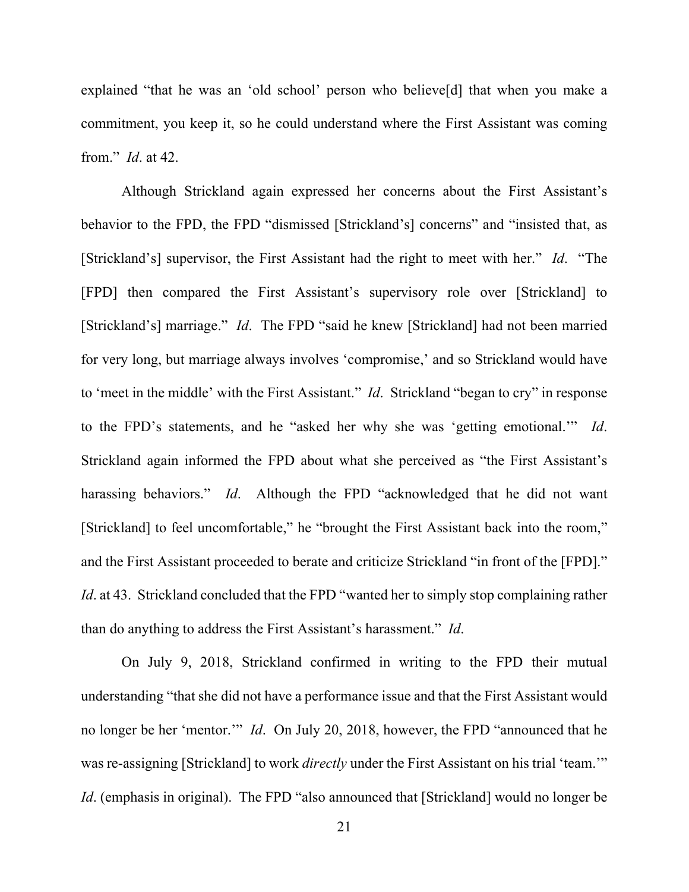explained "that he was an 'old school' person who believe[d] that when you make a commitment, you keep it, so he could understand where the First Assistant was coming from." *Id*. at 42.

Although Strickland again expressed her concerns about the First Assistant's behavior to the FPD, the FPD "dismissed [Strickland's] concerns" and "insisted that, as [Strickland's] supervisor, the First Assistant had the right to meet with her." *Id*. "The [FPD] then compared the First Assistant's supervisory role over [Strickland] to [Strickland's] marriage." *Id*. The FPD "said he knew [Strickland] had not been married for very long, but marriage always involves 'compromise,' and so Strickland would have to 'meet in the middle' with the First Assistant." *Id*. Strickland "began to cry" in response to the FPD's statements, and he "asked her why she was 'getting emotional.'" *Id*. Strickland again informed the FPD about what she perceived as "the First Assistant's harassing behaviors." *Id*. Although the FPD "acknowledged that he did not want [Strickland] to feel uncomfortable," he "brought the First Assistant back into the room," and the First Assistant proceeded to berate and criticize Strickland "in front of the [FPD]." *Id.* at 43. Strickland concluded that the FPD "wanted her to simply stop complaining rather than do anything to address the First Assistant's harassment." *Id*.

On July 9, 2018, Strickland confirmed in writing to the FPD their mutual understanding "that she did not have a performance issue and that the First Assistant would no longer be her 'mentor.'" *Id*. On July 20, 2018, however, the FPD "announced that he was re-assigning [Strickland] to work *directly* under the First Assistant on his trial 'team.'" *Id.* (emphasis in original). The FPD "also announced that [Strickland] would no longer be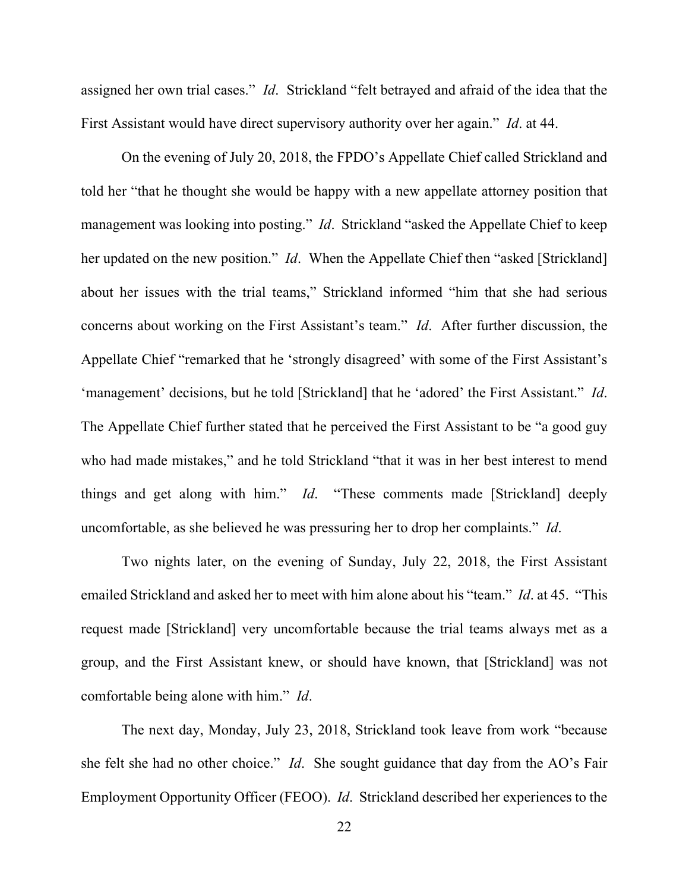assigned her own trial cases." *Id*. Strickland "felt betrayed and afraid of the idea that the First Assistant would have direct supervisory authority over her again." *Id*. at 44.

On the evening of July 20, 2018, the FPDO's Appellate Chief called Strickland and told her "that he thought she would be happy with a new appellate attorney position that management was looking into posting." *Id*. Strickland "asked the Appellate Chief to keep her updated on the new position." *Id*. When the Appellate Chief then "asked [Strickland] about her issues with the trial teams," Strickland informed "him that she had serious concerns about working on the First Assistant's team." *Id*. After further discussion, the Appellate Chief "remarked that he 'strongly disagreed' with some of the First Assistant's 'management' decisions, but he told [Strickland] that he 'adored' the First Assistant." *Id*. The Appellate Chief further stated that he perceived the First Assistant to be "a good guy who had made mistakes," and he told Strickland "that it was in her best interest to mend things and get along with him." *Id*. "These comments made [Strickland] deeply uncomfortable, as she believed he was pressuring her to drop her complaints." *Id*.

Two nights later, on the evening of Sunday, July 22, 2018, the First Assistant emailed Strickland and asked her to meet with him alone about his "team." *Id*. at 45. "This request made [Strickland] very uncomfortable because the trial teams always met as a group, and the First Assistant knew, or should have known, that [Strickland] was not comfortable being alone with him." *Id*.

The next day, Monday, July 23, 2018, Strickland took leave from work "because she felt she had no other choice." *Id*. She sought guidance that day from the AO's Fair Employment Opportunity Officer (FEOO). *Id*. Strickland described her experiences to the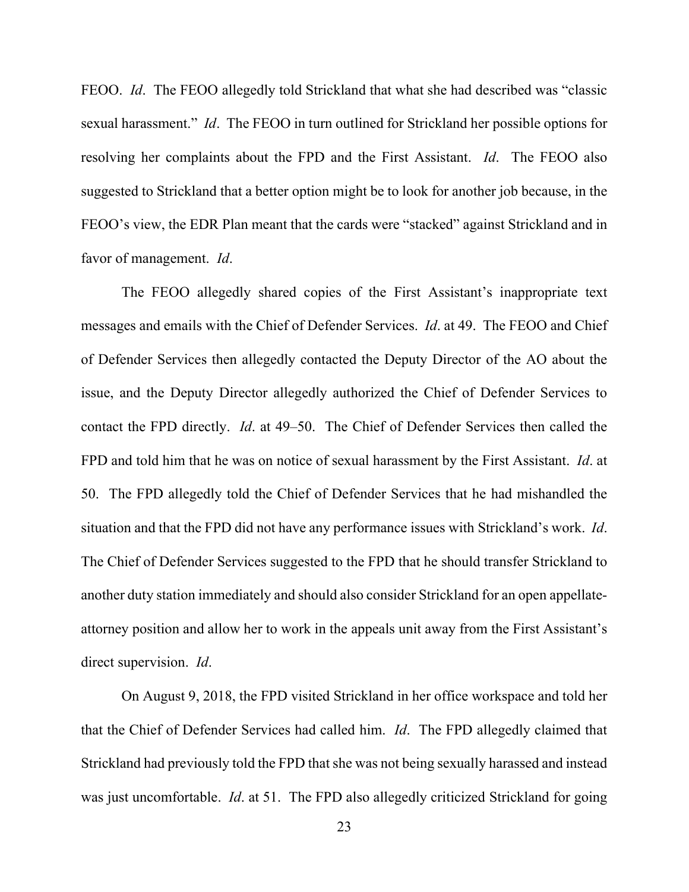FEOO. *Id*. The FEOO allegedly told Strickland that what she had described was "classic sexual harassment." *Id*. The FEOO in turn outlined for Strickland her possible options for resolving her complaints about the FPD and the First Assistant. *Id*. The FEOO also suggested to Strickland that a better option might be to look for another job because, in the FEOO's view, the EDR Plan meant that the cards were "stacked" against Strickland and in favor of management. *Id*.

The FEOO allegedly shared copies of the First Assistant's inappropriate text messages and emails with the Chief of Defender Services. *Id*. at 49. The FEOO and Chief of Defender Services then allegedly contacted the Deputy Director of the AO about the issue, and the Deputy Director allegedly authorized the Chief of Defender Services to contact the FPD directly. *Id*. at 49–50. The Chief of Defender Services then called the FPD and told him that he was on notice of sexual harassment by the First Assistant. *Id*. at 50. The FPD allegedly told the Chief of Defender Services that he had mishandled the situation and that the FPD did not have any performance issues with Strickland's work. *Id*. The Chief of Defender Services suggested to the FPD that he should transfer Strickland to another duty station immediately and should also consider Strickland for an open appellateattorney position and allow her to work in the appeals unit away from the First Assistant's direct supervision. *Id*.

On August 9, 2018, the FPD visited Strickland in her office workspace and told her that the Chief of Defender Services had called him. *Id*. The FPD allegedly claimed that Strickland had previously told the FPD that she was not being sexually harassed and instead was just uncomfortable. *Id*. at 51. The FPD also allegedly criticized Strickland for going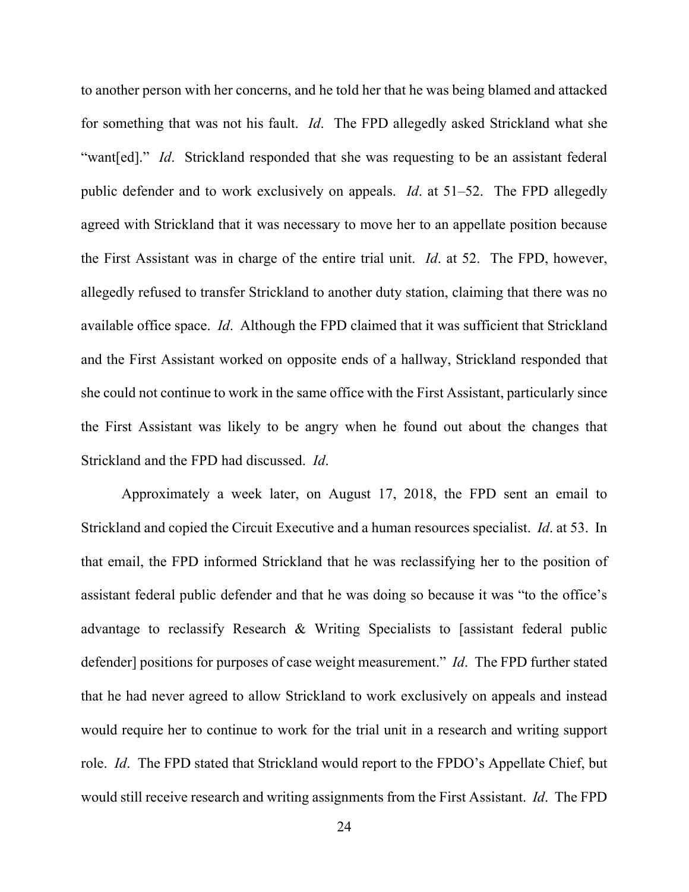to another person with her concerns, and he told her that he was being blamed and attacked for something that was not his fault. *Id*. The FPD allegedly asked Strickland what she "want[ed]." *Id.* Strickland responded that she was requesting to be an assistant federal public defender and to work exclusively on appeals. *Id*. at 51–52. The FPD allegedly agreed with Strickland that it was necessary to move her to an appellate position because the First Assistant was in charge of the entire trial unit. *Id*. at 52. The FPD, however, allegedly refused to transfer Strickland to another duty station, claiming that there was no available office space. *Id*. Although the FPD claimed that it was sufficient that Strickland and the First Assistant worked on opposite ends of a hallway, Strickland responded that she could not continue to work in the same office with the First Assistant, particularly since the First Assistant was likely to be angry when he found out about the changes that Strickland and the FPD had discussed. *Id*.

Approximately a week later, on August 17, 2018, the FPD sent an email to Strickland and copied the Circuit Executive and a human resources specialist. *Id*. at 53. In that email, the FPD informed Strickland that he was reclassifying her to the position of assistant federal public defender and that he was doing so because it was "to the office's advantage to reclassify Research & Writing Specialists to [assistant federal public defender] positions for purposes of case weight measurement." *Id*. The FPD further stated that he had never agreed to allow Strickland to work exclusively on appeals and instead would require her to continue to work for the trial unit in a research and writing support role. *Id*. The FPD stated that Strickland would report to the FPDO's Appellate Chief, but would still receive research and writing assignments from the First Assistant. *Id*. The FPD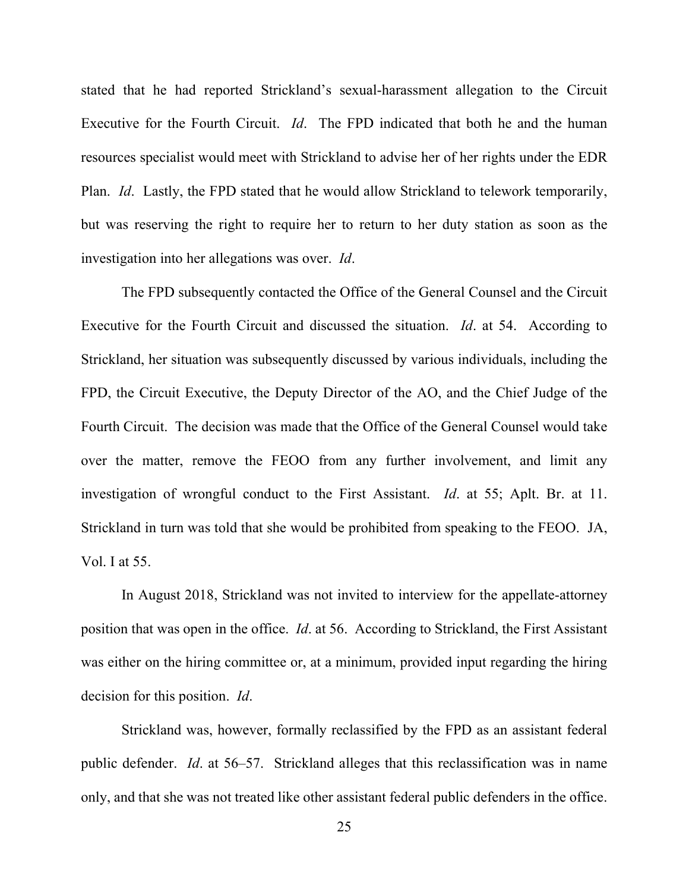stated that he had reported Strickland's sexual-harassment allegation to the Circuit Executive for the Fourth Circuit. *Id*. The FPD indicated that both he and the human resources specialist would meet with Strickland to advise her of her rights under the EDR Plan. *Id*. Lastly, the FPD stated that he would allow Strickland to telework temporarily, but was reserving the right to require her to return to her duty station as soon as the investigation into her allegations was over. *Id*.

The FPD subsequently contacted the Office of the General Counsel and the Circuit Executive for the Fourth Circuit and discussed the situation. *Id*. at 54. According to Strickland, her situation was subsequently discussed by various individuals, including the FPD, the Circuit Executive, the Deputy Director of the AO, and the Chief Judge of the Fourth Circuit. The decision was made that the Office of the General Counsel would take over the matter, remove the FEOO from any further involvement, and limit any investigation of wrongful conduct to the First Assistant. *Id*. at 55; Aplt. Br. at 11. Strickland in turn was told that she would be prohibited from speaking to the FEOO. JA, Vol. I at 55.

In August 2018, Strickland was not invited to interview for the appellate-attorney position that was open in the office. *Id*. at 56. According to Strickland, the First Assistant was either on the hiring committee or, at a minimum, provided input regarding the hiring decision for this position. *Id*.

Strickland was, however, formally reclassified by the FPD as an assistant federal public defender. *Id*. at 56–57. Strickland alleges that this reclassification was in name only, and that she was not treated like other assistant federal public defenders in the office.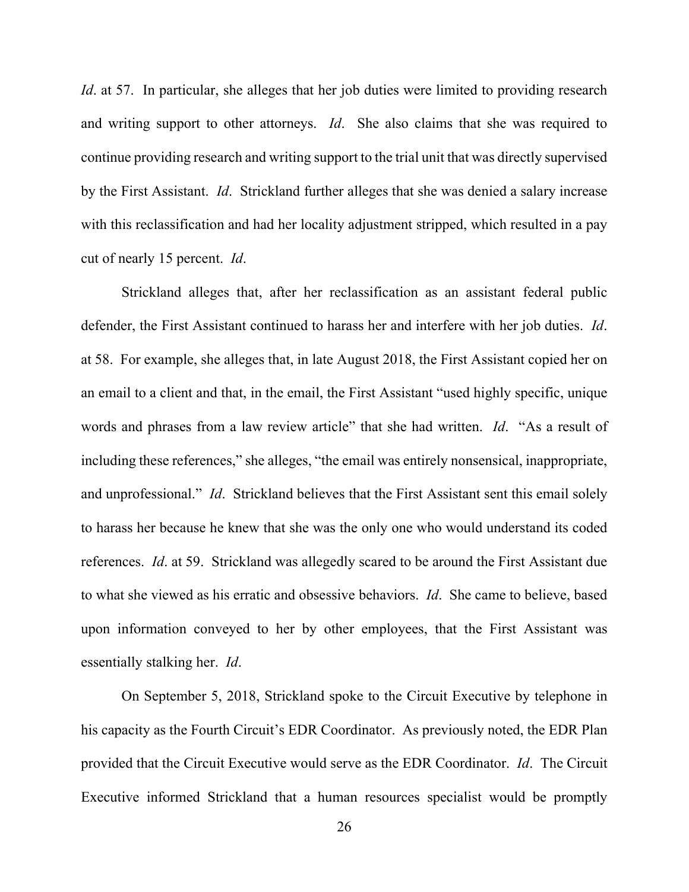*Id.* at 57. In particular, she alleges that her job duties were limited to providing research and writing support to other attorneys. *Id*. She also claims that she was required to continue providing research and writing support to the trial unit that was directly supervised by the First Assistant. *Id*. Strickland further alleges that she was denied a salary increase with this reclassification and had her locality adjustment stripped, which resulted in a pay cut of nearly 15 percent. *Id*.

Strickland alleges that, after her reclassification as an assistant federal public defender, the First Assistant continued to harass her and interfere with her job duties. *Id*. at 58. For example, she alleges that, in late August 2018, the First Assistant copied her on an email to a client and that, in the email, the First Assistant "used highly specific, unique words and phrases from a law review article" that she had written. *Id*. "As a result of including these references," she alleges, "the email was entirely nonsensical, inappropriate, and unprofessional." *Id*. Strickland believes that the First Assistant sent this email solely to harass her because he knew that she was the only one who would understand its coded references. *Id*. at 59. Strickland was allegedly scared to be around the First Assistant due to what she viewed as his erratic and obsessive behaviors. *Id*. She came to believe, based upon information conveyed to her by other employees, that the First Assistant was essentially stalking her. *Id*.

On September 5, 2018, Strickland spoke to the Circuit Executive by telephone in his capacity as the Fourth Circuit's EDR Coordinator. As previously noted, the EDR Plan provided that the Circuit Executive would serve as the EDR Coordinator. *Id*. The Circuit Executive informed Strickland that a human resources specialist would be promptly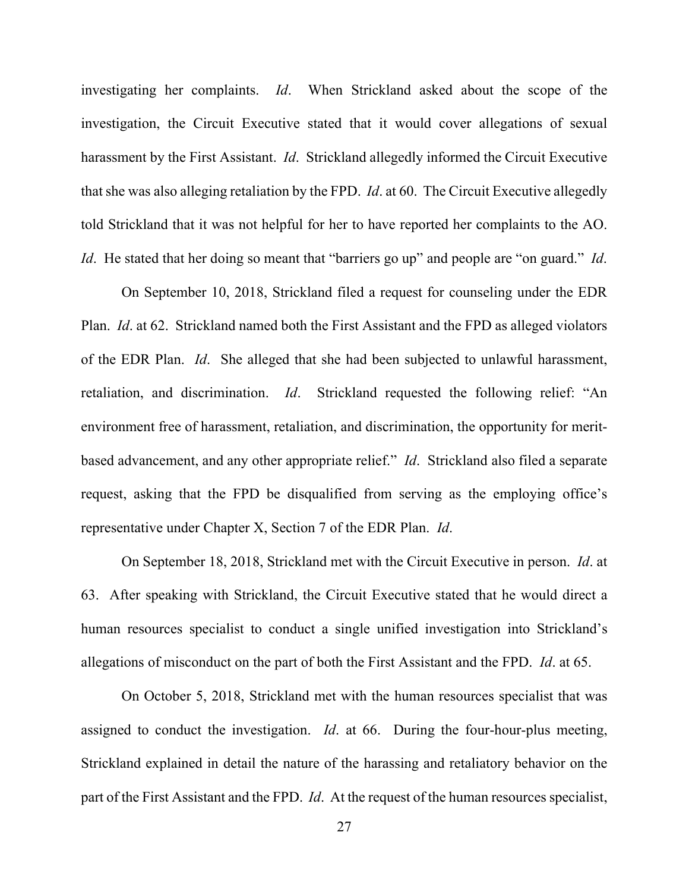investigating her complaints. *Id*. When Strickland asked about the scope of the investigation, the Circuit Executive stated that it would cover allegations of sexual harassment by the First Assistant. *Id*. Strickland allegedly informed the Circuit Executive that she was also alleging retaliation by the FPD. *Id*. at 60. The Circuit Executive allegedly told Strickland that it was not helpful for her to have reported her complaints to the AO. *Id*. He stated that her doing so meant that "barriers go up" and people are "on guard." *Id*.

On September 10, 2018, Strickland filed a request for counseling under the EDR Plan. *Id*. at 62. Strickland named both the First Assistant and the FPD as alleged violators of the EDR Plan. *Id*. She alleged that she had been subjected to unlawful harassment, retaliation, and discrimination. *Id*. Strickland requested the following relief: "An environment free of harassment, retaliation, and discrimination, the opportunity for meritbased advancement, and any other appropriate relief." *Id*. Strickland also filed a separate request, asking that the FPD be disqualified from serving as the employing office's representative under Chapter X, Section 7 of the EDR Plan. *Id*.

On September 18, 2018, Strickland met with the Circuit Executive in person. *Id*. at 63. After speaking with Strickland, the Circuit Executive stated that he would direct a human resources specialist to conduct a single unified investigation into Strickland's allegations of misconduct on the part of both the First Assistant and the FPD. *Id*. at 65.

On October 5, 2018, Strickland met with the human resources specialist that was assigned to conduct the investigation. *Id*. at 66. During the four-hour-plus meeting, Strickland explained in detail the nature of the harassing and retaliatory behavior on the part of the First Assistant and the FPD. *Id*. At the request of the human resources specialist,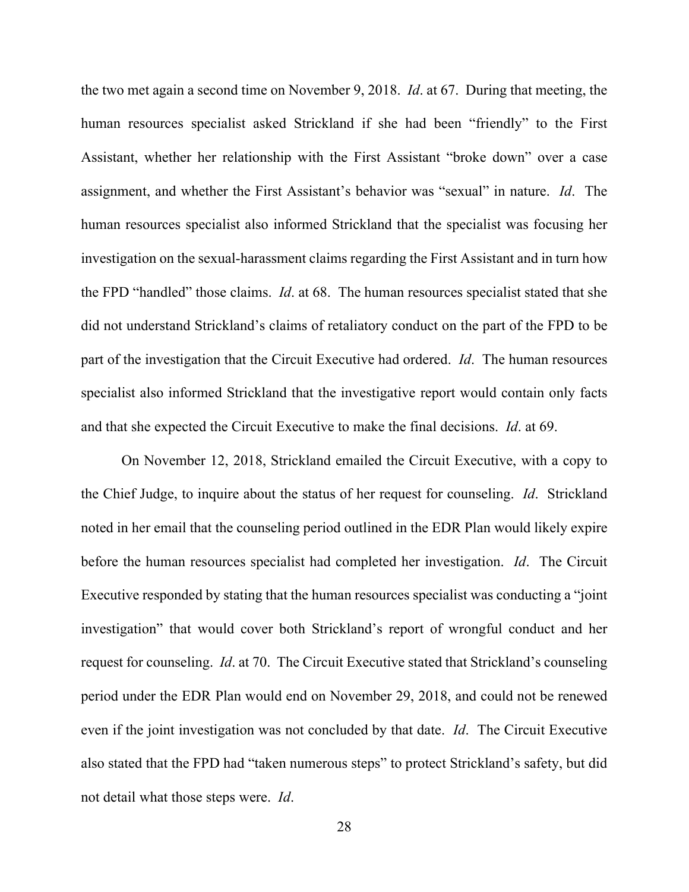the two met again a second time on November 9, 2018. *Id*. at 67. During that meeting, the human resources specialist asked Strickland if she had been "friendly" to the First Assistant, whether her relationship with the First Assistant "broke down" over a case assignment, and whether the First Assistant's behavior was "sexual" in nature. *Id*. The human resources specialist also informed Strickland that the specialist was focusing her investigation on the sexual-harassment claims regarding the First Assistant and in turn how the FPD "handled" those claims. *Id*. at 68. The human resources specialist stated that she did not understand Strickland's claims of retaliatory conduct on the part of the FPD to be part of the investigation that the Circuit Executive had ordered. *Id*. The human resources specialist also informed Strickland that the investigative report would contain only facts and that she expected the Circuit Executive to make the final decisions. *Id*. at 69.

On November 12, 2018, Strickland emailed the Circuit Executive, with a copy to the Chief Judge, to inquire about the status of her request for counseling. *Id*. Strickland noted in her email that the counseling period outlined in the EDR Plan would likely expire before the human resources specialist had completed her investigation. *Id*. The Circuit Executive responded by stating that the human resources specialist was conducting a "joint investigation" that would cover both Strickland's report of wrongful conduct and her request for counseling. *Id*. at 70. The Circuit Executive stated that Strickland's counseling period under the EDR Plan would end on November 29, 2018, and could not be renewed even if the joint investigation was not concluded by that date. *Id*. The Circuit Executive also stated that the FPD had "taken numerous steps" to protect Strickland's safety, but did not detail what those steps were. *Id*.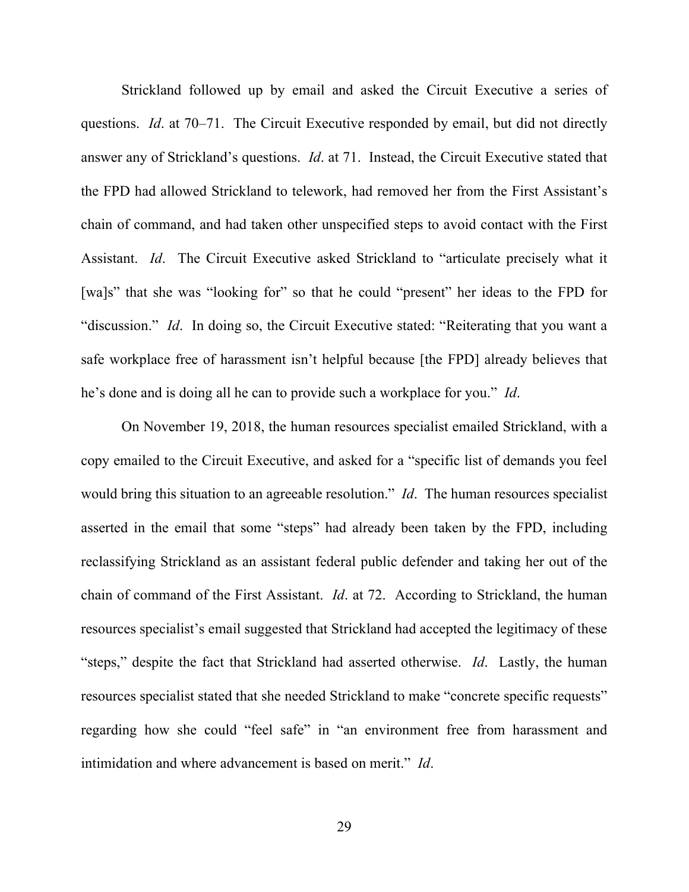Strickland followed up by email and asked the Circuit Executive a series of questions. *Id*. at 70–71. The Circuit Executive responded by email, but did not directly answer any of Strickland's questions. *Id*. at 71. Instead, the Circuit Executive stated that the FPD had allowed Strickland to telework, had removed her from the First Assistant's chain of command, and had taken other unspecified steps to avoid contact with the First Assistant. *Id*. The Circuit Executive asked Strickland to "articulate precisely what it [wa]s" that she was "looking for" so that he could "present" her ideas to the FPD for "discussion." *Id*. In doing so, the Circuit Executive stated: "Reiterating that you want a safe workplace free of harassment isn't helpful because [the FPD] already believes that he's done and is doing all he can to provide such a workplace for you." *Id*.

On November 19, 2018, the human resources specialist emailed Strickland, with a copy emailed to the Circuit Executive, and asked for a "specific list of demands you feel would bring this situation to an agreeable resolution." *Id*. The human resources specialist asserted in the email that some "steps" had already been taken by the FPD, including reclassifying Strickland as an assistant federal public defender and taking her out of the chain of command of the First Assistant. *Id*. at 72. According to Strickland, the human resources specialist's email suggested that Strickland had accepted the legitimacy of these "steps," despite the fact that Strickland had asserted otherwise. *Id*. Lastly, the human resources specialist stated that she needed Strickland to make "concrete specific requests" regarding how she could "feel safe" in "an environment free from harassment and intimidation and where advancement is based on merit." *Id*.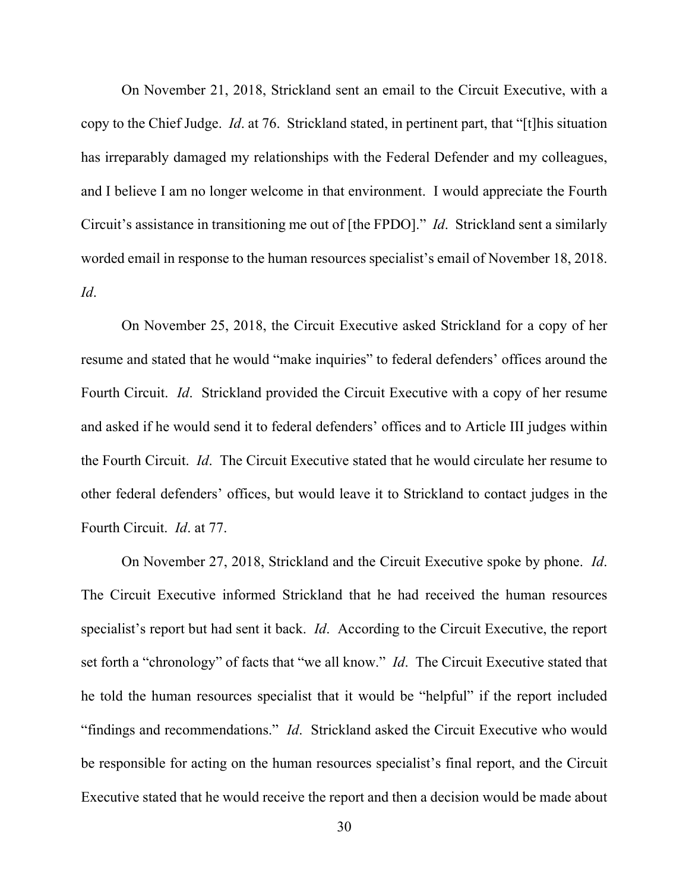On November 21, 2018, Strickland sent an email to the Circuit Executive, with a copy to the Chief Judge. *Id*. at 76. Strickland stated, in pertinent part, that "[t]his situation has irreparably damaged my relationships with the Federal Defender and my colleagues, and I believe I am no longer welcome in that environment. I would appreciate the Fourth Circuit's assistance in transitioning me out of [the FPDO]." *Id*. Strickland sent a similarly worded email in response to the human resources specialist's email of November 18, 2018. *Id*.

On November 25, 2018, the Circuit Executive asked Strickland for a copy of her resume and stated that he would "make inquiries" to federal defenders' offices around the Fourth Circuit. *Id*. Strickland provided the Circuit Executive with a copy of her resume and asked if he would send it to federal defenders' offices and to Article III judges within the Fourth Circuit. *Id*. The Circuit Executive stated that he would circulate her resume to other federal defenders' offices, but would leave it to Strickland to contact judges in the Fourth Circuit. *Id*. at 77.

On November 27, 2018, Strickland and the Circuit Executive spoke by phone. *Id*. The Circuit Executive informed Strickland that he had received the human resources specialist's report but had sent it back. *Id*. According to the Circuit Executive, the report set forth a "chronology" of facts that "we all know." *Id*. The Circuit Executive stated that he told the human resources specialist that it would be "helpful" if the report included "findings and recommendations." *Id*. Strickland asked the Circuit Executive who would be responsible for acting on the human resources specialist's final report, and the Circuit Executive stated that he would receive the report and then a decision would be made about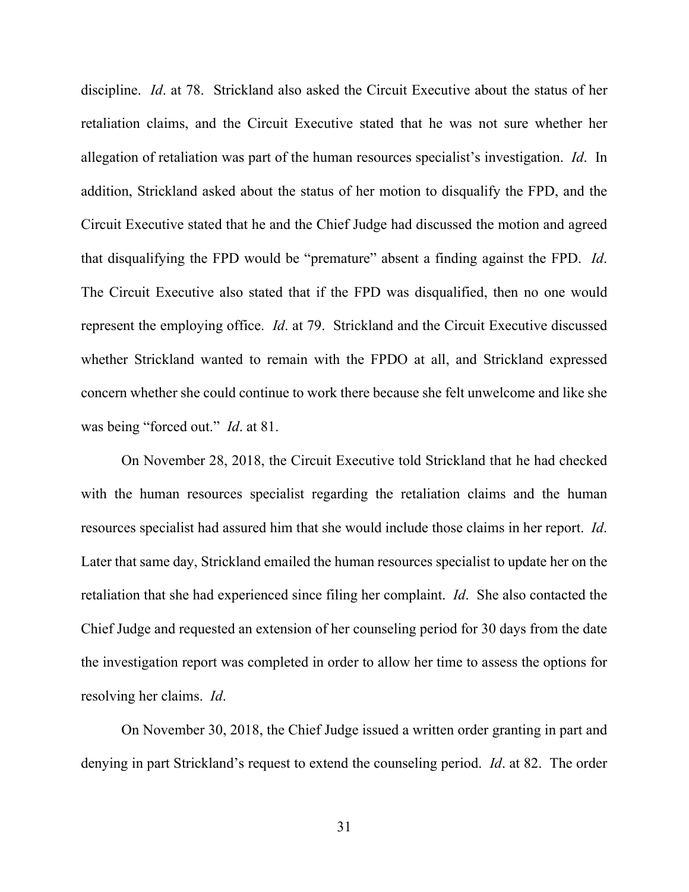discipline. *Id*. at 78. Strickland also asked the Circuit Executive about the status of her retaliation claims, and the Circuit Executive stated that he was not sure whether her allegation of retaliation was part of the human resources specialist's investigation. *Id*. In addition, Strickland asked about the status of her motion to disqualify the FPD, and the Circuit Executive stated that he and the Chief Judge had discussed the motion and agreed that disqualifying the FPD would be "premature" absent a finding against the FPD. *Id*. The Circuit Executive also stated that if the FPD was disqualified, then no one would represent the employing office. *Id*. at 79. Strickland and the Circuit Executive discussed whether Strickland wanted to remain with the FPDO at all, and Strickland expressed concern whether she could continue to work there because she felt unwelcome and like she was being "forced out." *Id*. at 81.

On November 28, 2018, the Circuit Executive told Strickland that he had checked with the human resources specialist regarding the retaliation claims and the human resources specialist had assured him that she would include those claims in her report. *Id*. Later that same day, Strickland emailed the human resources specialist to update her on the retaliation that she had experienced since filing her complaint. *Id*. She also contacted the Chief Judge and requested an extension of her counseling period for 30 days from the date the investigation report was completed in order to allow her time to assess the options for resolving her claims. *Id*.

On November 30, 2018, the Chief Judge issued a written order granting in part and denying in part Strickland's request to extend the counseling period. *Id*. at 82. The order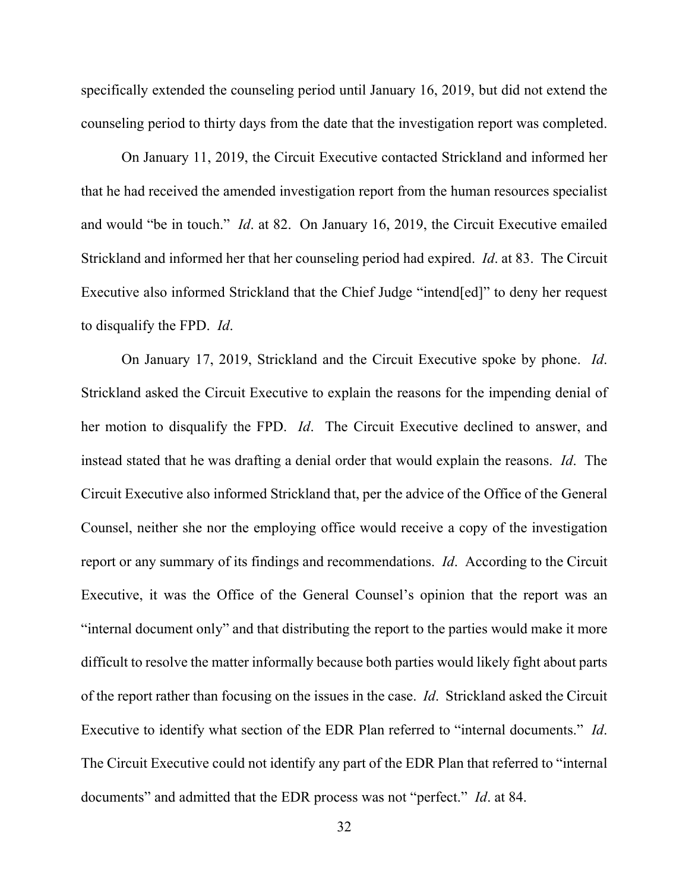specifically extended the counseling period until January 16, 2019, but did not extend the counseling period to thirty days from the date that the investigation report was completed.

On January 11, 2019, the Circuit Executive contacted Strickland and informed her that he had received the amended investigation report from the human resources specialist and would "be in touch." *Id*. at 82. On January 16, 2019, the Circuit Executive emailed Strickland and informed her that her counseling period had expired. *Id*. at 83. The Circuit Executive also informed Strickland that the Chief Judge "intend[ed]" to deny her request to disqualify the FPD. *Id*.

On January 17, 2019, Strickland and the Circuit Executive spoke by phone. *Id*. Strickland asked the Circuit Executive to explain the reasons for the impending denial of her motion to disqualify the FPD. *Id*. The Circuit Executive declined to answer, and instead stated that he was drafting a denial order that would explain the reasons. *Id*. The Circuit Executive also informed Strickland that, per the advice of the Office of the General Counsel, neither she nor the employing office would receive a copy of the investigation report or any summary of its findings and recommendations. *Id*. According to the Circuit Executive, it was the Office of the General Counsel's opinion that the report was an "internal document only" and that distributing the report to the parties would make it more difficult to resolve the matter informally because both parties would likely fight about parts of the report rather than focusing on the issues in the case. *Id*. Strickland asked the Circuit Executive to identify what section of the EDR Plan referred to "internal documents." *Id*. The Circuit Executive could not identify any part of the EDR Plan that referred to "internal documents" and admitted that the EDR process was not "perfect." *Id*. at 84.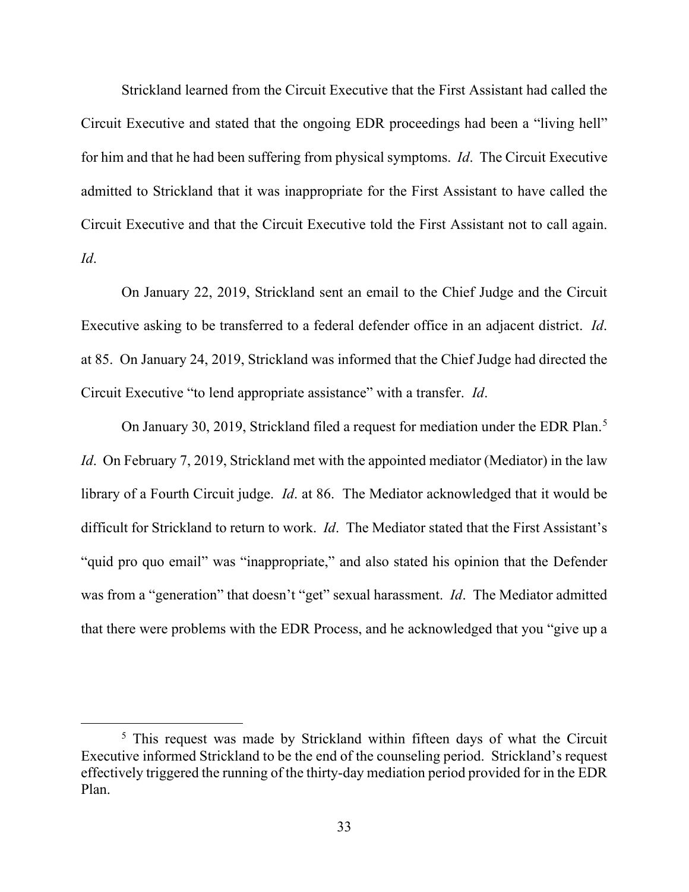Strickland learned from the Circuit Executive that the First Assistant had called the Circuit Executive and stated that the ongoing EDR proceedings had been a "living hell" for him and that he had been suffering from physical symptoms. *Id*. The Circuit Executive admitted to Strickland that it was inappropriate for the First Assistant to have called the Circuit Executive and that the Circuit Executive told the First Assistant not to call again. *Id*.

On January 22, 2019, Strickland sent an email to the Chief Judge and the Circuit Executive asking to be transferred to a federal defender office in an adjacent district. *Id*. at 85. On January 24, 2019, Strickland was informed that the Chief Judge had directed the Circuit Executive "to lend appropriate assistance" with a transfer. *Id*.

On January 30, 2019, Strickland filed a request for mediation under the EDR Plan.<sup>[5](#page-32-0)</sup> *Id.* On February 7, 2019, Strickland met with the appointed mediator (Mediator) in the law library of a Fourth Circuit judge. *Id*. at 86. The Mediator acknowledged that it would be difficult for Strickland to return to work. *Id*. The Mediator stated that the First Assistant's "quid pro quo email" was "inappropriate," and also stated his opinion that the Defender was from a "generation" that doesn't "get" sexual harassment. *Id*. The Mediator admitted that there were problems with the EDR Process, and he acknowledged that you "give up a

<span id="page-32-0"></span><sup>&</sup>lt;sup>5</sup> This request was made by Strickland within fifteen days of what the Circuit Executive informed Strickland to be the end of the counseling period. Strickland's request effectively triggered the running of the thirty-day mediation period provided for in the EDR Plan.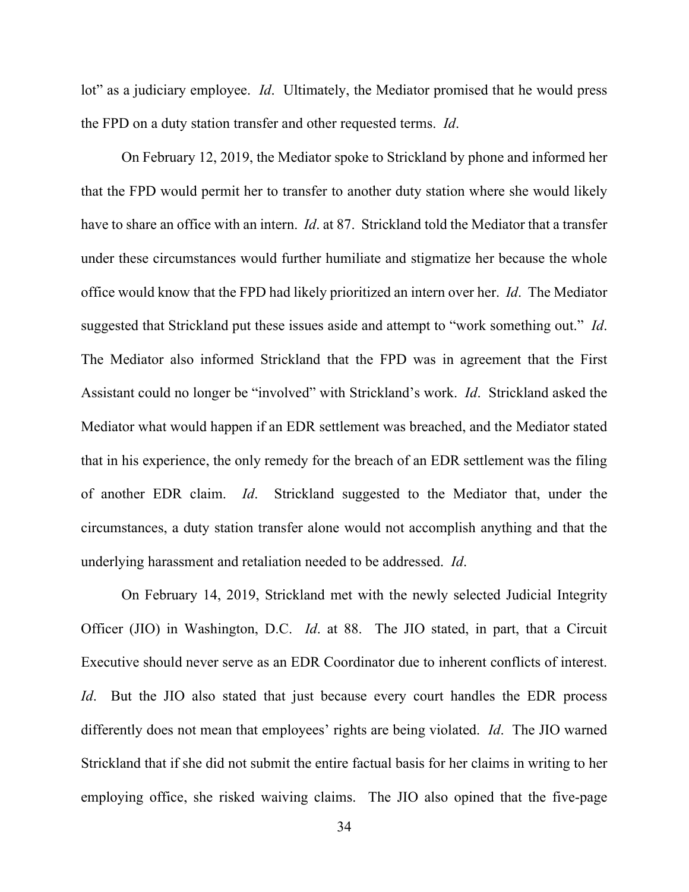lot" as a judiciary employee. *Id*. Ultimately, the Mediator promised that he would press the FPD on a duty station transfer and other requested terms. *Id*.

On February 12, 2019, the Mediator spoke to Strickland by phone and informed her that the FPD would permit her to transfer to another duty station where she would likely have to share an office with an intern. *Id*. at 87. Strickland told the Mediator that a transfer under these circumstances would further humiliate and stigmatize her because the whole office would know that the FPD had likely prioritized an intern over her. *Id*. The Mediator suggested that Strickland put these issues aside and attempt to "work something out." *Id*. The Mediator also informed Strickland that the FPD was in agreement that the First Assistant could no longer be "involved" with Strickland's work. *Id*. Strickland asked the Mediator what would happen if an EDR settlement was breached, and the Mediator stated that in his experience, the only remedy for the breach of an EDR settlement was the filing of another EDR claim. *Id*. Strickland suggested to the Mediator that, under the circumstances, a duty station transfer alone would not accomplish anything and that the underlying harassment and retaliation needed to be addressed. *Id*.

On February 14, 2019, Strickland met with the newly selected Judicial Integrity Officer (JIO) in Washington, D.C. *Id*. at 88. The JIO stated, in part, that a Circuit Executive should never serve as an EDR Coordinator due to inherent conflicts of interest. *Id*. But the JIO also stated that just because every court handles the EDR process differently does not mean that employees' rights are being violated. *Id*. The JIO warned Strickland that if she did not submit the entire factual basis for her claims in writing to her employing office, she risked waiving claims. The JIO also opined that the five-page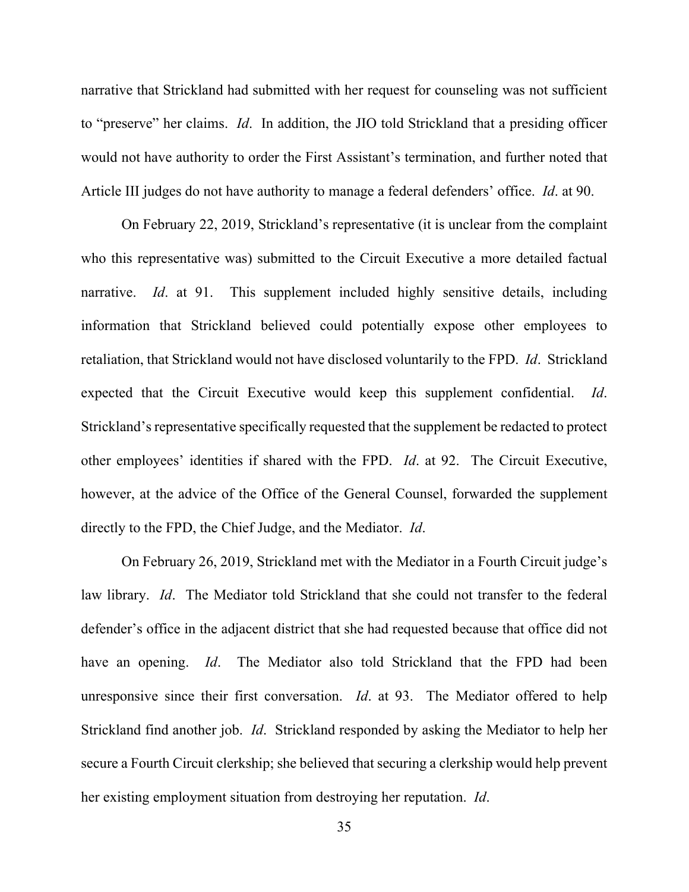narrative that Strickland had submitted with her request for counseling was not sufficient to "preserve" her claims. *Id*. In addition, the JIO told Strickland that a presiding officer would not have authority to order the First Assistant's termination, and further noted that Article III judges do not have authority to manage a federal defenders' office. *Id*. at 90.

On February 22, 2019, Strickland's representative (it is unclear from the complaint who this representative was) submitted to the Circuit Executive a more detailed factual narrative. *Id*. at 91. This supplement included highly sensitive details, including information that Strickland believed could potentially expose other employees to retaliation, that Strickland would not have disclosed voluntarily to the FPD. *Id*. Strickland expected that the Circuit Executive would keep this supplement confidential. *Id*. Strickland's representative specifically requested that the supplement be redacted to protect other employees' identities if shared with the FPD. *Id*. at 92. The Circuit Executive, however, at the advice of the Office of the General Counsel, forwarded the supplement directly to the FPD, the Chief Judge, and the Mediator. *Id*.

On February 26, 2019, Strickland met with the Mediator in a Fourth Circuit judge's law library. *Id*. The Mediator told Strickland that she could not transfer to the federal defender's office in the adjacent district that she had requested because that office did not have an opening. *Id*. The Mediator also told Strickland that the FPD had been unresponsive since their first conversation. *Id*. at 93. The Mediator offered to help Strickland find another job. *Id*. Strickland responded by asking the Mediator to help her secure a Fourth Circuit clerkship; she believed that securing a clerkship would help prevent her existing employment situation from destroying her reputation. *Id*.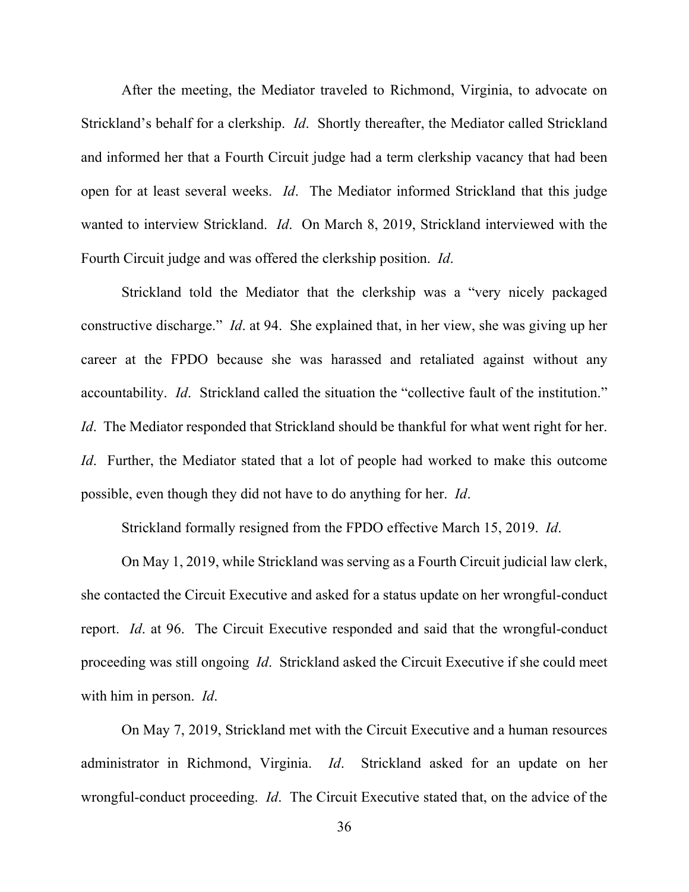After the meeting, the Mediator traveled to Richmond, Virginia, to advocate on Strickland's behalf for a clerkship. *Id*. Shortly thereafter, the Mediator called Strickland and informed her that a Fourth Circuit judge had a term clerkship vacancy that had been open for at least several weeks. *Id*. The Mediator informed Strickland that this judge wanted to interview Strickland. *Id*. On March 8, 2019, Strickland interviewed with the Fourth Circuit judge and was offered the clerkship position. *Id*.

Strickland told the Mediator that the clerkship was a "very nicely packaged constructive discharge." *Id*. at 94. She explained that, in her view, she was giving up her career at the FPDO because she was harassed and retaliated against without any accountability. *Id*. Strickland called the situation the "collective fault of the institution." *Id*. The Mediator responded that Strickland should be thankful for what went right for her. *Id*. Further, the Mediator stated that a lot of people had worked to make this outcome possible, even though they did not have to do anything for her. *Id*.

Strickland formally resigned from the FPDO effective March 15, 2019. *Id*.

On May 1, 2019, while Strickland was serving as a Fourth Circuit judicial law clerk, she contacted the Circuit Executive and asked for a status update on her wrongful-conduct report. *Id*. at 96. The Circuit Executive responded and said that the wrongful-conduct proceeding was still ongoing *Id*. Strickland asked the Circuit Executive if she could meet with him in person. *Id*.

On May 7, 2019, Strickland met with the Circuit Executive and a human resources administrator in Richmond, Virginia. *Id*. Strickland asked for an update on her wrongful-conduct proceeding. *Id*. The Circuit Executive stated that, on the advice of the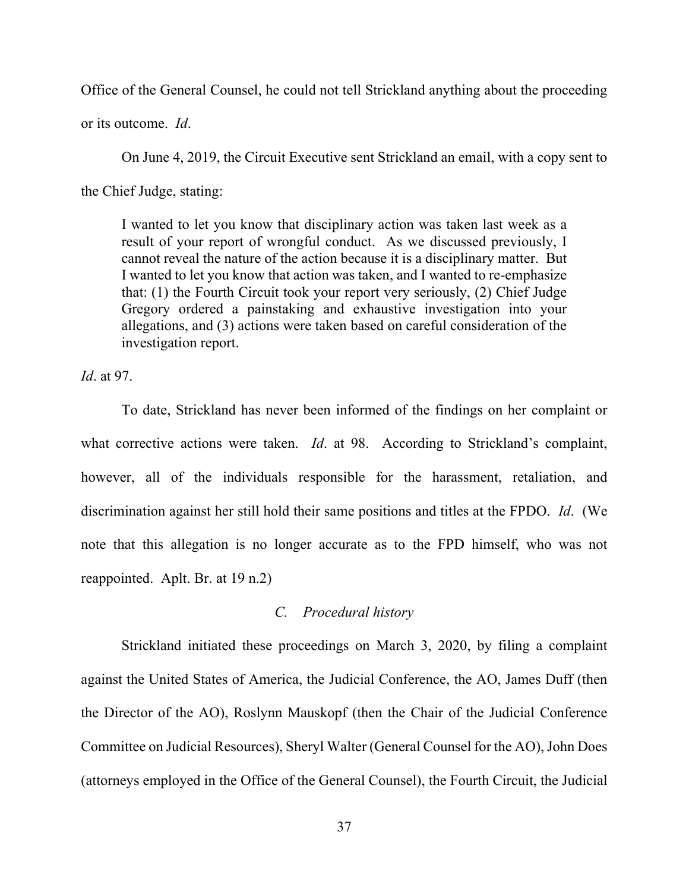Office of the General Counsel, he could not tell Strickland anything about the proceeding

or its outcome. *Id*.

On June 4, 2019, the Circuit Executive sent Strickland an email, with a copy sent to

the Chief Judge, stating:

I wanted to let you know that disciplinary action was taken last week as a result of your report of wrongful conduct. As we discussed previously, I cannot reveal the nature of the action because it is a disciplinary matter. But I wanted to let you know that action was taken, and I wanted to re-emphasize that: (1) the Fourth Circuit took your report very seriously, (2) Chief Judge Gregory ordered a painstaking and exhaustive investigation into your allegations, and (3) actions were taken based on careful consideration of the investigation report.

*Id*. at 97.

To date, Strickland has never been informed of the findings on her complaint or what corrective actions were taken. *Id*. at 98. According to Strickland's complaint, however, all of the individuals responsible for the harassment, retaliation, and discrimination against her still hold their same positions and titles at the FPDO. *Id*. (We note that this allegation is no longer accurate as to the FPD himself, who was not reappointed. Aplt. Br. at 19 n.2)

### *C. Procedural history*

Strickland initiated these proceedings on March 3, 2020, by filing a complaint against the United States of America, the Judicial Conference, the AO, James Duff (then the Director of the AO), Roslynn Mauskopf (then the Chair of the Judicial Conference Committee on Judicial Resources), Sheryl Walter (General Counsel for the AO), John Does (attorneys employed in the Office of the General Counsel), the Fourth Circuit, the Judicial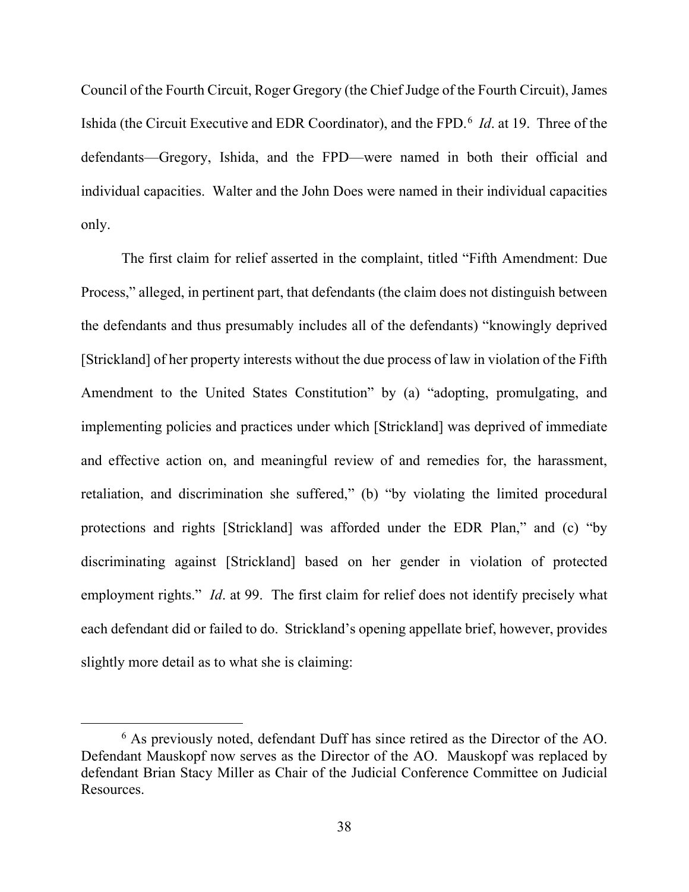Council of the Fourth Circuit, Roger Gregory (the Chief Judge of the Fourth Circuit), James Ishida (the Circuit Executive and EDR Coordinator), and the FPD.<sup>[6](#page-37-0)</sup> *Id.* at 19. Three of the defendants—Gregory, Ishida, and the FPD—were named in both their official and individual capacities. Walter and the John Does were named in their individual capacities only.

The first claim for relief asserted in the complaint, titled "Fifth Amendment: Due Process," alleged, in pertinent part, that defendants (the claim does not distinguish between the defendants and thus presumably includes all of the defendants) "knowingly deprived [Strickland] of her property interests without the due process of law in violation of the Fifth Amendment to the United States Constitution" by (a) "adopting, promulgating, and implementing policies and practices under which [Strickland] was deprived of immediate and effective action on, and meaningful review of and remedies for, the harassment, retaliation, and discrimination she suffered," (b) "by violating the limited procedural protections and rights [Strickland] was afforded under the EDR Plan," and (c) "by discriminating against [Strickland] based on her gender in violation of protected employment rights." *Id.* at 99. The first claim for relief does not identify precisely what each defendant did or failed to do. Strickland's opening appellate brief, however, provides slightly more detail as to what she is claiming:

<span id="page-37-0"></span><sup>6</sup> As previously noted, defendant Duff has since retired as the Director of the AO. Defendant Mauskopf now serves as the Director of the AO. Mauskopf was replaced by defendant Brian Stacy Miller as Chair of the Judicial Conference Committee on Judicial Resources.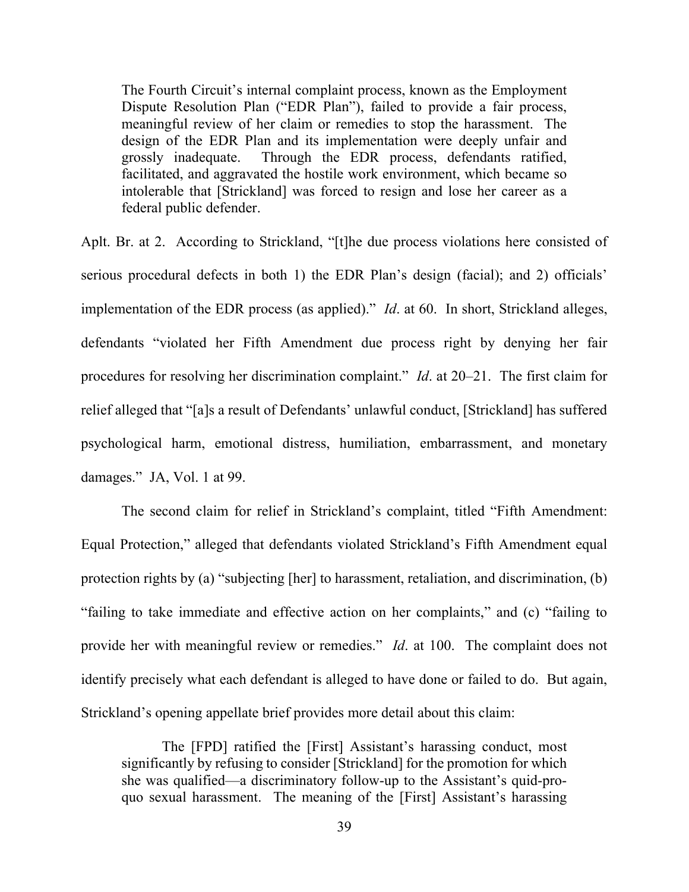The Fourth Circuit's internal complaint process, known as the Employment Dispute Resolution Plan ("EDR Plan"), failed to provide a fair process, meaningful review of her claim or remedies to stop the harassment. The design of the EDR Plan and its implementation were deeply unfair and grossly inadequate. Through the EDR process, defendants ratified, facilitated, and aggravated the hostile work environment, which became so intolerable that [Strickland] was forced to resign and lose her career as a federal public defender.

Aplt. Br. at 2. According to Strickland, "[t]he due process violations here consisted of serious procedural defects in both 1) the EDR Plan's design (facial); and 2) officials' implementation of the EDR process (as applied)." *Id*. at 60. In short, Strickland alleges, defendants "violated her Fifth Amendment due process right by denying her fair procedures for resolving her discrimination complaint." *Id*. at 20–21. The first claim for relief alleged that "[a]s a result of Defendants' unlawful conduct, [Strickland] has suffered psychological harm, emotional distress, humiliation, embarrassment, and monetary damages." JA, Vol. 1 at 99.

The second claim for relief in Strickland's complaint, titled "Fifth Amendment: Equal Protection," alleged that defendants violated Strickland's Fifth Amendment equal protection rights by (a) "subjecting [her] to harassment, retaliation, and discrimination, (b) "failing to take immediate and effective action on her complaints," and (c) "failing to provide her with meaningful review or remedies." *Id*. at 100. The complaint does not identify precisely what each defendant is alleged to have done or failed to do. But again, Strickland's opening appellate brief provides more detail about this claim:

The [FPD] ratified the [First] Assistant's harassing conduct, most significantly by refusing to consider [Strickland] for the promotion for which she was qualified—a discriminatory follow-up to the Assistant's quid-proquo sexual harassment. The meaning of the [First] Assistant's harassing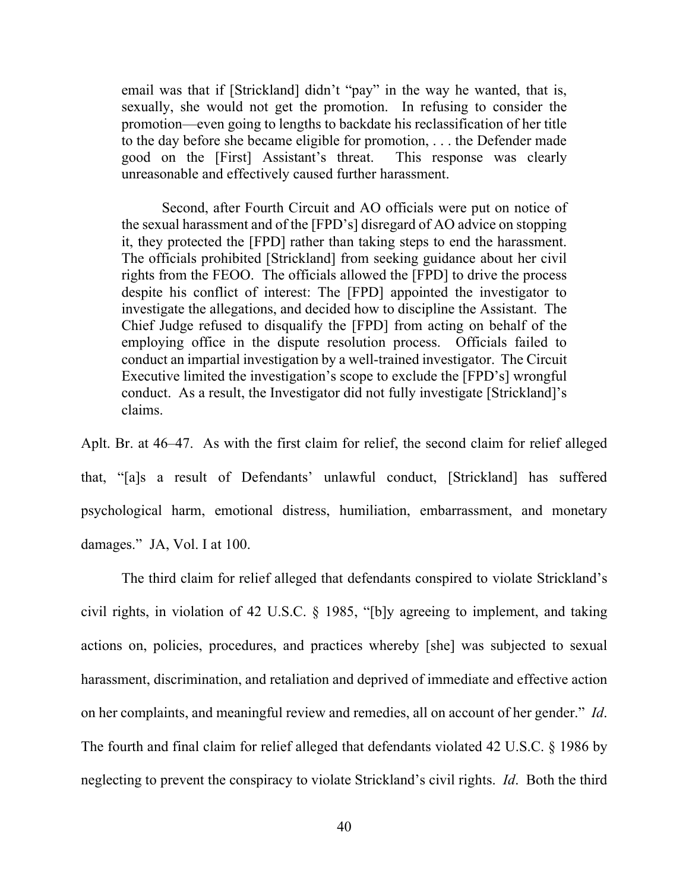email was that if [Strickland] didn't "pay" in the way he wanted, that is, sexually, she would not get the promotion. In refusing to consider the promotion—even going to lengths to backdate his reclassification of her title to the day before she became eligible for promotion, . . . the Defender made good on the [First] Assistant's threat. This response was clearly unreasonable and effectively caused further harassment.

Second, after Fourth Circuit and AO officials were put on notice of the sexual harassment and of the [FPD's] disregard of AO advice on stopping it, they protected the [FPD] rather than taking steps to end the harassment. The officials prohibited [Strickland] from seeking guidance about her civil rights from the FEOO. The officials allowed the [FPD] to drive the process despite his conflict of interest: The [FPD] appointed the investigator to investigate the allegations, and decided how to discipline the Assistant. The Chief Judge refused to disqualify the [FPD] from acting on behalf of the employing office in the dispute resolution process. Officials failed to conduct an impartial investigation by a well-trained investigator. The Circuit Executive limited the investigation's scope to exclude the [FPD's] wrongful conduct. As a result, the Investigator did not fully investigate [Strickland]'s claims.

Aplt. Br. at 46–47. As with the first claim for relief, the second claim for relief alleged that, "[a]s a result of Defendants' unlawful conduct, [Strickland] has suffered psychological harm, emotional distress, humiliation, embarrassment, and monetary damages." JA, Vol. I at 100.

The third claim for relief alleged that defendants conspired to violate Strickland's civil rights, in violation of 42 U.S.C. § 1985, "[b]y agreeing to implement, and taking actions on, policies, procedures, and practices whereby [she] was subjected to sexual harassment, discrimination, and retaliation and deprived of immediate and effective action on her complaints, and meaningful review and remedies, all on account of her gender." *Id*. The fourth and final claim for relief alleged that defendants violated 42 U.S.C. § 1986 by neglecting to prevent the conspiracy to violate Strickland's civil rights. *Id*. Both the third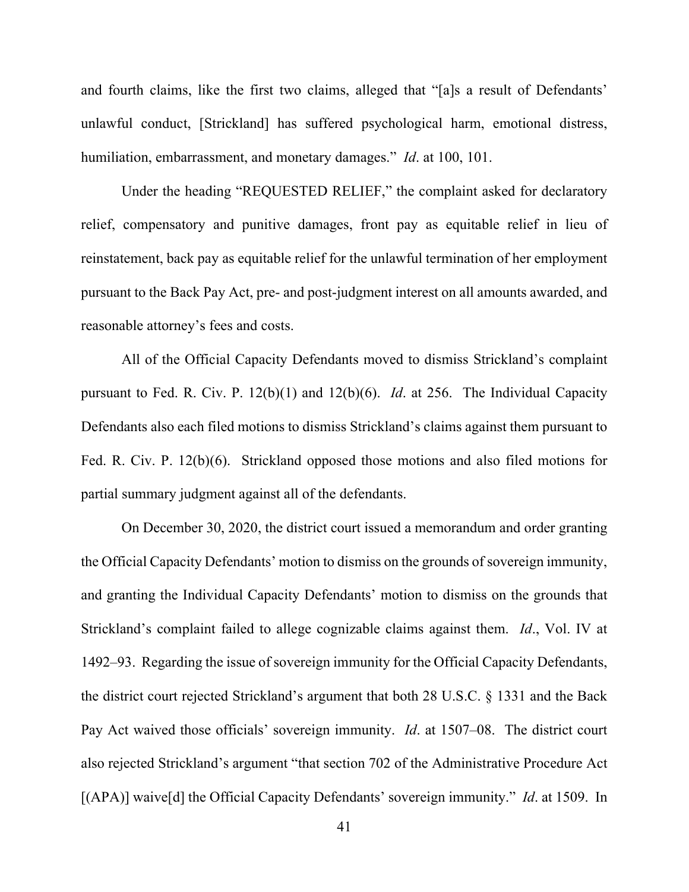and fourth claims, like the first two claims, alleged that "[a]s a result of Defendants' unlawful conduct, [Strickland] has suffered psychological harm, emotional distress, humiliation, embarrassment, and monetary damages." *Id*. at 100, 101.

Under the heading "REQUESTED RELIEF," the complaint asked for declaratory relief, compensatory and punitive damages, front pay as equitable relief in lieu of reinstatement, back pay as equitable relief for the unlawful termination of her employment pursuant to the Back Pay Act, pre- and post-judgment interest on all amounts awarded, and reasonable attorney's fees and costs.

All of the Official Capacity Defendants moved to dismiss Strickland's complaint pursuant to Fed. R. Civ. P. 12(b)(1) and 12(b)(6). *Id*. at 256. The Individual Capacity Defendants also each filed motions to dismiss Strickland's claims against them pursuant to Fed. R. Civ. P. 12(b)(6). Strickland opposed those motions and also filed motions for partial summary judgment against all of the defendants.

On December 30, 2020, the district court issued a memorandum and order granting the Official Capacity Defendants' motion to dismiss on the grounds of sovereign immunity, and granting the Individual Capacity Defendants' motion to dismiss on the grounds that Strickland's complaint failed to allege cognizable claims against them. *Id*., Vol. IV at 1492–93. Regarding the issue of sovereign immunity for the Official Capacity Defendants, the district court rejected Strickland's argument that both 28 U.S.C. § 1331 and the Back Pay Act waived those officials' sovereign immunity. *Id*. at 1507–08. The district court also rejected Strickland's argument "that section 702 of the Administrative Procedure Act [(APA)] waive[d] the Official Capacity Defendants' sovereign immunity." *Id*. at 1509. In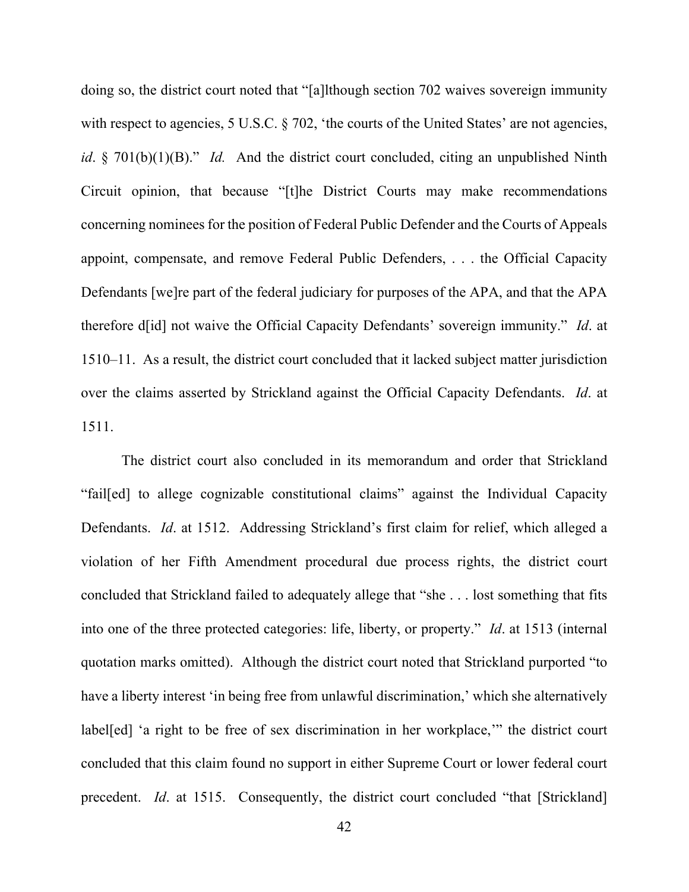doing so, the district court noted that "[a]lthough section 702 waives sovereign immunity with respect to agencies, 5 U.S.C. § 702, 'the courts of the United States' are not agencies, *id*. § 701(b)(1)(B)." *Id.* And the district court concluded, citing an unpublished Ninth Circuit opinion, that because "[t]he District Courts may make recommendations concerning nominees for the position of Federal Public Defender and the Courts of Appeals appoint, compensate, and remove Federal Public Defenders, . . . the Official Capacity Defendants [we]re part of the federal judiciary for purposes of the APA, and that the APA therefore d[id] not waive the Official Capacity Defendants' sovereign immunity." *Id*. at 1510–11. As a result, the district court concluded that it lacked subject matter jurisdiction over the claims asserted by Strickland against the Official Capacity Defendants. *Id*. at 1511.

The district court also concluded in its memorandum and order that Strickland "fail[ed] to allege cognizable constitutional claims" against the Individual Capacity Defendants. *Id*. at 1512. Addressing Strickland's first claim for relief, which alleged a violation of her Fifth Amendment procedural due process rights, the district court concluded that Strickland failed to adequately allege that "she . . . lost something that fits into one of the three protected categories: life, liberty, or property." *Id*. at 1513 (internal quotation marks omitted). Although the district court noted that Strickland purported "to have a liberty interest 'in being free from unlawful discrimination,' which she alternatively label[ed] 'a right to be free of sex discrimination in her workplace,'" the district court concluded that this claim found no support in either Supreme Court or lower federal court precedent. *Id*. at 1515. Consequently, the district court concluded "that [Strickland]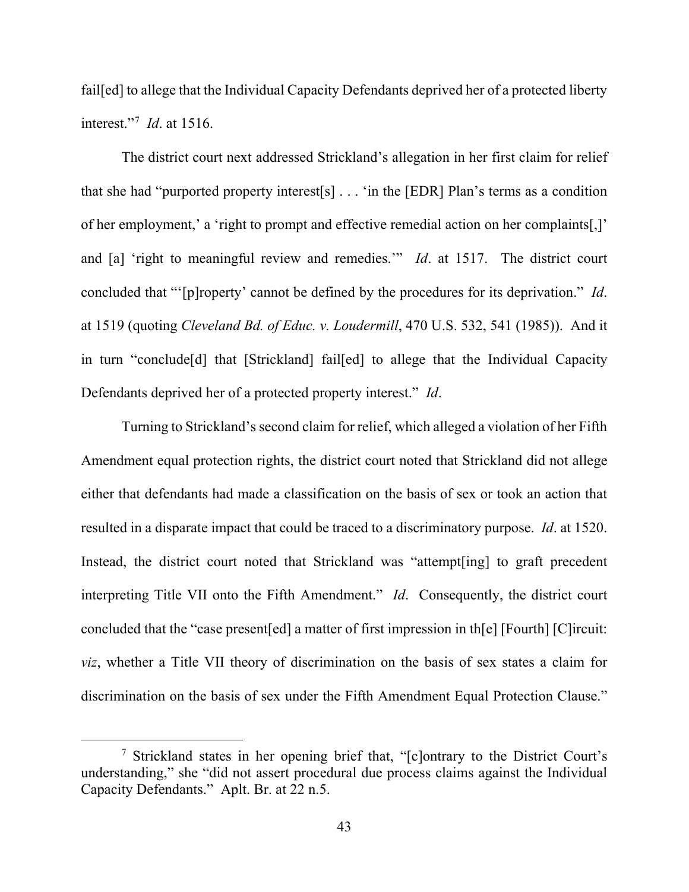fail<sup>[ed]</sup> to allege that the Individual Capacity Defendants deprived her of a protected liberty interest."[7](#page-42-0) *Id*. at 1516.

The district court next addressed Strickland's allegation in her first claim for relief that she had "purported property interest[s] . . . 'in the [EDR] Plan's terms as a condition of her employment,' a 'right to prompt and effective remedial action on her complaints[,]' and [a] 'right to meaningful review and remedies.'" *Id*. at 1517. The district court concluded that "'[p]roperty' cannot be defined by the procedures for its deprivation." *Id*. at 1519 (quoting *Cleveland Bd. of Educ. v. Loudermill*, 470 U.S. 532, 541 (1985)). And it in turn "conclude[d] that [Strickland] fail[ed] to allege that the Individual Capacity Defendants deprived her of a protected property interest." *Id*.

Turning to Strickland's second claim for relief, which alleged a violation of her Fifth Amendment equal protection rights, the district court noted that Strickland did not allege either that defendants had made a classification on the basis of sex or took an action that resulted in a disparate impact that could be traced to a discriminatory purpose. *Id*. at 1520. Instead, the district court noted that Strickland was "attempt[ing] to graft precedent interpreting Title VII onto the Fifth Amendment." *Id*. Consequently, the district court concluded that the "case present[ed] a matter of first impression in th[e] [Fourth] [C]ircuit: *viz*, whether a Title VII theory of discrimination on the basis of sex states a claim for discrimination on the basis of sex under the Fifth Amendment Equal Protection Clause."

<span id="page-42-0"></span><sup>7</sup> Strickland states in her opening brief that, "[c]ontrary to the District Court's understanding," she "did not assert procedural due process claims against the Individual Capacity Defendants." Aplt. Br. at 22 n.5.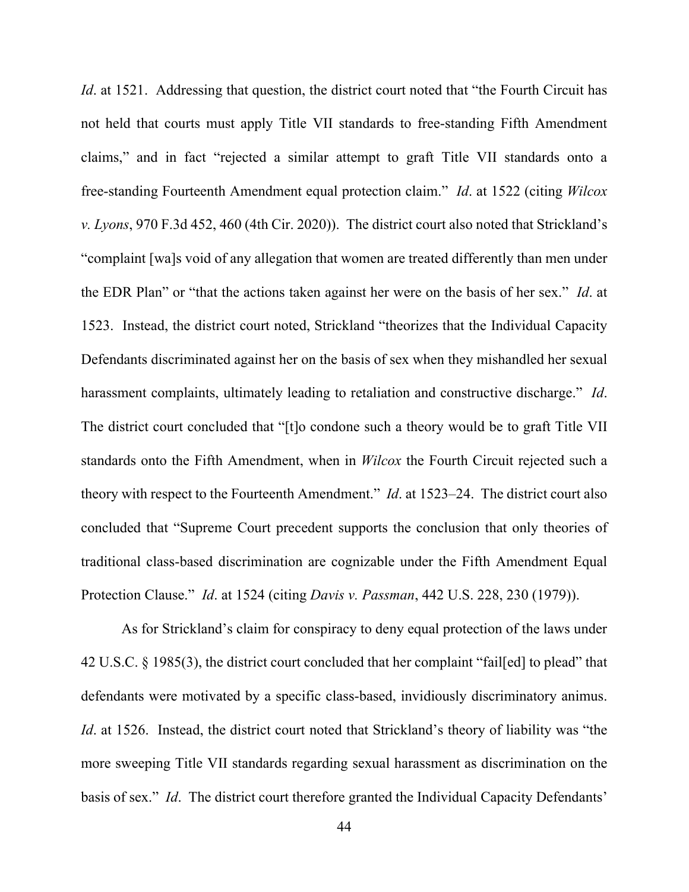*Id.* at 1521. Addressing that question, the district court noted that "the Fourth Circuit has not held that courts must apply Title VII standards to free-standing Fifth Amendment claims," and in fact "rejected a similar attempt to graft Title VII standards onto a free-standing Fourteenth Amendment equal protection claim." *Id*. at 1522 (citing *Wilcox v. Lyons*, 970 F.3d 452, 460 (4th Cir. 2020)). The district court also noted that Strickland's "complaint [wa]s void of any allegation that women are treated differently than men under the EDR Plan" or "that the actions taken against her were on the basis of her sex." *Id*. at 1523. Instead, the district court noted, Strickland "theorizes that the Individual Capacity Defendants discriminated against her on the basis of sex when they mishandled her sexual harassment complaints, ultimately leading to retaliation and constructive discharge." *Id*. The district court concluded that "[t]o condone such a theory would be to graft Title VII standards onto the Fifth Amendment, when in *Wilcox* the Fourth Circuit rejected such a theory with respect to the Fourteenth Amendment." *Id*. at 1523–24. The district court also concluded that "Supreme Court precedent supports the conclusion that only theories of traditional class-based discrimination are cognizable under the Fifth Amendment Equal Protection Clause." *Id*. at 1524 (citing *Davis v. Passman*, 442 U.S. 228, 230 (1979)).

As for Strickland's claim for conspiracy to deny equal protection of the laws under 42 U.S.C. § 1985(3), the district court concluded that her complaint "fail[ed] to plead" that defendants were motivated by a specific class-based, invidiously discriminatory animus. *Id.* at 1526. Instead, the district court noted that Strickland's theory of liability was "the more sweeping Title VII standards regarding sexual harassment as discrimination on the basis of sex." *Id*. The district court therefore granted the Individual Capacity Defendants'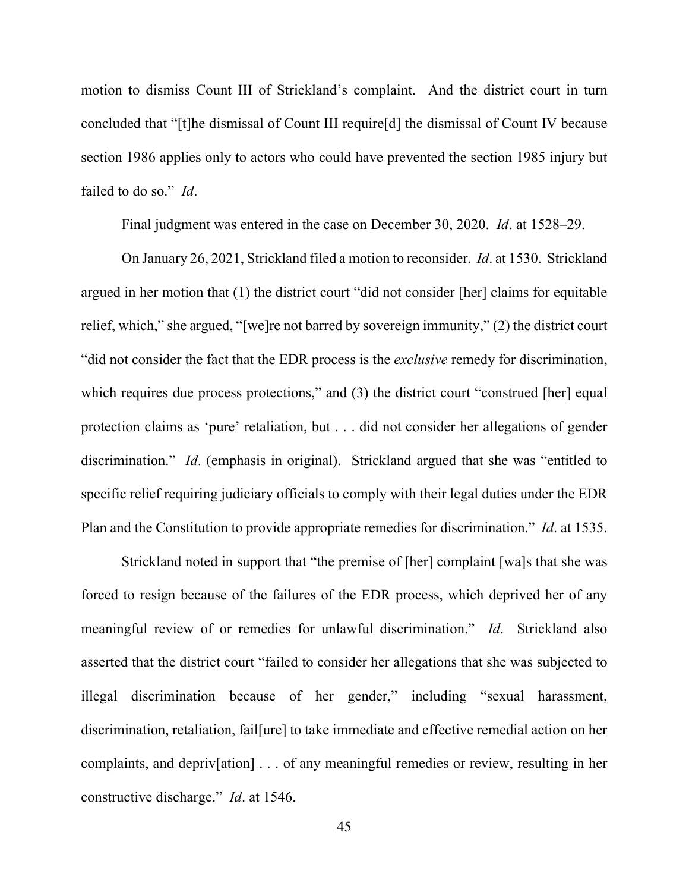motion to dismiss Count III of Strickland's complaint. And the district court in turn concluded that "[t]he dismissal of Count III require[d] the dismissal of Count IV because section 1986 applies only to actors who could have prevented the section 1985 injury but failed to do so." *Id*.

Final judgment was entered in the case on December 30, 2020. *Id*. at 1528–29.

On January 26, 2021, Strickland filed a motion to reconsider. *Id*. at 1530. Strickland argued in her motion that (1) the district court "did not consider [her] claims for equitable relief, which," she argued, "[we]re not barred by sovereign immunity," (2) the district court "did not consider the fact that the EDR process is the *exclusive* remedy for discrimination, which requires due process protections," and (3) the district court "construed [her] equal protection claims as 'pure' retaliation, but . . . did not consider her allegations of gender discrimination." *Id*. (emphasis in original). Strickland argued that she was "entitled to specific relief requiring judiciary officials to comply with their legal duties under the EDR Plan and the Constitution to provide appropriate remedies for discrimination." *Id*. at 1535.

Strickland noted in support that "the premise of [her] complaint [wa]s that she was forced to resign because of the failures of the EDR process, which deprived her of any meaningful review of or remedies for unlawful discrimination." *Id*. Strickland also asserted that the district court "failed to consider her allegations that she was subjected to illegal discrimination because of her gender," including "sexual harassment, discrimination, retaliation, fail[ure] to take immediate and effective remedial action on her complaints, and depriv[ation] . . . of any meaningful remedies or review, resulting in her constructive discharge." *Id*. at 1546.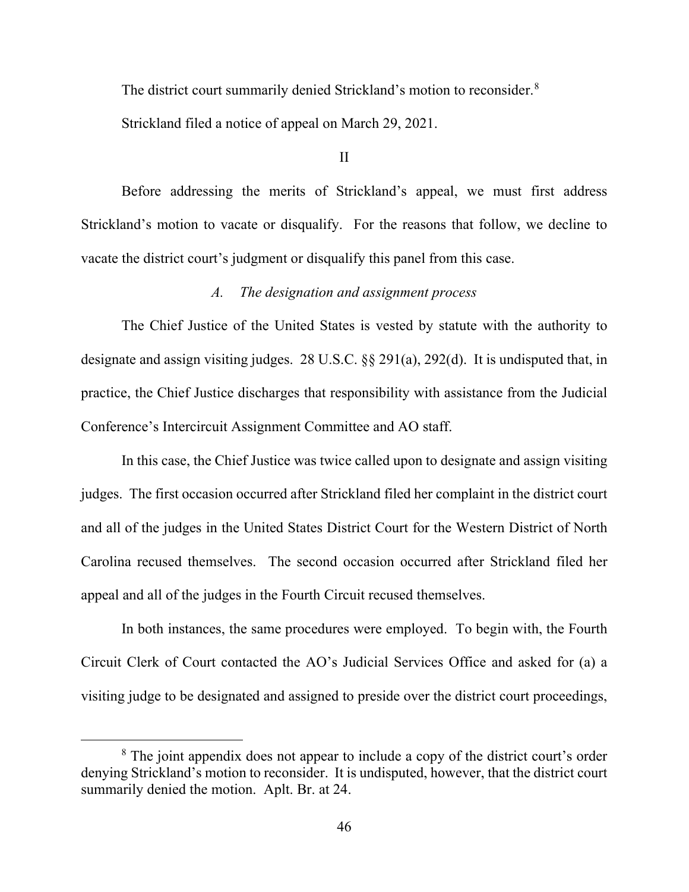The district court summarily denied Strickland's motion to reconsider.<sup>[8](#page-45-0)</sup>

Strickland filed a notice of appeal on March 29, 2021.

II

Before addressing the merits of Strickland's appeal, we must first address Strickland's motion to vacate or disqualify. For the reasons that follow, we decline to vacate the district court's judgment or disqualify this panel from this case.

## *A. The designation and assignment process*

The Chief Justice of the United States is vested by statute with the authority to designate and assign visiting judges. 28 U.S.C. §§ 291(a), 292(d). It is undisputed that, in practice, the Chief Justice discharges that responsibility with assistance from the Judicial Conference's Intercircuit Assignment Committee and AO staff.

In this case, the Chief Justice was twice called upon to designate and assign visiting judges. The first occasion occurred after Strickland filed her complaint in the district court and all of the judges in the United States District Court for the Western District of North Carolina recused themselves. The second occasion occurred after Strickland filed her appeal and all of the judges in the Fourth Circuit recused themselves.

In both instances, the same procedures were employed. To begin with, the Fourth Circuit Clerk of Court contacted the AO's Judicial Services Office and asked for (a) a visiting judge to be designated and assigned to preside over the district court proceedings,

<span id="page-45-0"></span><sup>&</sup>lt;sup>8</sup> The joint appendix does not appear to include a copy of the district court's order denying Strickland's motion to reconsider. It is undisputed, however, that the district court summarily denied the motion. Aplt. Br. at 24.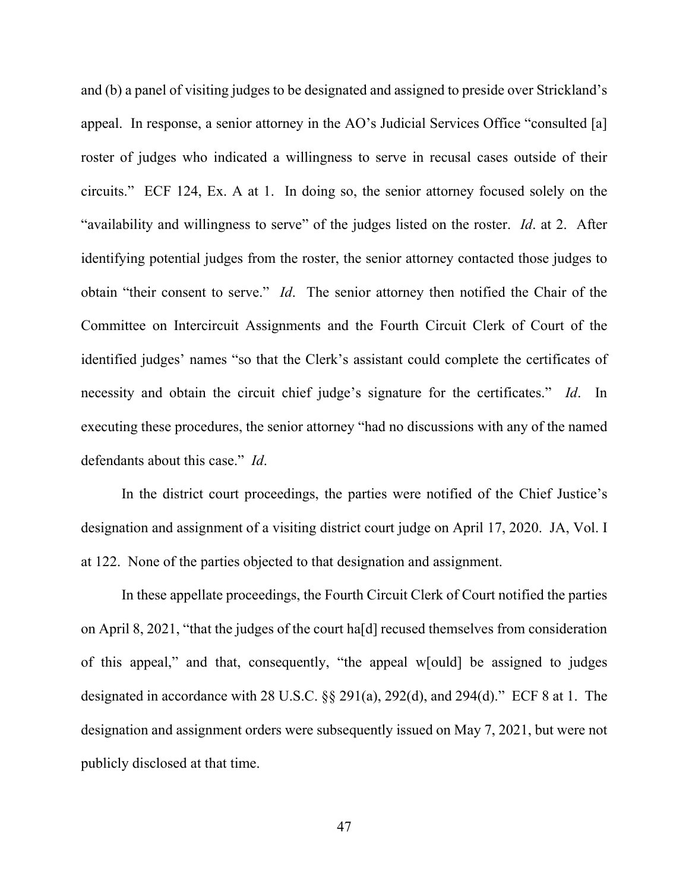and (b) a panel of visiting judges to be designated and assigned to preside over Strickland's appeal. In response, a senior attorney in the AO's Judicial Services Office "consulted [a] roster of judges who indicated a willingness to serve in recusal cases outside of their circuits." ECF 124, Ex. A at 1. In doing so, the senior attorney focused solely on the "availability and willingness to serve" of the judges listed on the roster. *Id*. at 2. After identifying potential judges from the roster, the senior attorney contacted those judges to obtain "their consent to serve." *Id*. The senior attorney then notified the Chair of the Committee on Intercircuit Assignments and the Fourth Circuit Clerk of Court of the identified judges' names "so that the Clerk's assistant could complete the certificates of necessity and obtain the circuit chief judge's signature for the certificates." *Id*. In executing these procedures, the senior attorney "had no discussions with any of the named defendants about this case." *Id*.

In the district court proceedings, the parties were notified of the Chief Justice's designation and assignment of a visiting district court judge on April 17, 2020. JA, Vol. I at 122. None of the parties objected to that designation and assignment.

In these appellate proceedings, the Fourth Circuit Clerk of Court notified the parties on April 8, 2021, "that the judges of the court ha[d] recused themselves from consideration of this appeal," and that, consequently, "the appeal w[ould] be assigned to judges designated in accordance with 28 U.S.C. §§ 291(a), 292(d), and 294(d)." ECF 8 at 1. The designation and assignment orders were subsequently issued on May 7, 2021, but were not publicly disclosed at that time.

47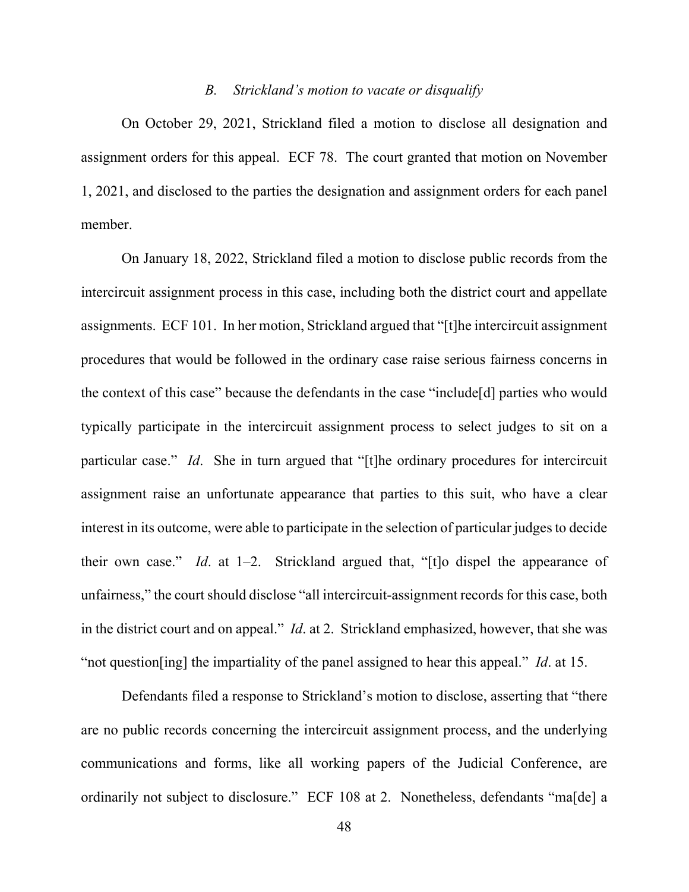#### *B. Strickland's motion to vacate or disqualify*

On October 29, 2021, Strickland filed a motion to disclose all designation and assignment orders for this appeal. ECF 78. The court granted that motion on November 1, 2021, and disclosed to the parties the designation and assignment orders for each panel member.

On January 18, 2022, Strickland filed a motion to disclose public records from the intercircuit assignment process in this case, including both the district court and appellate assignments. ECF 101. In her motion, Strickland argued that "[t]he intercircuit assignment procedures that would be followed in the ordinary case raise serious fairness concerns in the context of this case" because the defendants in the case "include[d] parties who would typically participate in the intercircuit assignment process to select judges to sit on a particular case." *Id*. She in turn argued that "[t]he ordinary procedures for intercircuit assignment raise an unfortunate appearance that parties to this suit, who have a clear interest in its outcome, were able to participate in the selection of particular judges to decide their own case." *Id*. at 1–2. Strickland argued that, "[t]o dispel the appearance of unfairness," the court should disclose "all intercircuit-assignment records for this case, both in the district court and on appeal." *Id*. at 2. Strickland emphasized, however, that she was "not question[ing] the impartiality of the panel assigned to hear this appeal." *Id*. at 15.

Defendants filed a response to Strickland's motion to disclose, asserting that "there are no public records concerning the intercircuit assignment process, and the underlying communications and forms, like all working papers of the Judicial Conference, are ordinarily not subject to disclosure." ECF 108 at 2. Nonetheless, defendants "ma[de] a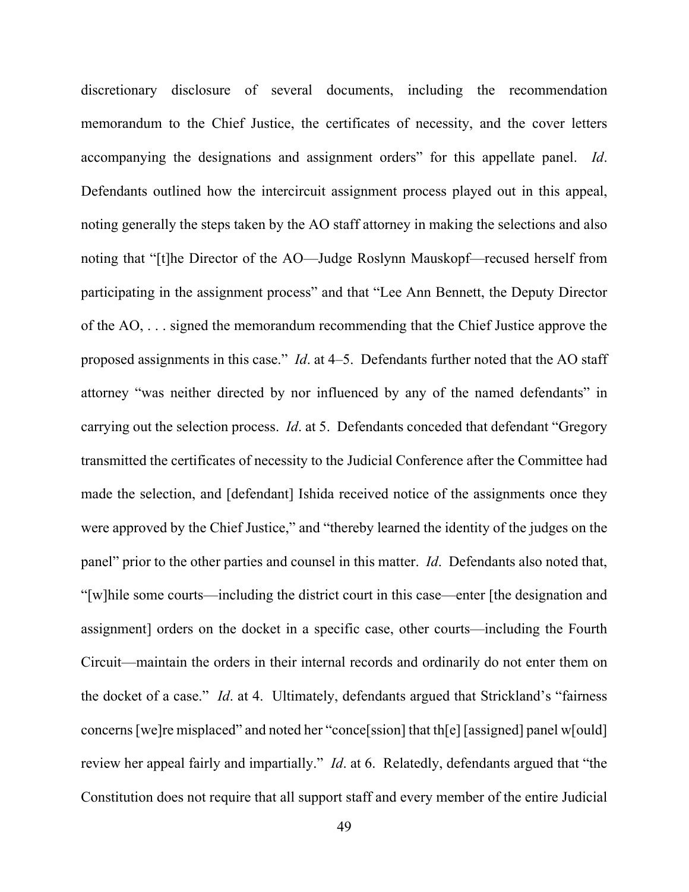discretionary disclosure of several documents, including the recommendation memorandum to the Chief Justice, the certificates of necessity, and the cover letters accompanying the designations and assignment orders" for this appellate panel. *Id*. Defendants outlined how the intercircuit assignment process played out in this appeal, noting generally the steps taken by the AO staff attorney in making the selections and also noting that "[t]he Director of the AO—Judge Roslynn Mauskopf—recused herself from participating in the assignment process" and that "Lee Ann Bennett, the Deputy Director of the AO, . . . signed the memorandum recommending that the Chief Justice approve the proposed assignments in this case." *Id*. at 4–5. Defendants further noted that the AO staff attorney "was neither directed by nor influenced by any of the named defendants" in carrying out the selection process. *Id*. at 5. Defendants conceded that defendant "Gregory transmitted the certificates of necessity to the Judicial Conference after the Committee had made the selection, and [defendant] Ishida received notice of the assignments once they were approved by the Chief Justice," and "thereby learned the identity of the judges on the panel" prior to the other parties and counsel in this matter. *Id*. Defendants also noted that, "[w]hile some courts—including the district court in this case—enter [the designation and assignment] orders on the docket in a specific case, other courts—including the Fourth Circuit—maintain the orders in their internal records and ordinarily do not enter them on the docket of a case." *Id*. at 4. Ultimately, defendants argued that Strickland's "fairness concerns [we]re misplaced" and noted her "conce[ssion] that th[e] [assigned] panel w[ould] review her appeal fairly and impartially." *Id*. at 6. Relatedly, defendants argued that "the Constitution does not require that all support staff and every member of the entire Judicial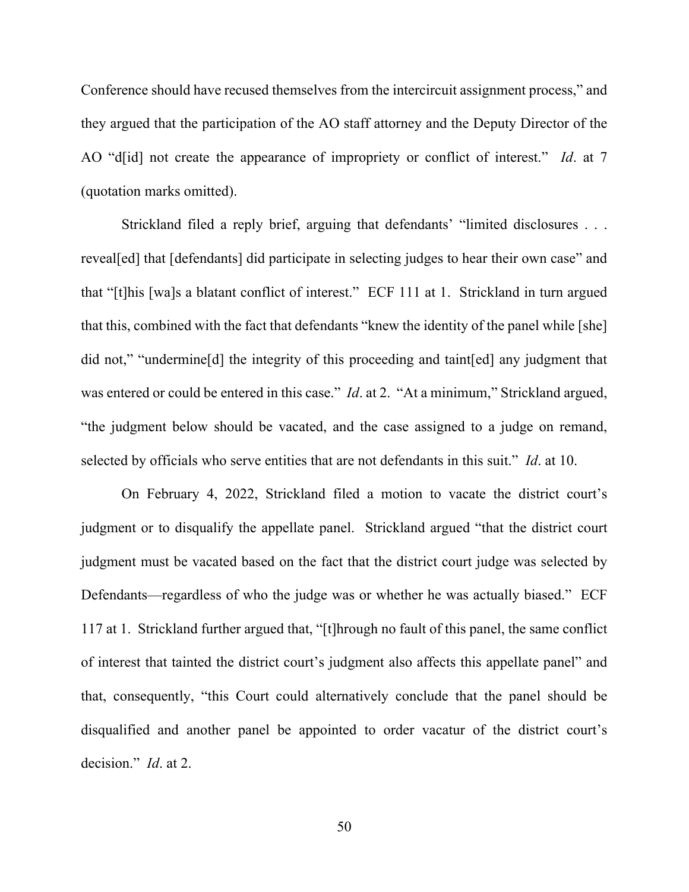Conference should have recused themselves from the intercircuit assignment process," and they argued that the participation of the AO staff attorney and the Deputy Director of the AO "d[id] not create the appearance of impropriety or conflict of interest." *Id*. at 7 (quotation marks omitted).

Strickland filed a reply brief, arguing that defendants' "limited disclosures . . . reveal[ed] that [defendants] did participate in selecting judges to hear their own case" and that "[t]his [wa]s a blatant conflict of interest." ECF 111 at 1. Strickland in turn argued that this, combined with the fact that defendants "knew the identity of the panel while [she] did not," "undermine[d] the integrity of this proceeding and taint[ed] any judgment that was entered or could be entered in this case." *Id.* at 2. "At a minimum," Strickland argued, "the judgment below should be vacated, and the case assigned to a judge on remand, selected by officials who serve entities that are not defendants in this suit." *Id*. at 10.

On February 4, 2022, Strickland filed a motion to vacate the district court's judgment or to disqualify the appellate panel. Strickland argued "that the district court judgment must be vacated based on the fact that the district court judge was selected by Defendants—regardless of who the judge was or whether he was actually biased." ECF 117 at 1. Strickland further argued that, "[t]hrough no fault of this panel, the same conflict of interest that tainted the district court's judgment also affects this appellate panel" and that, consequently, "this Court could alternatively conclude that the panel should be disqualified and another panel be appointed to order vacatur of the district court's decision." *Id*. at 2.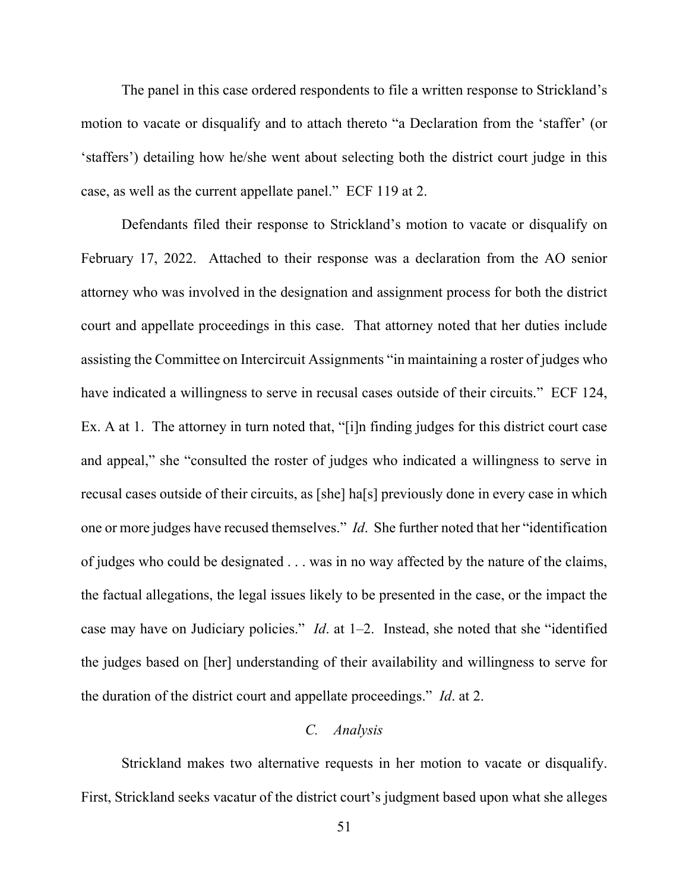The panel in this case ordered respondents to file a written response to Strickland's motion to vacate or disqualify and to attach thereto "a Declaration from the 'staffer' (or 'staffers') detailing how he/she went about selecting both the district court judge in this case, as well as the current appellate panel." ECF 119 at 2.

Defendants filed their response to Strickland's motion to vacate or disqualify on February 17, 2022. Attached to their response was a declaration from the AO senior attorney who was involved in the designation and assignment process for both the district court and appellate proceedings in this case. That attorney noted that her duties include assisting the Committee on Intercircuit Assignments "in maintaining a roster of judges who have indicated a willingness to serve in recusal cases outside of their circuits." ECF 124, Ex. A at 1. The attorney in turn noted that, "[i]n finding judges for this district court case and appeal," she "consulted the roster of judges who indicated a willingness to serve in recusal cases outside of their circuits, as [she] ha[s] previously done in every case in which one or more judges have recused themselves." *Id*. She further noted that her "identification of judges who could be designated . . . was in no way affected by the nature of the claims, the factual allegations, the legal issues likely to be presented in the case, or the impact the case may have on Judiciary policies." *Id*. at 1–2. Instead, she noted that she "identified the judges based on [her] understanding of their availability and willingness to serve for the duration of the district court and appellate proceedings." *Id*. at 2.

#### *C. Analysis*

Strickland makes two alternative requests in her motion to vacate or disqualify. First, Strickland seeks vacatur of the district court's judgment based upon what she alleges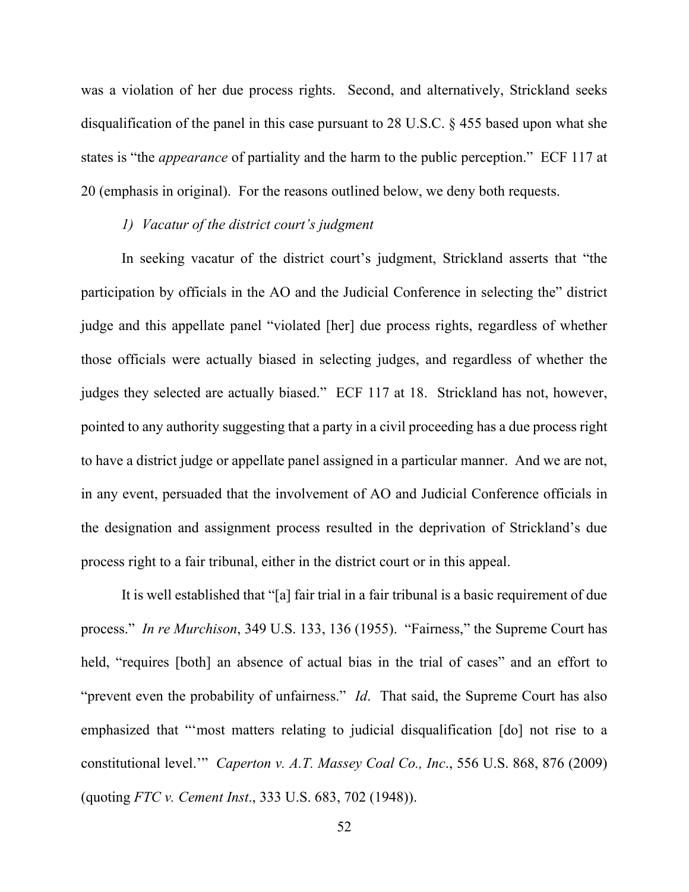was a violation of her due process rights. Second, and alternatively, Strickland seeks disqualification of the panel in this case pursuant to 28 U.S.C. § 455 based upon what she states is "the *appearance* of partiality and the harm to the public perception." ECF 117 at 20 (emphasis in original). For the reasons outlined below, we deny both requests.

### *1) Vacatur of the district court's judgment*

In seeking vacatur of the district court's judgment, Strickland asserts that "the participation by officials in the AO and the Judicial Conference in selecting the" district judge and this appellate panel "violated [her] due process rights, regardless of whether those officials were actually biased in selecting judges, and regardless of whether the judges they selected are actually biased." ECF 117 at 18. Strickland has not, however, pointed to any authority suggesting that a party in a civil proceeding has a due process right to have a district judge or appellate panel assigned in a particular manner. And we are not, in any event, persuaded that the involvement of AO and Judicial Conference officials in the designation and assignment process resulted in the deprivation of Strickland's due process right to a fair tribunal, either in the district court or in this appeal.

It is well established that "[a] fair trial in a fair tribunal is a basic requirement of due process." *In re Murchison*, 349 U.S. 133, 136 (1955). "Fairness," the Supreme Court has held, "requires [both] an absence of actual bias in the trial of cases" and an effort to "prevent even the probability of unfairness." *Id*. That said, the Supreme Court has also emphasized that "'most matters relating to judicial disqualification [do] not rise to a constitutional level.'" *Caperton v. A.T. Massey Coal Co., Inc*., 556 U.S. 868, 876 (2009) (quoting *FTC v. Cement Inst*., 333 U.S. 683, 702 (1948)).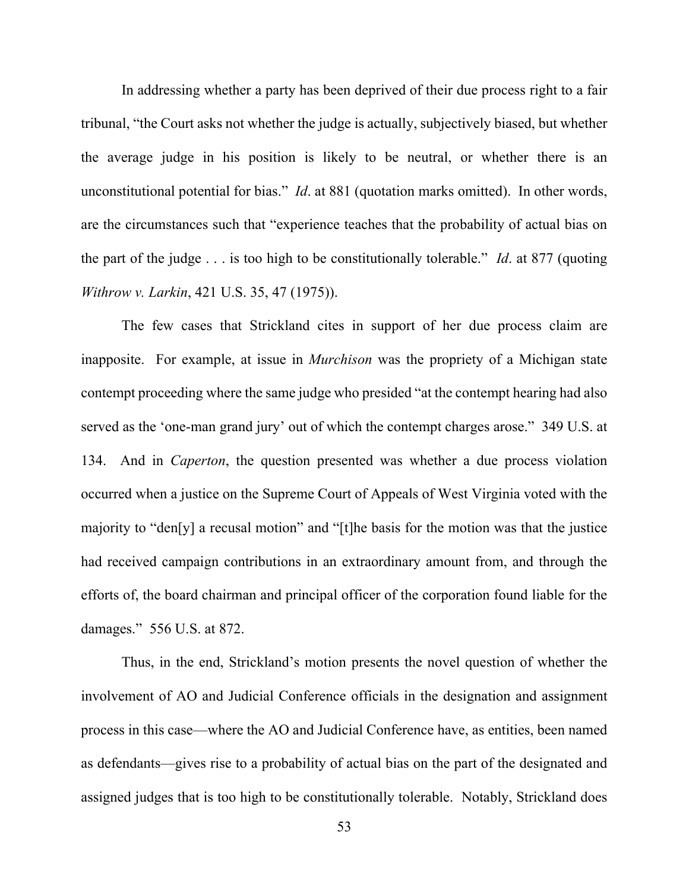In addressing whether a party has been deprived of their due process right to a fair tribunal, "the Court asks not whether the judge is actually, subjectively biased, but whether the average judge in his position is likely to be neutral, or whether there is an unconstitutional potential for bias." *Id*. at 881 (quotation marks omitted). In other words, are the circumstances such that "experience teaches that the probability of actual bias on the part of the judge . . . is too high to be constitutionally tolerable." *Id*. at 877 (quoting *Withrow v. Larkin*, 421 U.S. 35, 47 (1975)).

The few cases that Strickland cites in support of her due process claim are inapposite. For example, at issue in *Murchison* was the propriety of a Michigan state contempt proceeding where the same judge who presided "at the contempt hearing had also served as the 'one-man grand jury' out of which the contempt charges arose." 349 U.S. at 134. And in *Caperton*, the question presented was whether a due process violation occurred when a justice on the Supreme Court of Appeals of West Virginia voted with the majority to "den[y] a recusal motion" and "[t]he basis for the motion was that the justice had received campaign contributions in an extraordinary amount from, and through the efforts of, the board chairman and principal officer of the corporation found liable for the damages." 556 U.S. at 872.

Thus, in the end, Strickland's motion presents the novel question of whether the involvement of AO and Judicial Conference officials in the designation and assignment process in this case—where the AO and Judicial Conference have, as entities, been named as defendants—gives rise to a probability of actual bias on the part of the designated and assigned judges that is too high to be constitutionally tolerable. Notably, Strickland does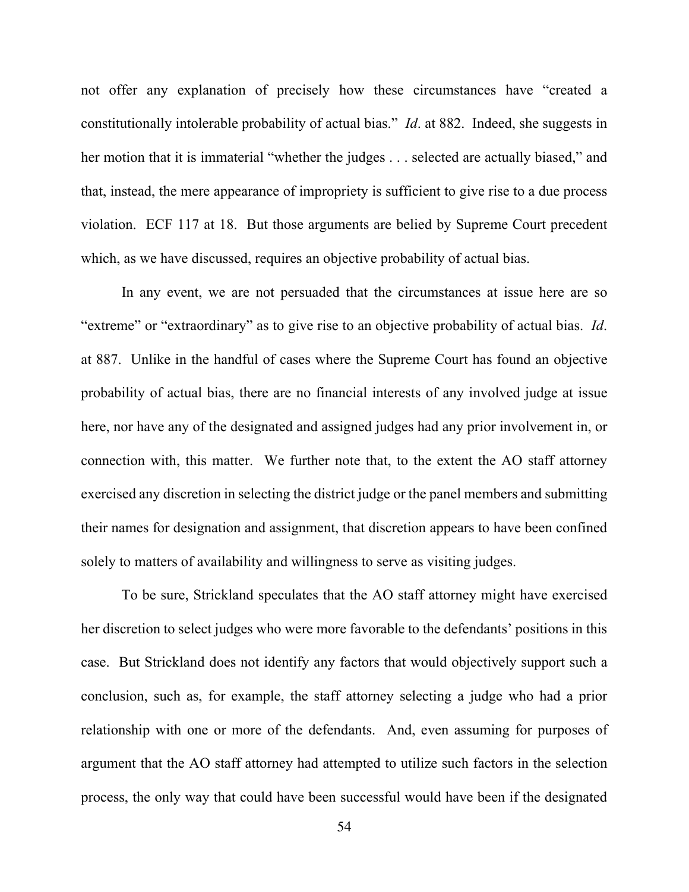not offer any explanation of precisely how these circumstances have "created a constitutionally intolerable probability of actual bias." *Id*. at 882. Indeed, she suggests in her motion that it is immaterial "whether the judges . . . selected are actually biased," and that, instead, the mere appearance of impropriety is sufficient to give rise to a due process violation. ECF 117 at 18. But those arguments are belied by Supreme Court precedent which, as we have discussed, requires an objective probability of actual bias.

In any event, we are not persuaded that the circumstances at issue here are so "extreme" or "extraordinary" as to give rise to an objective probability of actual bias. *Id*. at 887. Unlike in the handful of cases where the Supreme Court has found an objective probability of actual bias, there are no financial interests of any involved judge at issue here, nor have any of the designated and assigned judges had any prior involvement in, or connection with, this matter. We further note that, to the extent the AO staff attorney exercised any discretion in selecting the district judge or the panel members and submitting their names for designation and assignment, that discretion appears to have been confined solely to matters of availability and willingness to serve as visiting judges.

To be sure, Strickland speculates that the AO staff attorney might have exercised her discretion to select judges who were more favorable to the defendants' positions in this case. But Strickland does not identify any factors that would objectively support such a conclusion, such as, for example, the staff attorney selecting a judge who had a prior relationship with one or more of the defendants. And, even assuming for purposes of argument that the AO staff attorney had attempted to utilize such factors in the selection process, the only way that could have been successful would have been if the designated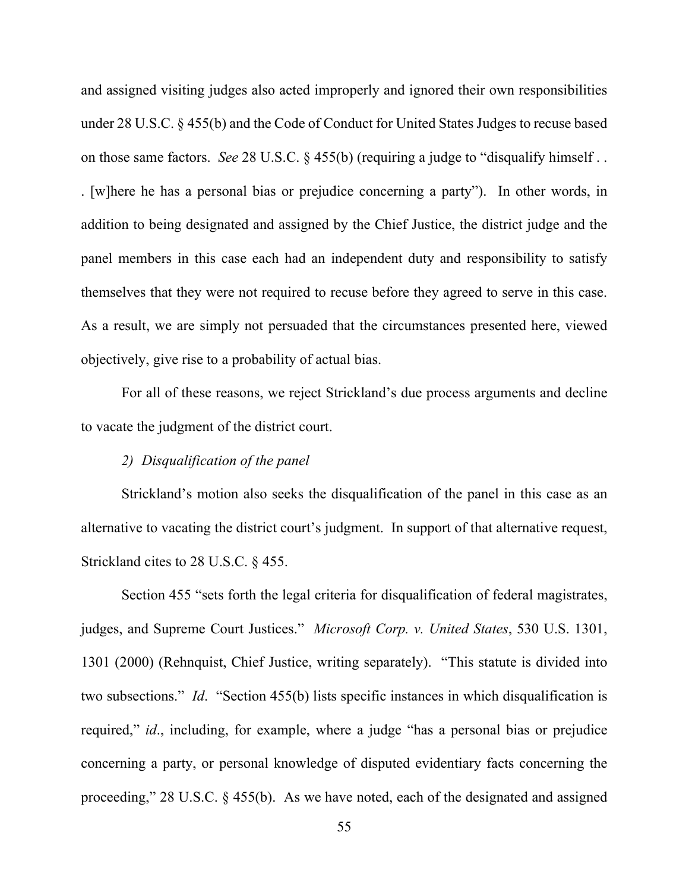and assigned visiting judges also acted improperly and ignored their own responsibilities under 28 U.S.C. § 455(b) and the Code of Conduct for United States Judges to recuse based on those same factors. *See* 28 U.S.C. § 455(b) (requiring a judge to "disqualify himself . . . [w]here he has a personal bias or prejudice concerning a party"). In other words, in addition to being designated and assigned by the Chief Justice, the district judge and the panel members in this case each had an independent duty and responsibility to satisfy themselves that they were not required to recuse before they agreed to serve in this case. As a result, we are simply not persuaded that the circumstances presented here, viewed objectively, give rise to a probability of actual bias.

For all of these reasons, we reject Strickland's due process arguments and decline to vacate the judgment of the district court.

## *2) Disqualification of the panel*

Strickland's motion also seeks the disqualification of the panel in this case as an alternative to vacating the district court's judgment. In support of that alternative request, Strickland cites to 28 U.S.C. § 455.

Section 455 "sets forth the legal criteria for disqualification of federal magistrates, judges, and Supreme Court Justices." *Microsoft Corp. v. United States*, 530 U.S. 1301, 1301 (2000) (Rehnquist, Chief Justice, writing separately). "This statute is divided into two subsections." *Id*. "Section 455(b) lists specific instances in which disqualification is required," *id*., including, for example, where a judge "has a personal bias or prejudice concerning a party, or personal knowledge of disputed evidentiary facts concerning the proceeding," 28 U.S.C. § 455(b). As we have noted, each of the designated and assigned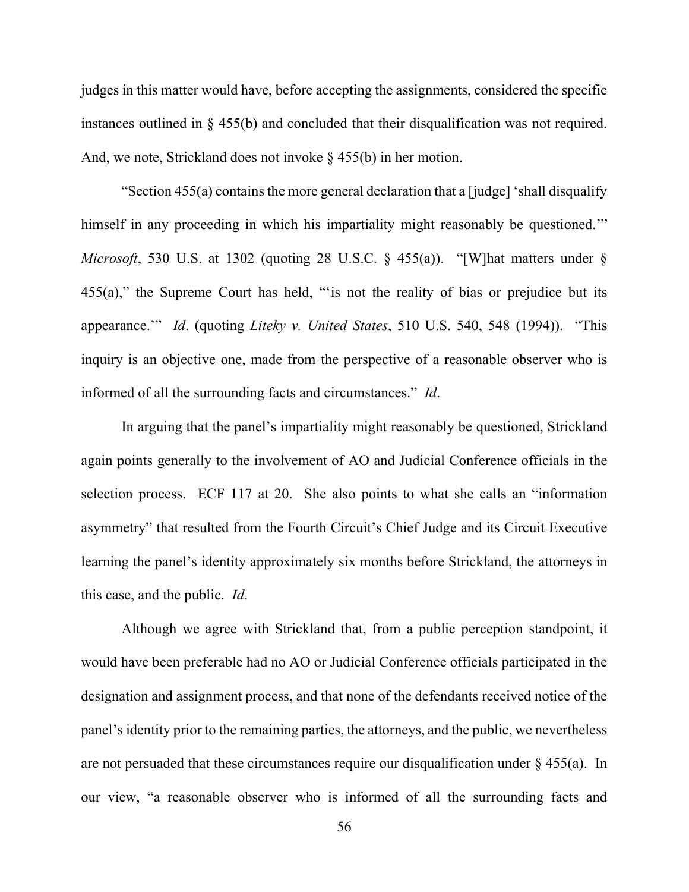judges in this matter would have, before accepting the assignments, considered the specific instances outlined in § 455(b) and concluded that their disqualification was not required. And, we note, Strickland does not invoke  $\S$  455(b) in her motion.

"Section 455(a) contains the more general declaration that a [judge] 'shall disqualify himself in any proceeding in which his impartiality might reasonably be questioned." *Microsoft*, 530 U.S. at 1302 (quoting 28 U.S.C. § 455(a)). "[W]hat matters under § 455(a)," the Supreme Court has held, "'is not the reality of bias or prejudice but its appearance.'" *Id*. (quoting *Liteky v. United States*, 510 U.S. 540, 548 (1994)). "This inquiry is an objective one, made from the perspective of a reasonable observer who is informed of all the surrounding facts and circumstances." *Id*.

In arguing that the panel's impartiality might reasonably be questioned, Strickland again points generally to the involvement of AO and Judicial Conference officials in the selection process. ECF 117 at 20. She also points to what she calls an "information asymmetry" that resulted from the Fourth Circuit's Chief Judge and its Circuit Executive learning the panel's identity approximately six months before Strickland, the attorneys in this case, and the public. *Id*.

Although we agree with Strickland that, from a public perception standpoint, it would have been preferable had no AO or Judicial Conference officials participated in the designation and assignment process, and that none of the defendants received notice of the panel's identity prior to the remaining parties, the attorneys, and the public, we nevertheless are not persuaded that these circumstances require our disqualification under  $\S$  455(a). In our view, "a reasonable observer who is informed of all the surrounding facts and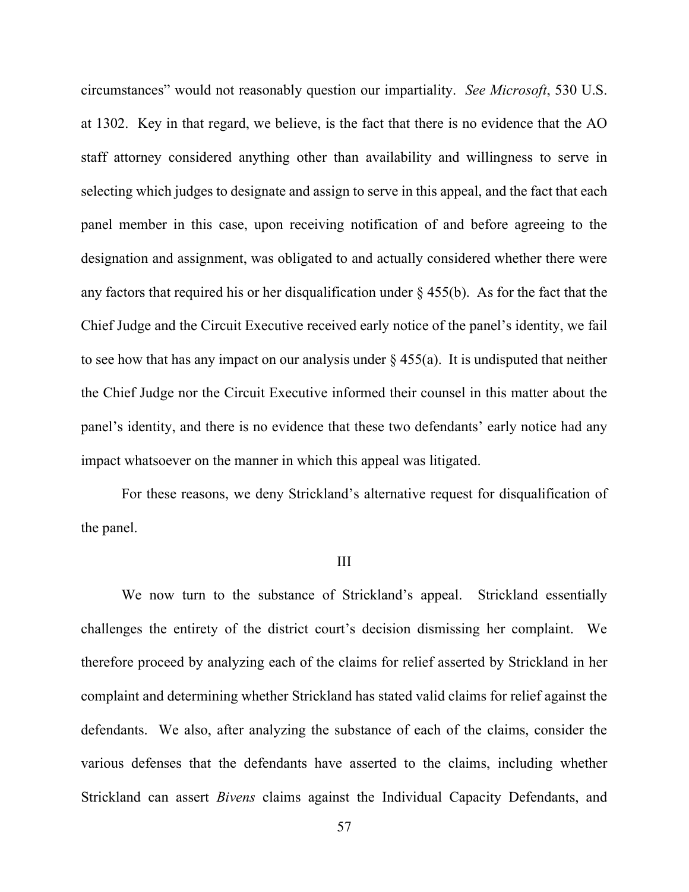circumstances" would not reasonably question our impartiality. *See Microsoft*, 530 U.S. at 1302. Key in that regard, we believe, is the fact that there is no evidence that the AO staff attorney considered anything other than availability and willingness to serve in selecting which judges to designate and assign to serve in this appeal, and the fact that each panel member in this case, upon receiving notification of and before agreeing to the designation and assignment, was obligated to and actually considered whether there were any factors that required his or her disqualification under  $\S$  455(b). As for the fact that the Chief Judge and the Circuit Executive received early notice of the panel's identity, we fail to see how that has any impact on our analysis under  $\S$  455(a). It is undisputed that neither the Chief Judge nor the Circuit Executive informed their counsel in this matter about the panel's identity, and there is no evidence that these two defendants' early notice had any impact whatsoever on the manner in which this appeal was litigated.

For these reasons, we deny Strickland's alternative request for disqualification of the panel.

#### III

We now turn to the substance of Strickland's appeal. Strickland essentially challenges the entirety of the district court's decision dismissing her complaint. We therefore proceed by analyzing each of the claims for relief asserted by Strickland in her complaint and determining whether Strickland has stated valid claims for relief against the defendants. We also, after analyzing the substance of each of the claims, consider the various defenses that the defendants have asserted to the claims, including whether Strickland can assert *Bivens* claims against the Individual Capacity Defendants, and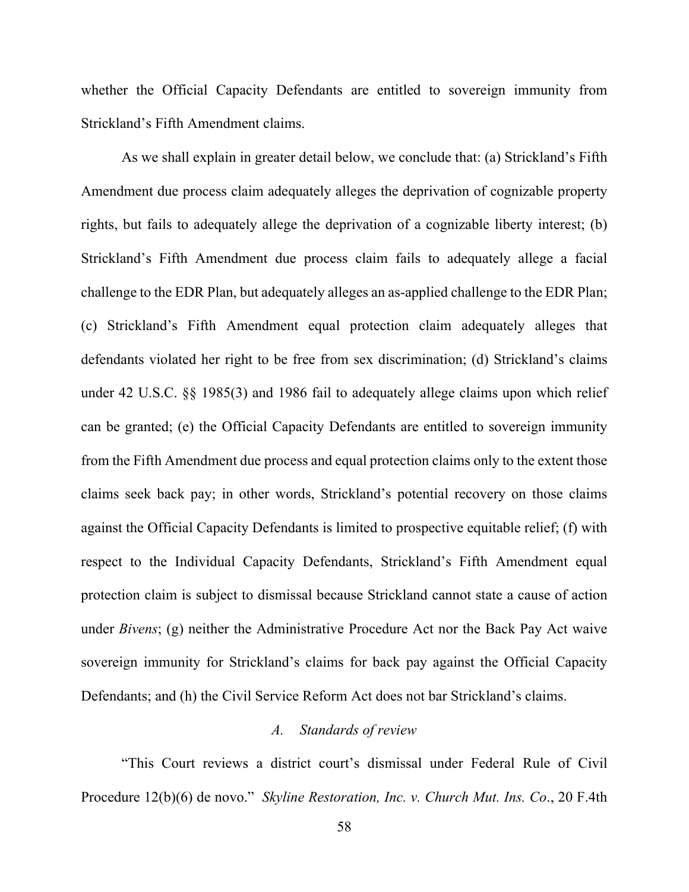whether the Official Capacity Defendants are entitled to sovereign immunity from Strickland's Fifth Amendment claims.

As we shall explain in greater detail below, we conclude that: (a) Strickland's Fifth Amendment due process claim adequately alleges the deprivation of cognizable property rights, but fails to adequately allege the deprivation of a cognizable liberty interest; (b) Strickland's Fifth Amendment due process claim fails to adequately allege a facial challenge to the EDR Plan, but adequately alleges an as-applied challenge to the EDR Plan; (c) Strickland's Fifth Amendment equal protection claim adequately alleges that defendants violated her right to be free from sex discrimination; (d) Strickland's claims under 42 U.S.C. §§ 1985(3) and 1986 fail to adequately allege claims upon which relief can be granted; (e) the Official Capacity Defendants are entitled to sovereign immunity from the Fifth Amendment due process and equal protection claims only to the extent those claims seek back pay; in other words, Strickland's potential recovery on those claims against the Official Capacity Defendants is limited to prospective equitable relief; (f) with respect to the Individual Capacity Defendants, Strickland's Fifth Amendment equal protection claim is subject to dismissal because Strickland cannot state a cause of action under *Bivens*; (g) neither the Administrative Procedure Act nor the Back Pay Act waive sovereign immunity for Strickland's claims for back pay against the Official Capacity Defendants; and (h) the Civil Service Reform Act does not bar Strickland's claims.

#### *A. Standards of review*

"This Court reviews a district court's dismissal under Federal Rule of Civil Procedure 12(b)(6) de novo." *Skyline Restoration, Inc. v. Church Mut. Ins. Co*., 20 F.4th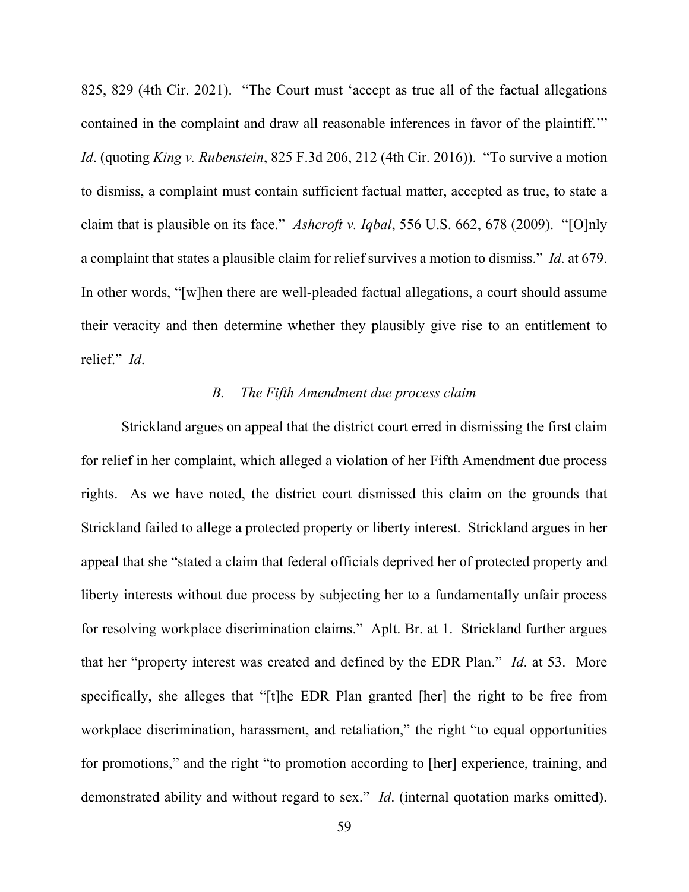825, 829 (4th Cir. 2021). "The Court must 'accept as true all of the factual allegations contained in the complaint and draw all reasonable inferences in favor of the plaintiff.'" *Id*. (quoting *King v. Rubenstein*, 825 F.3d 206, 212 (4th Cir. 2016)). "To survive a motion to dismiss, a complaint must contain sufficient factual matter, accepted as true, to state a claim that is plausible on its face." *Ashcroft v. Iqbal*, 556 U.S. 662, 678 (2009). "[O]nly a complaint that states a plausible claim for relief survives a motion to dismiss." *Id*. at 679. In other words, "[w]hen there are well-pleaded factual allegations, a court should assume their veracity and then determine whether they plausibly give rise to an entitlement to relief." *Id*.

### *B. The Fifth Amendment due process claim*

Strickland argues on appeal that the district court erred in dismissing the first claim for relief in her complaint, which alleged a violation of her Fifth Amendment due process rights. As we have noted, the district court dismissed this claim on the grounds that Strickland failed to allege a protected property or liberty interest. Strickland argues in her appeal that she "stated a claim that federal officials deprived her of protected property and liberty interests without due process by subjecting her to a fundamentally unfair process for resolving workplace discrimination claims." Aplt. Br. at 1. Strickland further argues that her "property interest was created and defined by the EDR Plan." *Id*. at 53. More specifically, she alleges that "[t]he EDR Plan granted [her] the right to be free from workplace discrimination, harassment, and retaliation," the right "to equal opportunities for promotions," and the right "to promotion according to [her] experience, training, and demonstrated ability and without regard to sex." *Id*. (internal quotation marks omitted).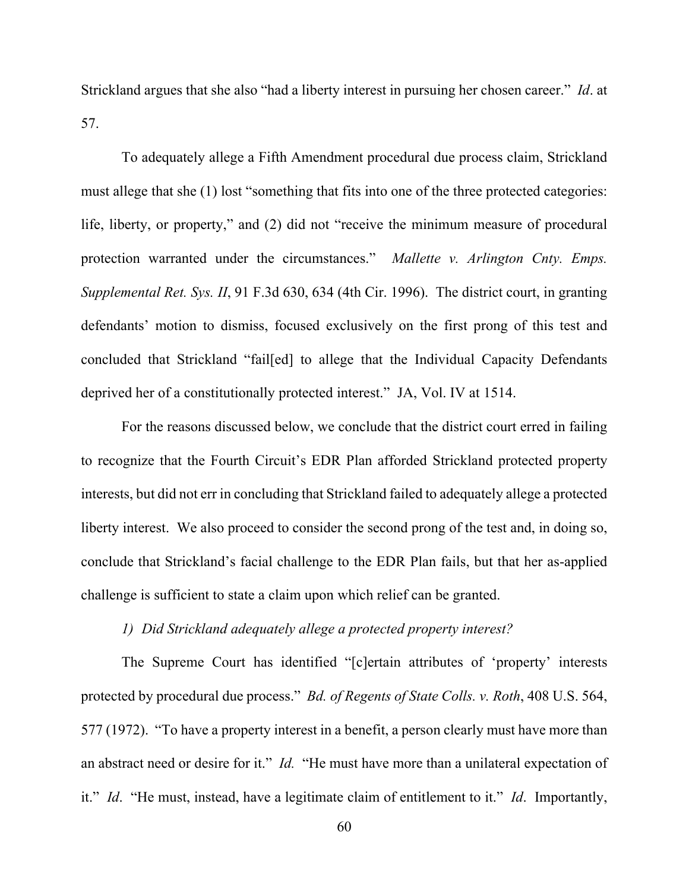Strickland argues that she also "had a liberty interest in pursuing her chosen career." *Id*. at 57.

To adequately allege a Fifth Amendment procedural due process claim, Strickland must allege that she (1) lost "something that fits into one of the three protected categories: life, liberty, or property," and (2) did not "receive the minimum measure of procedural protection warranted under the circumstances." *Mallette v. Arlington Cnty. Emps. Supplemental Ret. Sys. II*, 91 F.3d 630, 634 (4th Cir. 1996). The district court, in granting defendants' motion to dismiss, focused exclusively on the first prong of this test and concluded that Strickland "fail[ed] to allege that the Individual Capacity Defendants deprived her of a constitutionally protected interest." JA, Vol. IV at 1514.

For the reasons discussed below, we conclude that the district court erred in failing to recognize that the Fourth Circuit's EDR Plan afforded Strickland protected property interests, but did not err in concluding that Strickland failed to adequately allege a protected liberty interest. We also proceed to consider the second prong of the test and, in doing so, conclude that Strickland's facial challenge to the EDR Plan fails, but that her as-applied challenge is sufficient to state a claim upon which relief can be granted.

## *1) Did Strickland adequately allege a protected property interest?*

The Supreme Court has identified "[c]ertain attributes of 'property' interests protected by procedural due process." *Bd. of Regents of State Colls. v. Roth*, 408 U.S. 564, 577 (1972). "To have a property interest in a benefit, a person clearly must have more than an abstract need or desire for it." *Id.* "He must have more than a unilateral expectation of it." *Id*. "He must, instead, have a legitimate claim of entitlement to it." *Id*. Importantly,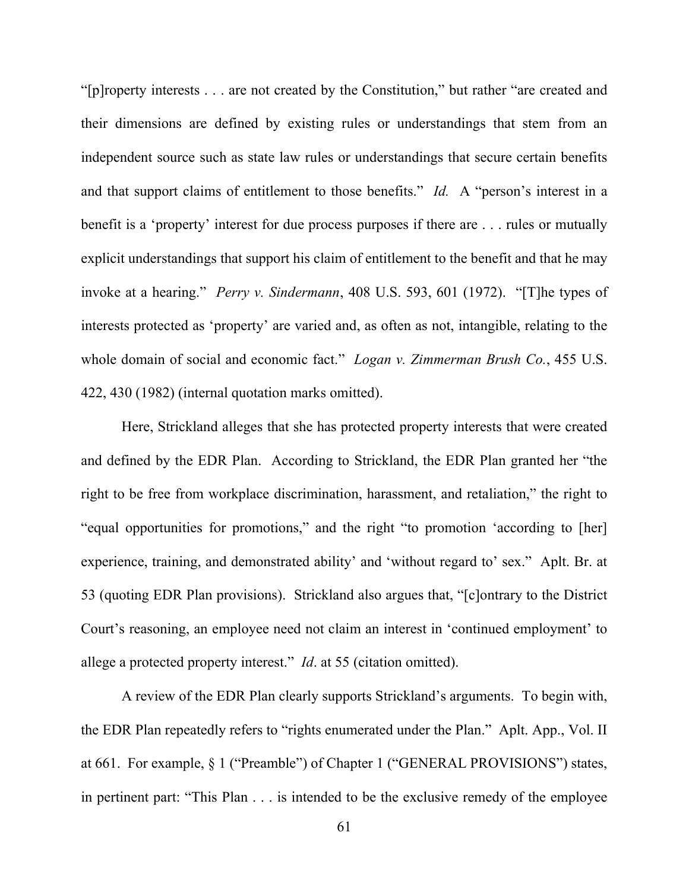"[p]roperty interests . . . are not created by the Constitution," but rather "are created and their dimensions are defined by existing rules or understandings that stem from an independent source such as state law rules or understandings that secure certain benefits and that support claims of entitlement to those benefits." *Id.* A "person's interest in a benefit is a 'property' interest for due process purposes if there are . . . rules or mutually explicit understandings that support his claim of entitlement to the benefit and that he may invoke at a hearing." *Perry v. Sindermann*, 408 U.S. 593, 601 (1972). "[T]he types of interests protected as 'property' are varied and, as often as not, intangible, relating to the whole domain of social and economic fact." *Logan v. Zimmerman Brush Co.*, 455 U.S. 422, 430 (1982) (internal quotation marks omitted).

Here, Strickland alleges that she has protected property interests that were created and defined by the EDR Plan. According to Strickland, the EDR Plan granted her "the right to be free from workplace discrimination, harassment, and retaliation," the right to "equal opportunities for promotions," and the right "to promotion 'according to [her] experience, training, and demonstrated ability' and 'without regard to' sex." Aplt. Br. at 53 (quoting EDR Plan provisions). Strickland also argues that, "[c]ontrary to the District Court's reasoning, an employee need not claim an interest in 'continued employment' to allege a protected property interest." *Id*. at 55 (citation omitted).

A review of the EDR Plan clearly supports Strickland's arguments. To begin with, the EDR Plan repeatedly refers to "rights enumerated under the Plan." Aplt. App., Vol. II at 661. For example, § 1 ("Preamble") of Chapter 1 ("GENERAL PROVISIONS") states, in pertinent part: "This Plan . . . is intended to be the exclusive remedy of the employee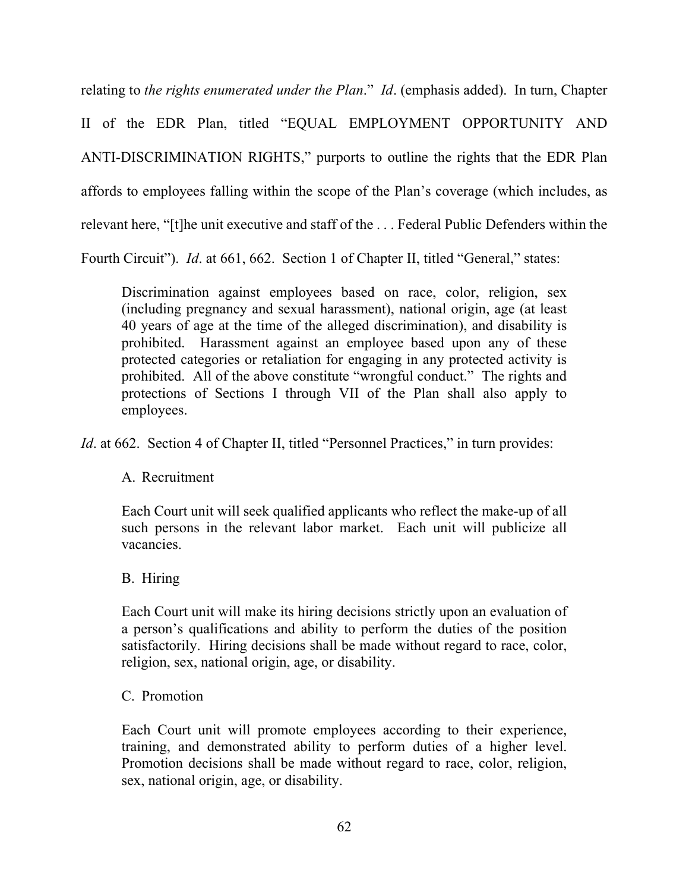relating to *the rights enumerated under the Plan*." *Id*. (emphasis added). In turn, Chapter II of the EDR Plan, titled "EQUAL EMPLOYMENT OPPORTUNITY AND ANTI-DISCRIMINATION RIGHTS," purports to outline the rights that the EDR Plan affords to employees falling within the scope of the Plan's coverage (which includes, as relevant here, "[t]he unit executive and staff of the . . . Federal Public Defenders within the Fourth Circuit"). *Id.* at 661, 662. Section 1 of Chapter II, titled "General," states:

Discrimination against employees based on race, color, religion, sex (including pregnancy and sexual harassment), national origin, age (at least 40 years of age at the time of the alleged discrimination), and disability is prohibited. Harassment against an employee based upon any of these protected categories or retaliation for engaging in any protected activity is prohibited. All of the above constitute "wrongful conduct." The rights and protections of Sections I through VII of the Plan shall also apply to employees.

*Id.* at 662. Section 4 of Chapter II, titled "Personnel Practices," in turn provides:

# A. Recruitment

Each Court unit will seek qualified applicants who reflect the make-up of all such persons in the relevant labor market. Each unit will publicize all vacancies.

# B. Hiring

Each Court unit will make its hiring decisions strictly upon an evaluation of a person's qualifications and ability to perform the duties of the position satisfactorily. Hiring decisions shall be made without regard to race, color, religion, sex, national origin, age, or disability.

# C. Promotion

Each Court unit will promote employees according to their experience, training, and demonstrated ability to perform duties of a higher level. Promotion decisions shall be made without regard to race, color, religion, sex, national origin, age, or disability.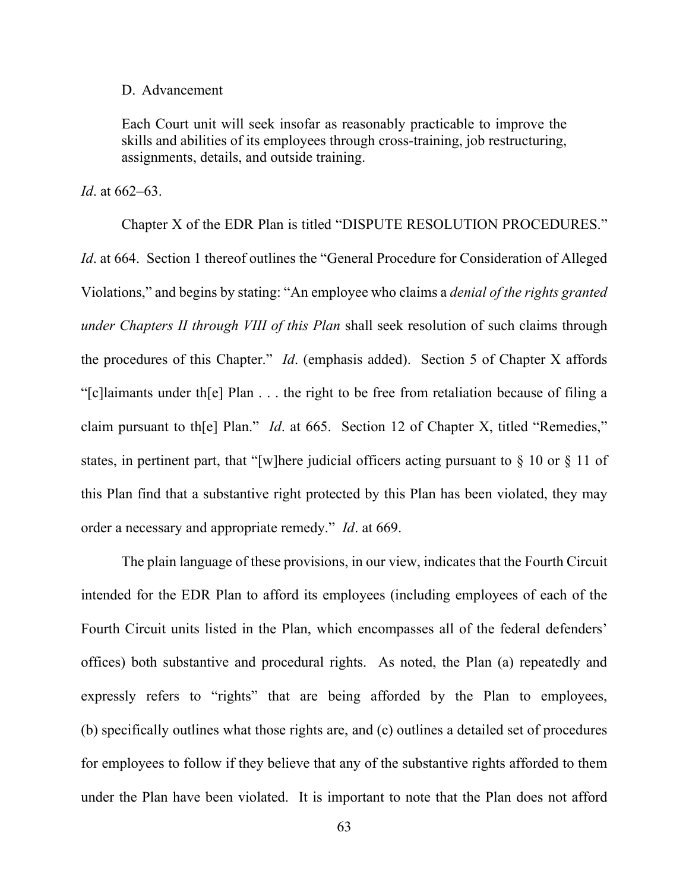#### D. Advancement

Each Court unit will seek insofar as reasonably practicable to improve the skills and abilities of its employees through cross-training, job restructuring, assignments, details, and outside training.

*Id*. at 662–63.

Chapter X of the EDR Plan is titled "DISPUTE RESOLUTION PROCEDURES." *Id.* at 664. Section 1 thereof outlines the "General Procedure for Consideration of Alleged Violations," and begins by stating: "An employee who claims a *denial of the rights granted under Chapters II through VIII of this Plan* shall seek resolution of such claims through the procedures of this Chapter." *Id*. (emphasis added). Section 5 of Chapter X affords "[c]laimants under th[e] Plan . . . the right to be free from retaliation because of filing a claim pursuant to th[e] Plan." *Id*. at 665. Section 12 of Chapter X, titled "Remedies," states, in pertinent part, that "[w]here judicial officers acting pursuant to § 10 or § 11 of this Plan find that a substantive right protected by this Plan has been violated, they may order a necessary and appropriate remedy." *Id*. at 669.

The plain language of these provisions, in our view, indicates that the Fourth Circuit intended for the EDR Plan to afford its employees (including employees of each of the Fourth Circuit units listed in the Plan, which encompasses all of the federal defenders' offices) both substantive and procedural rights. As noted, the Plan (a) repeatedly and expressly refers to "rights" that are being afforded by the Plan to employees, (b) specifically outlines what those rights are, and (c) outlines a detailed set of procedures for employees to follow if they believe that any of the substantive rights afforded to them under the Plan have been violated. It is important to note that the Plan does not afford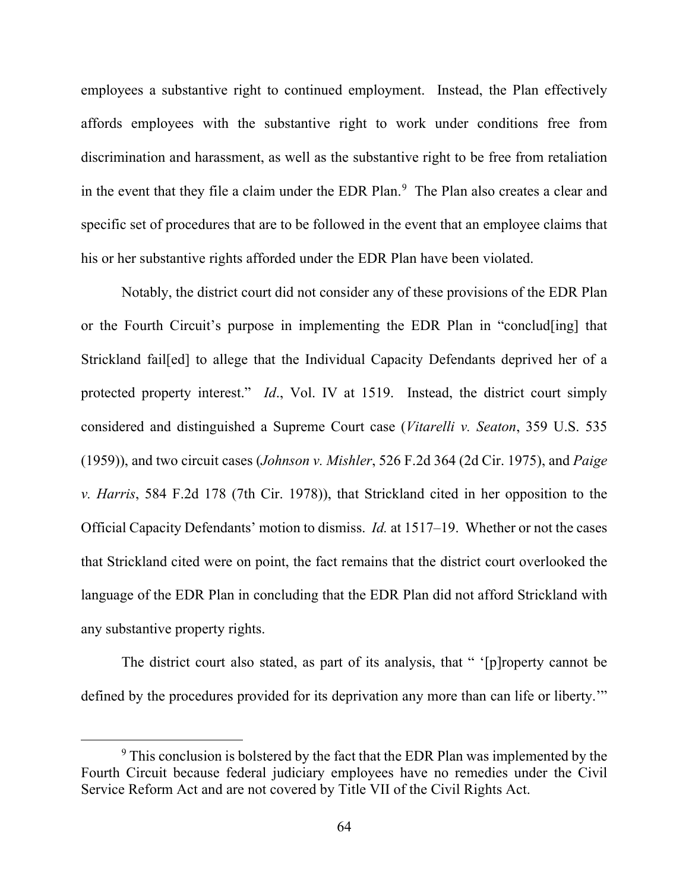employees a substantive right to continued employment. Instead, the Plan effectively affords employees with the substantive right to work under conditions free from discrimination and harassment, as well as the substantive right to be free from retaliation in the event that they file a claim under the EDR Plan.<sup>[9](#page-63-0)</sup> The Plan also creates a clear and specific set of procedures that are to be followed in the event that an employee claims that his or her substantive rights afforded under the EDR Plan have been violated.

Notably, the district court did not consider any of these provisions of the EDR Plan or the Fourth Circuit's purpose in implementing the EDR Plan in "conclud[ing] that Strickland fail[ed] to allege that the Individual Capacity Defendants deprived her of a protected property interest." *Id*., Vol. IV at 1519. Instead, the district court simply considered and distinguished a Supreme Court case (*Vitarelli v. Seaton*, 359 U.S. 535 (1959)), and two circuit cases (*Johnson v. Mishler*, 526 F.2d 364 (2d Cir. 1975), and *Paige v. Harris*, 584 F.2d 178 (7th Cir. 1978)), that Strickland cited in her opposition to the Official Capacity Defendants' motion to dismiss. *Id.* at 1517–19. Whether or not the cases that Strickland cited were on point, the fact remains that the district court overlooked the language of the EDR Plan in concluding that the EDR Plan did not afford Strickland with any substantive property rights.

The district court also stated, as part of its analysis, that " '[p]roperty cannot be defined by the procedures provided for its deprivation any more than can life or liberty.'"

<span id="page-63-0"></span><sup>&</sup>lt;sup>9</sup> This conclusion is bolstered by the fact that the EDR Plan was implemented by the Fourth Circuit because federal judiciary employees have no remedies under the Civil Service Reform Act and are not covered by Title VII of the Civil Rights Act.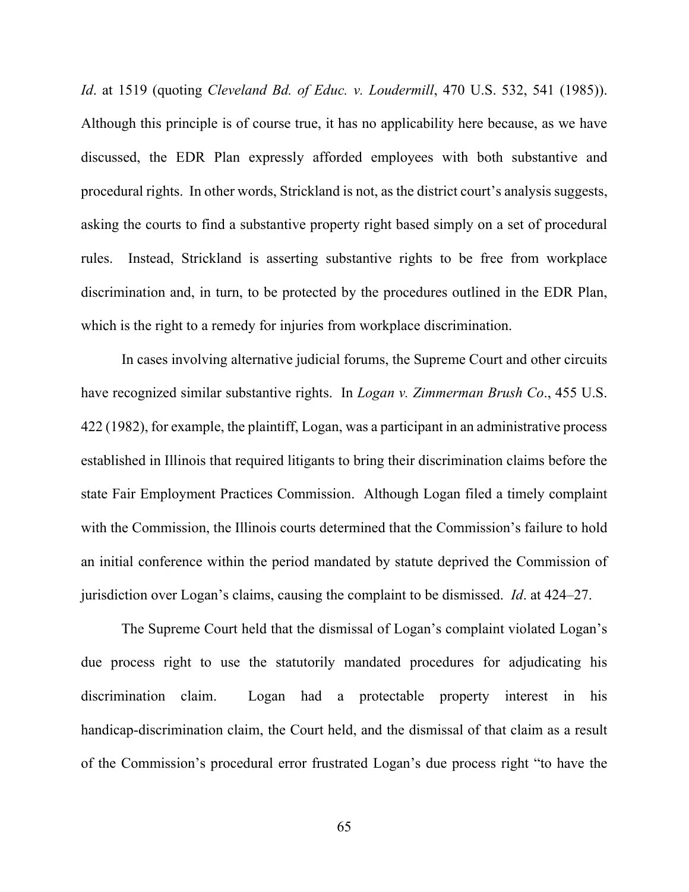*Id*. at 1519 (quoting *Cleveland Bd. of Educ. v. Loudermill*, 470 U.S. 532, 541 (1985)). Although this principle is of course true, it has no applicability here because, as we have discussed, the EDR Plan expressly afforded employees with both substantive and procedural rights. In other words, Strickland is not, as the district court's analysis suggests, asking the courts to find a substantive property right based simply on a set of procedural rules. Instead, Strickland is asserting substantive rights to be free from workplace discrimination and, in turn, to be protected by the procedures outlined in the EDR Plan, which is the right to a remedy for injuries from workplace discrimination.

In cases involving alternative judicial forums, the Supreme Court and other circuits have recognized similar substantive rights. In *Logan v. Zimmerman Brush Co*., 455 U.S. 422 (1982), for example, the plaintiff, Logan, was a participant in an administrative process established in Illinois that required litigants to bring their discrimination claims before the state Fair Employment Practices Commission. Although Logan filed a timely complaint with the Commission, the Illinois courts determined that the Commission's failure to hold an initial conference within the period mandated by statute deprived the Commission of jurisdiction over Logan's claims, causing the complaint to be dismissed. *Id*. at 424–27.

The Supreme Court held that the dismissal of Logan's complaint violated Logan's due process right to use the statutorily mandated procedures for adjudicating his discrimination claim. Logan had a protectable property interest in his handicap-discrimination claim, the Court held, and the dismissal of that claim as a result of the Commission's procedural error frustrated Logan's due process right "to have the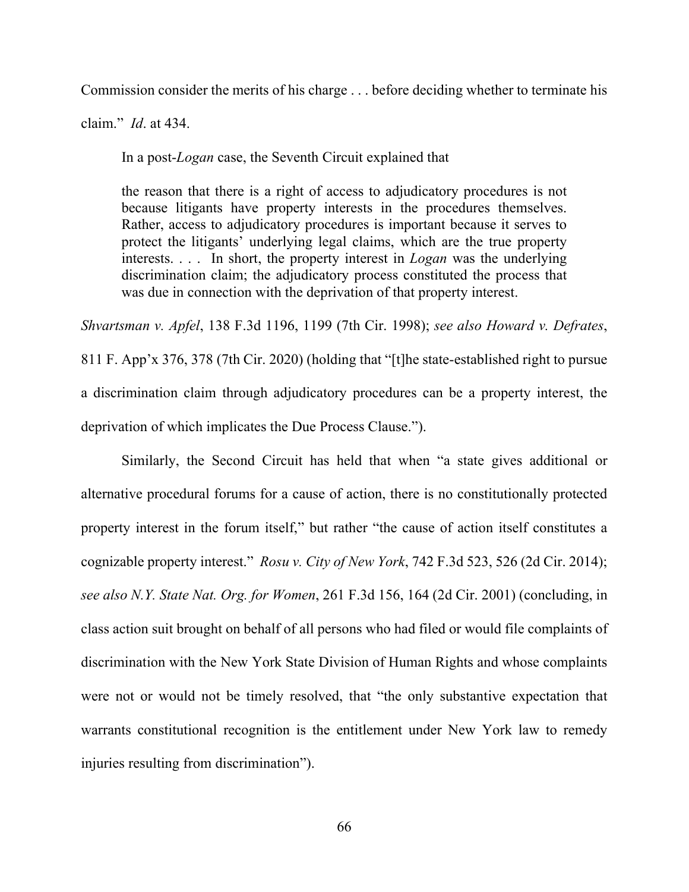Commission consider the merits of his charge . . . before deciding whether to terminate his

claim." *Id*. at 434.

In a post-*Logan* case, the Seventh Circuit explained that

the reason that there is a right of access to adjudicatory procedures is not because litigants have property interests in the procedures themselves. Rather, access to adjudicatory procedures is important because it serves to protect the litigants' underlying legal claims, which are the true property interests. . . . In short, the property interest in *Logan* was the underlying discrimination claim; the adjudicatory process constituted the process that was due in connection with the deprivation of that property interest.

*Shvartsman v. Apfel*, 138 F.3d 1196, 1199 (7th Cir. 1998); *see also Howard v. Defrates*, 811 F. App'x 376, 378 (7th Cir. 2020) (holding that "[t]he state-established right to pursue a discrimination claim through adjudicatory procedures can be a property interest, the deprivation of which implicates the Due Process Clause.").

Similarly, the Second Circuit has held that when "a state gives additional or alternative procedural forums for a cause of action, there is no constitutionally protected property interest in the forum itself," but rather "the cause of action itself constitutes a cognizable property interest." *Rosu v. City of New York*, 742 F.3d 523, 526 (2d Cir. 2014); *see also N.Y. State Nat. Org. for Women*, 261 F.3d 156, 164 (2d Cir. 2001) (concluding, in class action suit brought on behalf of all persons who had filed or would file complaints of discrimination with the New York State Division of Human Rights and whose complaints were not or would not be timely resolved, that "the only substantive expectation that warrants constitutional recognition is the entitlement under New York law to remedy injuries resulting from discrimination").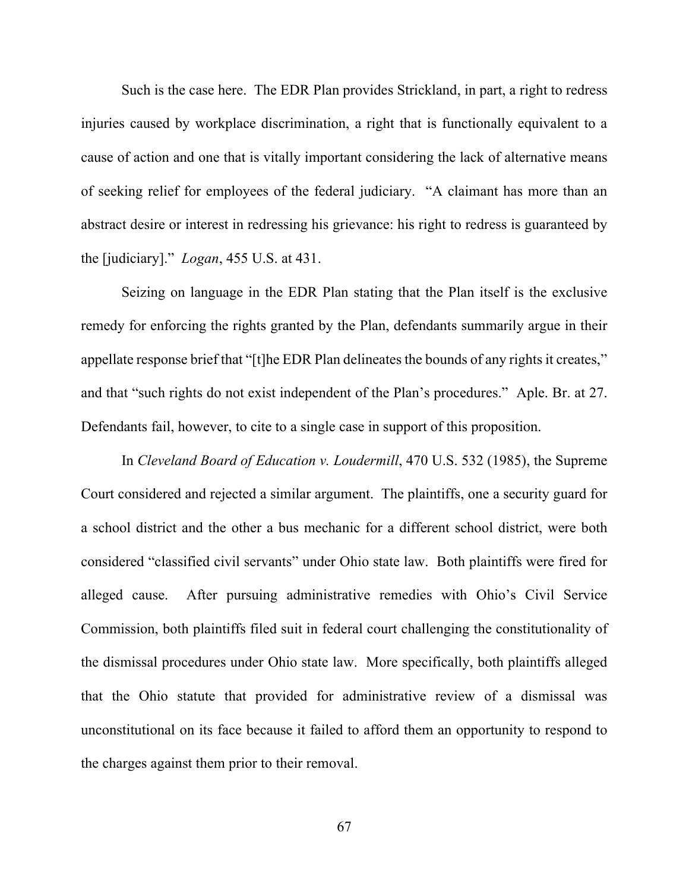Such is the case here. The EDR Plan provides Strickland, in part, a right to redress injuries caused by workplace discrimination, a right that is functionally equivalent to a cause of action and one that is vitally important considering the lack of alternative means of seeking relief for employees of the federal judiciary. "A claimant has more than an abstract desire or interest in redressing his grievance: his right to redress is guaranteed by the [judiciary]." *Logan*, 455 U.S. at 431.

Seizing on language in the EDR Plan stating that the Plan itself is the exclusive remedy for enforcing the rights granted by the Plan, defendants summarily argue in their appellate response brief that "[t]he EDR Plan delineates the bounds of any rights it creates," and that "such rights do not exist independent of the Plan's procedures." Aple. Br. at 27. Defendants fail, however, to cite to a single case in support of this proposition.

In *Cleveland Board of Education v. Loudermill*, 470 U.S. 532 (1985), the Supreme Court considered and rejected a similar argument. The plaintiffs, one a security guard for a school district and the other a bus mechanic for a different school district, were both considered "classified civil servants" under Ohio state law. Both plaintiffs were fired for alleged cause. After pursuing administrative remedies with Ohio's Civil Service Commission, both plaintiffs filed suit in federal court challenging the constitutionality of the dismissal procedures under Ohio state law. More specifically, both plaintiffs alleged that the Ohio statute that provided for administrative review of a dismissal was unconstitutional on its face because it failed to afford them an opportunity to respond to the charges against them prior to their removal.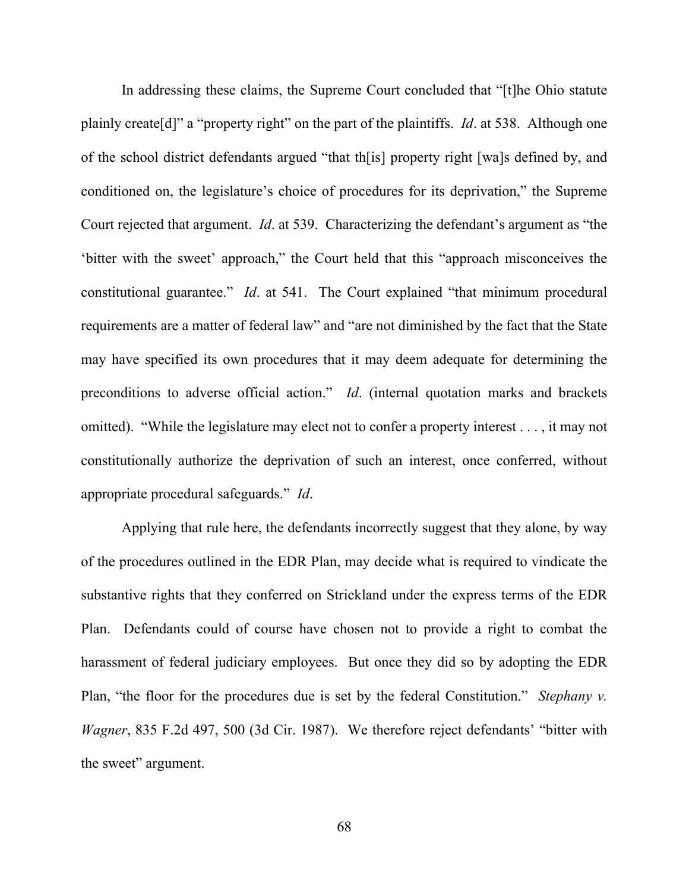In addressing these claims, the Supreme Court concluded that "[t]he Ohio statute plainly create[d]" a "property right" on the part of the plaintiffs. *Id*. at 538. Although one of the school district defendants argued "that th[is] property right [wa]s defined by, and conditioned on, the legislature's choice of procedures for its deprivation," the Supreme Court rejected that argument. *Id*. at 539. Characterizing the defendant's argument as "the 'bitter with the sweet' approach," the Court held that this "approach misconceives the constitutional guarantee." *Id*. at 541. The Court explained "that minimum procedural requirements are a matter of federal law" and "are not diminished by the fact that the State may have specified its own procedures that it may deem adequate for determining the preconditions to adverse official action." *Id*. (internal quotation marks and brackets omitted). "While the legislature may elect not to confer a property interest . . . , it may not constitutionally authorize the deprivation of such an interest, once conferred, without appropriate procedural safeguards." *Id*.

Applying that rule here, the defendants incorrectly suggest that they alone, by way of the procedures outlined in the EDR Plan, may decide what is required to vindicate the substantive rights that they conferred on Strickland under the express terms of the EDR Plan. Defendants could of course have chosen not to provide a right to combat the harassment of federal judiciary employees. But once they did so by adopting the EDR Plan, "the floor for the procedures due is set by the federal Constitution." *Stephany v. Wagner*, 835 F.2d 497, 500 (3d Cir. 1987). We therefore reject defendants' "bitter with the sweet" argument.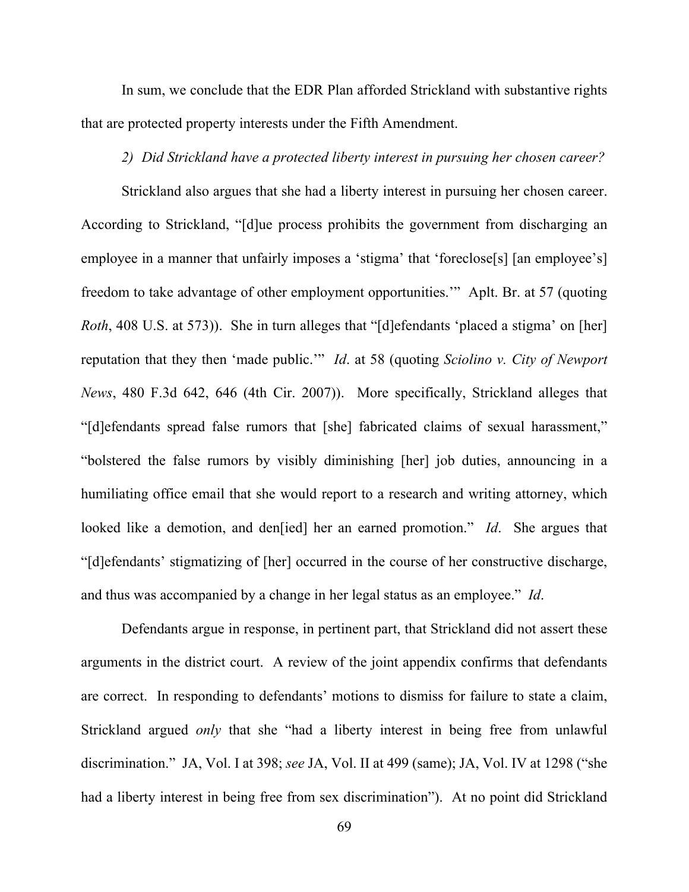In sum, we conclude that the EDR Plan afforded Strickland with substantive rights that are protected property interests under the Fifth Amendment.

### *2) Did Strickland have a protected liberty interest in pursuing her chosen career?*

Strickland also argues that she had a liberty interest in pursuing her chosen career. According to Strickland, "[d]ue process prohibits the government from discharging an employee in a manner that unfairly imposes a 'stigma' that 'foreclose<sup>[s]</sup> [an employee's] freedom to take advantage of other employment opportunities.'" Aplt. Br. at 57 (quoting *Roth*, 408 U.S. at 573)). She in turn alleges that "[d]efendants 'placed a stigma' on [her] reputation that they then 'made public.'" *Id*. at 58 (quoting *Sciolino v. City of Newport News*, 480 F.3d 642, 646 (4th Cir. 2007)). More specifically, Strickland alleges that "[d]efendants spread false rumors that [she] fabricated claims of sexual harassment," "bolstered the false rumors by visibly diminishing [her] job duties, announcing in a humiliating office email that she would report to a research and writing attorney, which looked like a demotion, and den[ied] her an earned promotion." *Id*. She argues that "[d]efendants' stigmatizing of [her] occurred in the course of her constructive discharge, and thus was accompanied by a change in her legal status as an employee." *Id*.

Defendants argue in response, in pertinent part, that Strickland did not assert these arguments in the district court. A review of the joint appendix confirms that defendants are correct. In responding to defendants' motions to dismiss for failure to state a claim, Strickland argued *only* that she "had a liberty interest in being free from unlawful discrimination." JA, Vol. I at 398; *see* JA, Vol. II at 499 (same); JA, Vol. IV at 1298 ("she had a liberty interest in being free from sex discrimination"). At no point did Strickland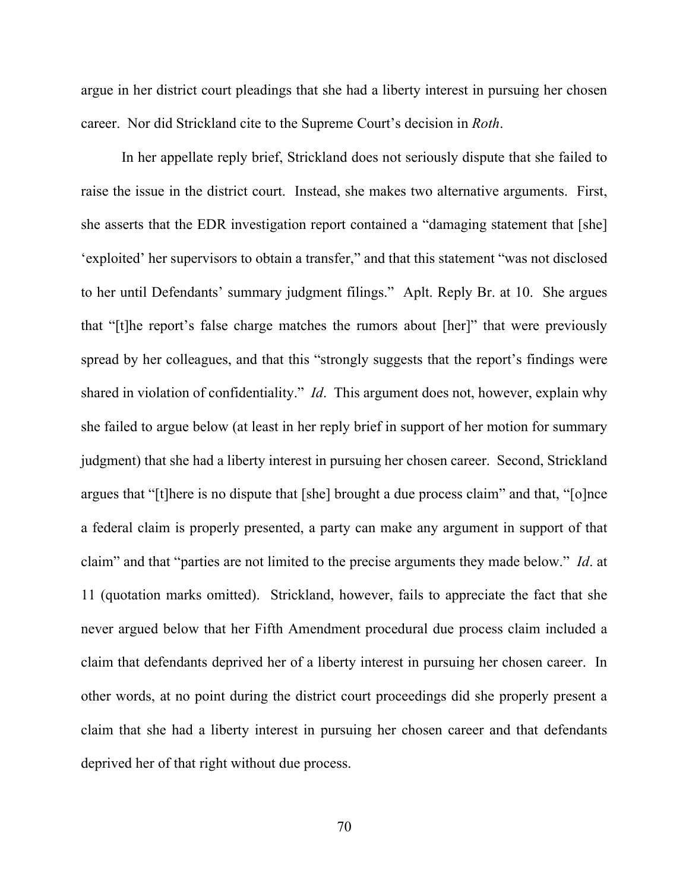argue in her district court pleadings that she had a liberty interest in pursuing her chosen career. Nor did Strickland cite to the Supreme Court's decision in *Roth*.

In her appellate reply brief, Strickland does not seriously dispute that she failed to raise the issue in the district court. Instead, she makes two alternative arguments. First, she asserts that the EDR investigation report contained a "damaging statement that [she] 'exploited' her supervisors to obtain a transfer," and that this statement "was not disclosed to her until Defendants' summary judgment filings." Aplt. Reply Br. at 10. She argues that "[t]he report's false charge matches the rumors about [her]" that were previously spread by her colleagues, and that this "strongly suggests that the report's findings were shared in violation of confidentiality." *Id*. This argument does not, however, explain why she failed to argue below (at least in her reply brief in support of her motion for summary judgment) that she had a liberty interest in pursuing her chosen career. Second, Strickland argues that "[t]here is no dispute that [she] brought a due process claim" and that, "[o]nce a federal claim is properly presented, a party can make any argument in support of that claim" and that "parties are not limited to the precise arguments they made below." *Id*. at 11 (quotation marks omitted). Strickland, however, fails to appreciate the fact that she never argued below that her Fifth Amendment procedural due process claim included a claim that defendants deprived her of a liberty interest in pursuing her chosen career. In other words, at no point during the district court proceedings did she properly present a claim that she had a liberty interest in pursuing her chosen career and that defendants deprived her of that right without due process.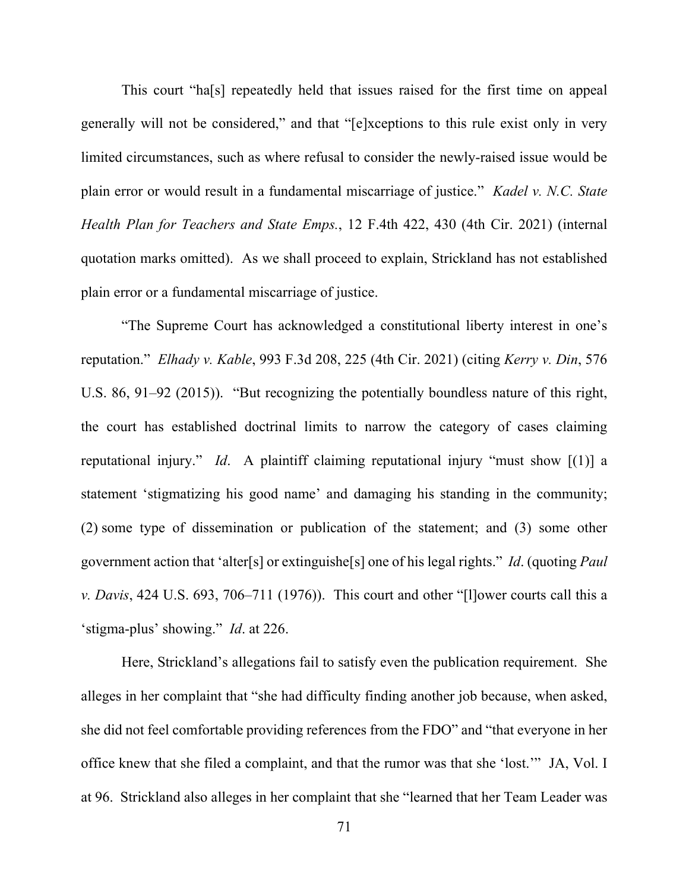This court "ha[s] repeatedly held that issues raised for the first time on appeal generally will not be considered," and that "[e]xceptions to this rule exist only in very limited circumstances, such as where refusal to consider the newly-raised issue would be plain error or would result in a fundamental miscarriage of justice." *Kadel v. N.C. State Health Plan for Teachers and State Emps.*, 12 F.4th 422, 430 (4th Cir. 2021) (internal quotation marks omitted). As we shall proceed to explain, Strickland has not established plain error or a fundamental miscarriage of justice.

"The Supreme Court has acknowledged a constitutional liberty interest in one's reputation." *Elhady v. Kable*, 993 F.3d 208, 225 (4th Cir. 2021) (citing *Kerry v. Din*, 576 U.S. 86, 91–92 (2015)). "But recognizing the potentially boundless nature of this right, the court has established doctrinal limits to narrow the category of cases claiming reputational injury." *Id*. A plaintiff claiming reputational injury "must show [(1)] a statement 'stigmatizing his good name' and damaging his standing in the community; (2) some type of dissemination or publication of the statement; and (3) some other government action that 'alter[s] or extinguishe[s] one of his legal rights." *Id*. (quoting *Paul v. Davis*, 424 U.S. 693, 706–711 (1976)). This court and other "[l]ower courts call this a 'stigma-plus' showing." *Id*. at 226.

Here, Strickland's allegations fail to satisfy even the publication requirement. She alleges in her complaint that "she had difficulty finding another job because, when asked, she did not feel comfortable providing references from the FDO" and "that everyone in her office knew that she filed a complaint, and that the rumor was that she 'lost.'" JA, Vol. I at 96. Strickland also alleges in her complaint that she "learned that her Team Leader was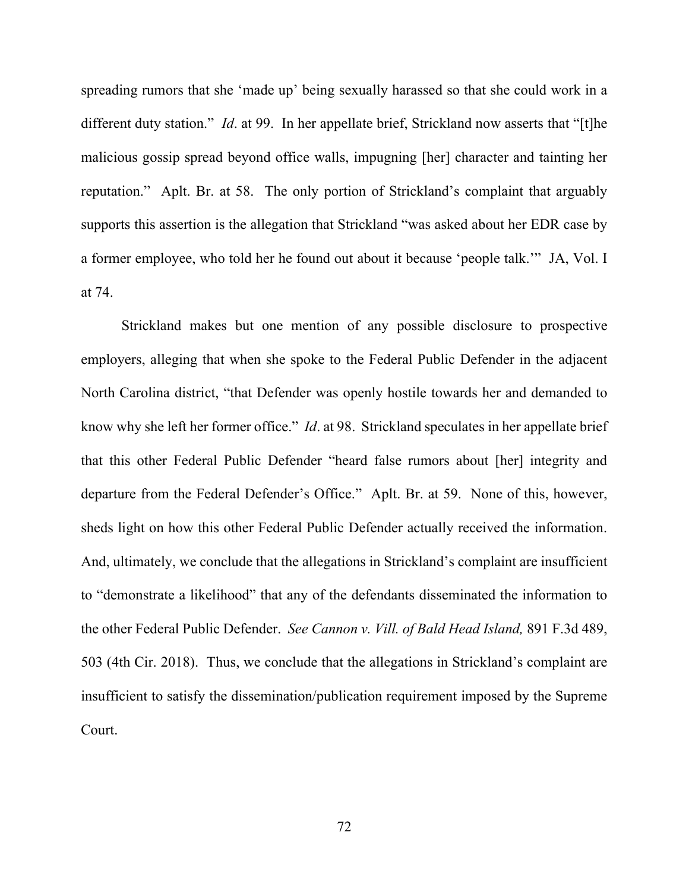spreading rumors that she 'made up' being sexually harassed so that she could work in a different duty station." *Id*. at 99. In her appellate brief, Strickland now asserts that "[t]he malicious gossip spread beyond office walls, impugning [her] character and tainting her reputation." Aplt. Br. at 58. The only portion of Strickland's complaint that arguably supports this assertion is the allegation that Strickland "was asked about her EDR case by a former employee, who told her he found out about it because 'people talk.'" JA, Vol. I at 74.

Strickland makes but one mention of any possible disclosure to prospective employers, alleging that when she spoke to the Federal Public Defender in the adjacent North Carolina district, "that Defender was openly hostile towards her and demanded to know why she left her former office." *Id*. at 98. Strickland speculates in her appellate brief that this other Federal Public Defender "heard false rumors about [her] integrity and departure from the Federal Defender's Office." Aplt. Br. at 59. None of this, however, sheds light on how this other Federal Public Defender actually received the information. And, ultimately, we conclude that the allegations in Strickland's complaint are insufficient to "demonstrate a likelihood" that any of the defendants disseminated the information to the other Federal Public Defender. *See Cannon v. Vill. of Bald Head Island,* 891 F.3d 489, 503 (4th Cir. 2018). Thus, we conclude that the allegations in Strickland's complaint are insufficient to satisfy the dissemination/publication requirement imposed by the Supreme Court.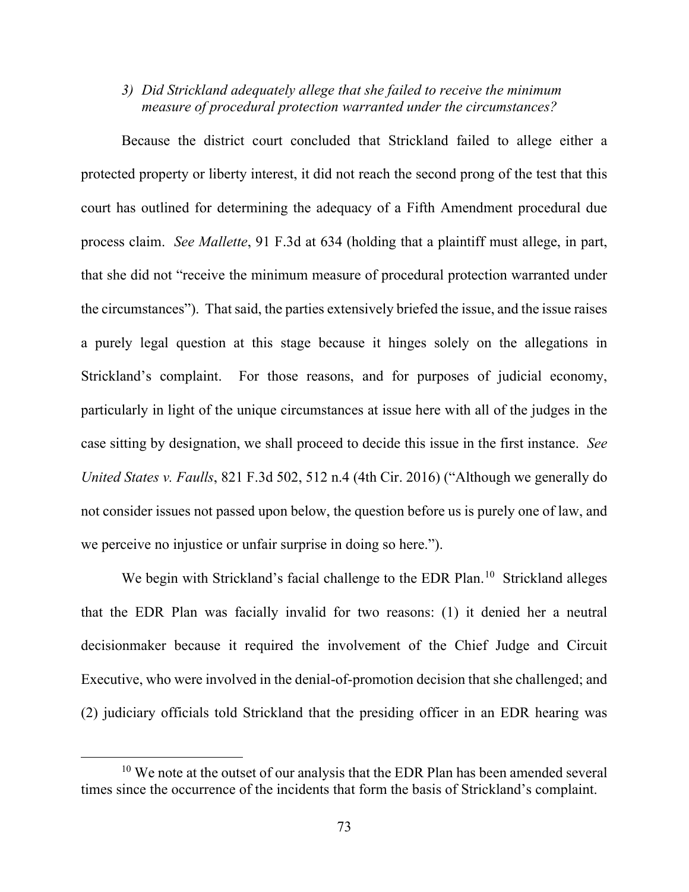*3) Did Strickland adequately allege that she failed to receive the minimum measure of procedural protection warranted under the circumstances?*

Because the district court concluded that Strickland failed to allege either a protected property or liberty interest, it did not reach the second prong of the test that this court has outlined for determining the adequacy of a Fifth Amendment procedural due process claim. *See Mallette*, 91 F.3d at 634 (holding that a plaintiff must allege, in part, that she did not "receive the minimum measure of procedural protection warranted under the circumstances"). That said, the parties extensively briefed the issue, and the issue raises a purely legal question at this stage because it hinges solely on the allegations in Strickland's complaint. For those reasons, and for purposes of judicial economy, particularly in light of the unique circumstances at issue here with all of the judges in the case sitting by designation, we shall proceed to decide this issue in the first instance. *See United States v. Faulls*, 821 F.3d 502, 512 n.4 (4th Cir. 2016) ("Although we generally do not consider issues not passed upon below, the question before us is purely one of law, and we perceive no injustice or unfair surprise in doing so here.").

We begin with Strickland's facial challenge to the EDR Plan.<sup>10</sup> Strickland alleges that the EDR Plan was facially invalid for two reasons: (1) it denied her a neutral decisionmaker because it required the involvement of the Chief Judge and Circuit Executive, who were involved in the denial-of-promotion decision that she challenged; and (2) judiciary officials told Strickland that the presiding officer in an EDR hearing was

<span id="page-72-0"></span><sup>&</sup>lt;sup>10</sup> We note at the outset of our analysis that the EDR Plan has been amended several times since the occurrence of the incidents that form the basis of Strickland's complaint.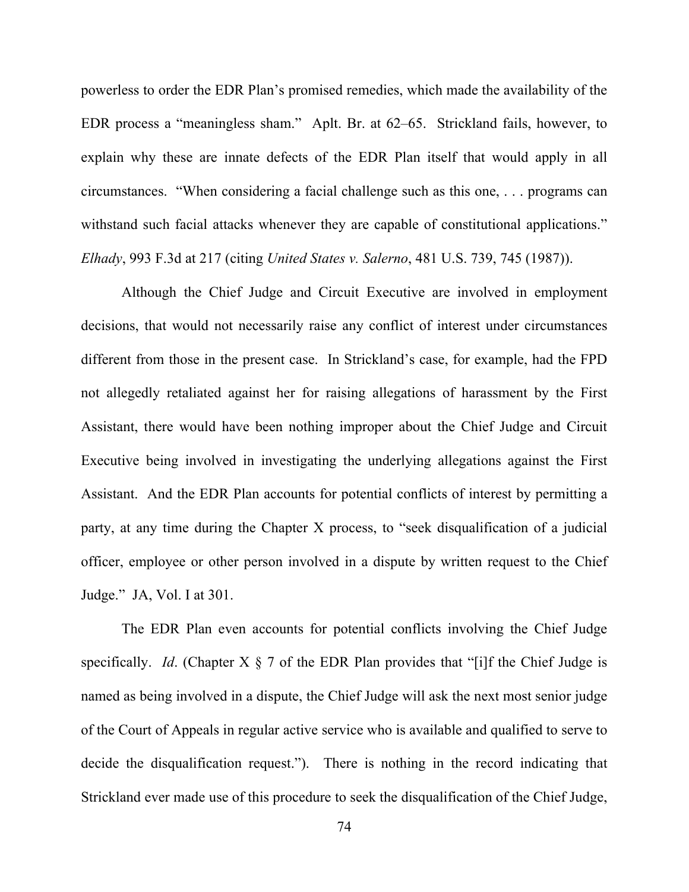powerless to order the EDR Plan's promised remedies, which made the availability of the EDR process a "meaningless sham." Aplt. Br. at 62–65. Strickland fails, however, to explain why these are innate defects of the EDR Plan itself that would apply in all circumstances. "When considering a facial challenge such as this one, . . . programs can withstand such facial attacks whenever they are capable of constitutional applications." *Elhady*, 993 F.3d at 217 (citing *United States v. Salerno*, 481 U.S. 739, 745 (1987)).

Although the Chief Judge and Circuit Executive are involved in employment decisions, that would not necessarily raise any conflict of interest under circumstances different from those in the present case. In Strickland's case, for example, had the FPD not allegedly retaliated against her for raising allegations of harassment by the First Assistant, there would have been nothing improper about the Chief Judge and Circuit Executive being involved in investigating the underlying allegations against the First Assistant. And the EDR Plan accounts for potential conflicts of interest by permitting a party, at any time during the Chapter X process, to "seek disqualification of a judicial officer, employee or other person involved in a dispute by written request to the Chief Judge." JA, Vol. I at 301.

The EDR Plan even accounts for potential conflicts involving the Chief Judge specifically. *Id*. (Chapter X § 7 of the EDR Plan provides that "[i]f the Chief Judge is named as being involved in a dispute, the Chief Judge will ask the next most senior judge of the Court of Appeals in regular active service who is available and qualified to serve to decide the disqualification request."). There is nothing in the record indicating that Strickland ever made use of this procedure to seek the disqualification of the Chief Judge,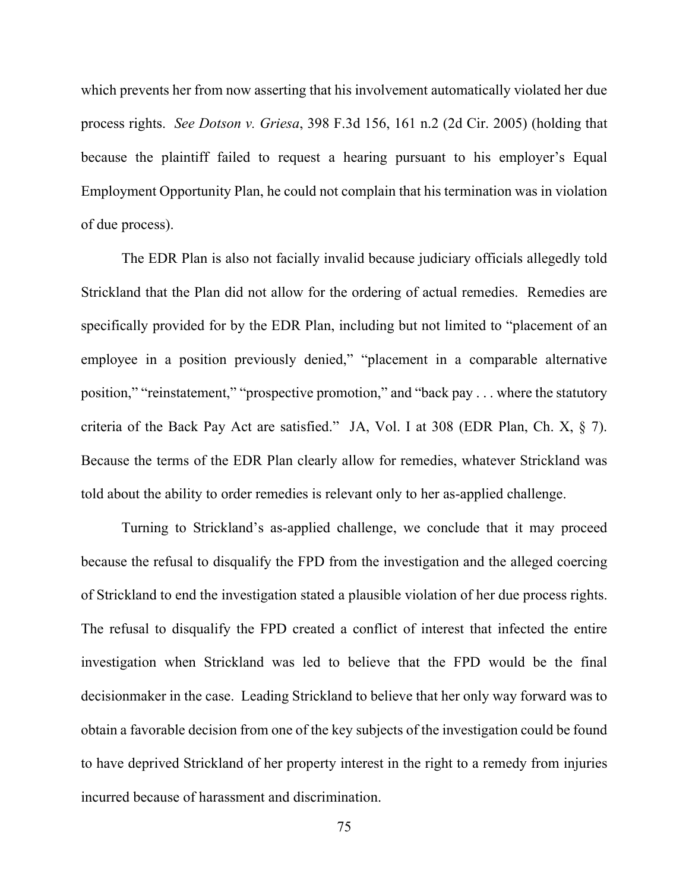which prevents her from now asserting that his involvement automatically violated her due process rights. *See Dotson v. Griesa*, 398 F.3d 156, 161 n.2 (2d Cir. 2005) (holding that because the plaintiff failed to request a hearing pursuant to his employer's Equal Employment Opportunity Plan, he could not complain that his termination was in violation of due process).

The EDR Plan is also not facially invalid because judiciary officials allegedly told Strickland that the Plan did not allow for the ordering of actual remedies. Remedies are specifically provided for by the EDR Plan, including but not limited to "placement of an employee in a position previously denied," "placement in a comparable alternative position," "reinstatement," "prospective promotion," and "back pay . . . where the statutory criteria of the Back Pay Act are satisfied." JA, Vol. I at 308 (EDR Plan, Ch. X, § 7). Because the terms of the EDR Plan clearly allow for remedies, whatever Strickland was told about the ability to order remedies is relevant only to her as-applied challenge.

Turning to Strickland's as-applied challenge, we conclude that it may proceed because the refusal to disqualify the FPD from the investigation and the alleged coercing of Strickland to end the investigation stated a plausible violation of her due process rights. The refusal to disqualify the FPD created a conflict of interest that infected the entire investigation when Strickland was led to believe that the FPD would be the final decisionmaker in the case. Leading Strickland to believe that her only way forward was to obtain a favorable decision from one of the key subjects of the investigation could be found to have deprived Strickland of her property interest in the right to a remedy from injuries incurred because of harassment and discrimination.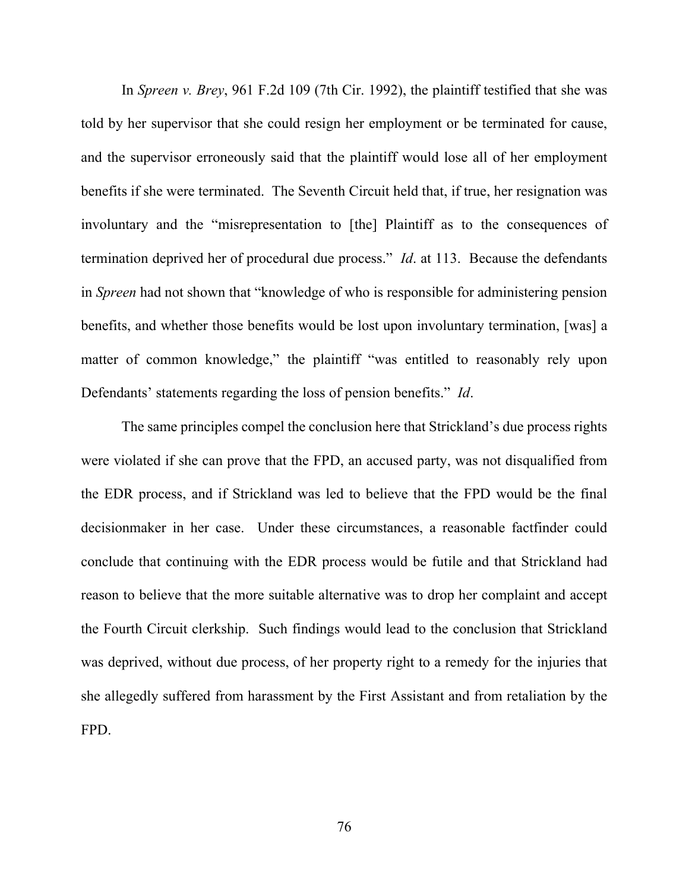In *Spreen v. Brey*, 961 F.2d 109 (7th Cir. 1992), the plaintiff testified that she was told by her supervisor that she could resign her employment or be terminated for cause, and the supervisor erroneously said that the plaintiff would lose all of her employment benefits if she were terminated. The Seventh Circuit held that, if true, her resignation was involuntary and the "misrepresentation to [the] Plaintiff as to the consequences of termination deprived her of procedural due process." *Id*. at 113. Because the defendants in *Spreen* had not shown that "knowledge of who is responsible for administering pension benefits, and whether those benefits would be lost upon involuntary termination, [was] a matter of common knowledge," the plaintiff "was entitled to reasonably rely upon Defendants' statements regarding the loss of pension benefits." *Id*.

The same principles compel the conclusion here that Strickland's due process rights were violated if she can prove that the FPD, an accused party, was not disqualified from the EDR process, and if Strickland was led to believe that the FPD would be the final decisionmaker in her case. Under these circumstances, a reasonable factfinder could conclude that continuing with the EDR process would be futile and that Strickland had reason to believe that the more suitable alternative was to drop her complaint and accept the Fourth Circuit clerkship. Such findings would lead to the conclusion that Strickland was deprived, without due process, of her property right to a remedy for the injuries that she allegedly suffered from harassment by the First Assistant and from retaliation by the FPD.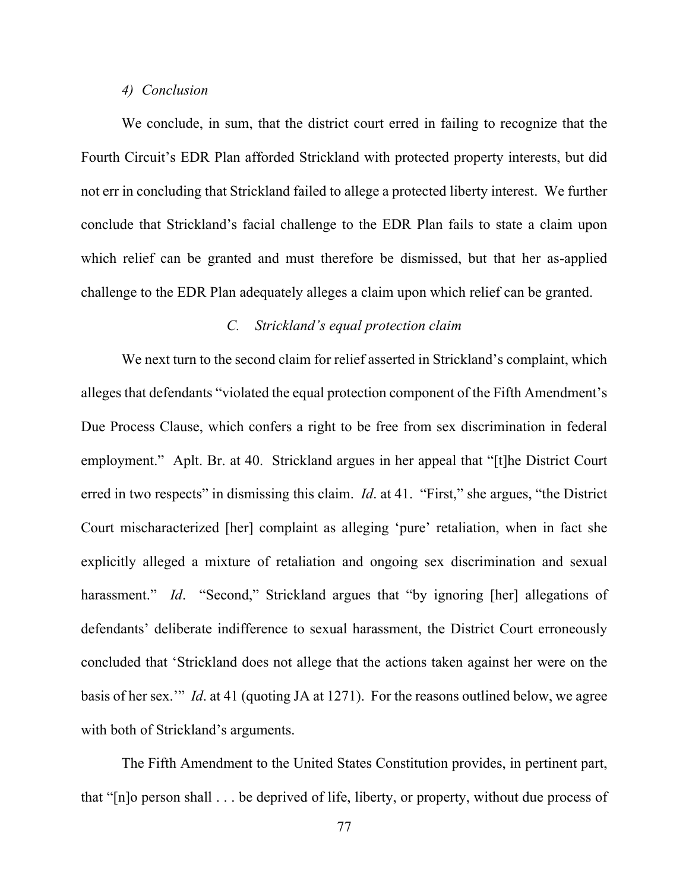#### *4) Conclusion*

We conclude, in sum, that the district court erred in failing to recognize that the Fourth Circuit's EDR Plan afforded Strickland with protected property interests, but did not err in concluding that Strickland failed to allege a protected liberty interest. We further conclude that Strickland's facial challenge to the EDR Plan fails to state a claim upon which relief can be granted and must therefore be dismissed, but that her as-applied challenge to the EDR Plan adequately alleges a claim upon which relief can be granted.

# *C. Strickland's equal protection claim*

We next turn to the second claim for relief asserted in Strickland's complaint, which alleges that defendants "violated the equal protection component of the Fifth Amendment's Due Process Clause, which confers a right to be free from sex discrimination in federal employment." Aplt. Br. at 40. Strickland argues in her appeal that "[t]he District Court erred in two respects" in dismissing this claim. *Id*. at 41. "First," she argues, "the District Court mischaracterized [her] complaint as alleging 'pure' retaliation, when in fact she explicitly alleged a mixture of retaliation and ongoing sex discrimination and sexual harassment." *Id.* "Second," Strickland argues that "by ignoring [her] allegations of defendants' deliberate indifference to sexual harassment, the District Court erroneously concluded that 'Strickland does not allege that the actions taken against her were on the basis of her sex.'" *Id*. at 41 (quoting JA at 1271). For the reasons outlined below, we agree with both of Strickland's arguments.

The Fifth Amendment to the United States Constitution provides, in pertinent part, that "[n]o person shall . . . be deprived of life, liberty, or property, without due process of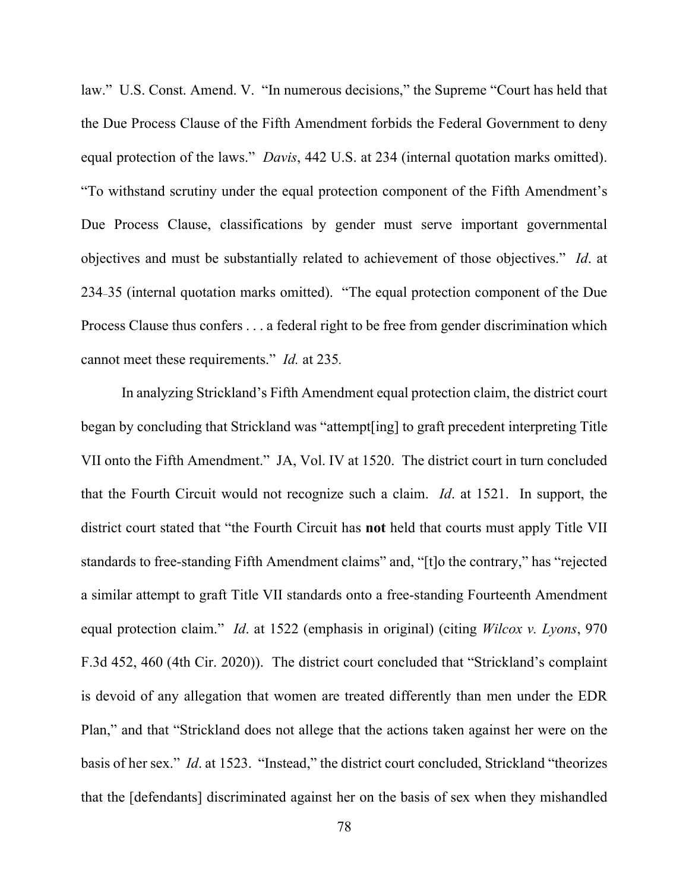law." U.S. Const. Amend. V. "In numerous decisions," the Supreme "Court has held that the Due Process Clause of the Fifth Amendment forbids the Federal Government to deny equal protection of the laws." *Davis*, 442 U.S. at 234 (internal quotation marks omitted). "To withstand scrutiny under the equal protection component of the Fifth Amendment's Due Process Clause, classifications by gender must serve important governmental objectives and must be substantially related to achievement of those objectives." *Id*. at 234₋35 (internal quotation marks omitted). "The equal protection component of the Due Process Clause thus confers . . . a federal right to be free from gender discrimination which cannot meet these requirements." *Id.* at 235*.*

In analyzing Strickland's Fifth Amendment equal protection claim, the district court began by concluding that Strickland was "attempt[ing] to graft precedent interpreting Title VII onto the Fifth Amendment." JA, Vol. IV at 1520. The district court in turn concluded that the Fourth Circuit would not recognize such a claim. *Id*. at 1521. In support, the district court stated that "the Fourth Circuit has **not** held that courts must apply Title VII standards to free-standing Fifth Amendment claims" and, "[t]o the contrary," has "rejected a similar attempt to graft Title VII standards onto a free-standing Fourteenth Amendment equal protection claim." *Id*. at 1522 (emphasis in original) (citing *Wilcox v. Lyons*, 970 F.3d 452, 460 (4th Cir. 2020)). The district court concluded that "Strickland's complaint is devoid of any allegation that women are treated differently than men under the EDR Plan," and that "Strickland does not allege that the actions taken against her were on the basis of her sex." *Id*. at 1523. "Instead," the district court concluded, Strickland "theorizes that the [defendants] discriminated against her on the basis of sex when they mishandled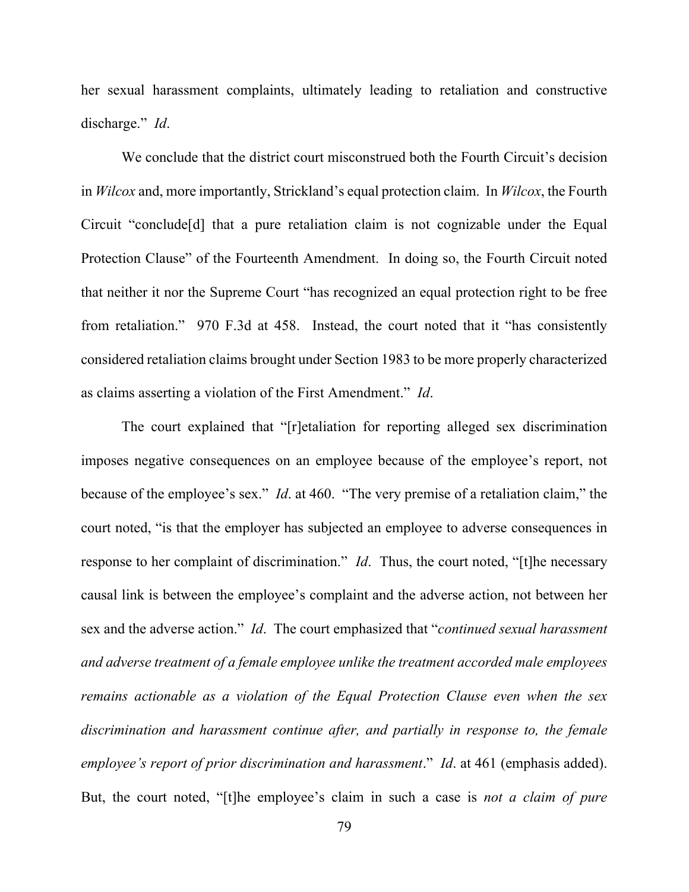her sexual harassment complaints, ultimately leading to retaliation and constructive discharge." *Id*.

We conclude that the district court misconstrued both the Fourth Circuit's decision in *Wilcox* and, more importantly, Strickland's equal protection claim. In *Wilcox*, the Fourth Circuit "conclude[d] that a pure retaliation claim is not cognizable under the Equal Protection Clause" of the Fourteenth Amendment. In doing so, the Fourth Circuit noted that neither it nor the Supreme Court "has recognized an equal protection right to be free from retaliation." 970 F.3d at 458. Instead, the court noted that it "has consistently considered retaliation claims brought under Section 1983 to be more properly characterized as claims asserting a violation of the First Amendment." *Id*.

The court explained that "[r]etaliation for reporting alleged sex discrimination imposes negative consequences on an employee because of the employee's report, not because of the employee's sex." *Id*. at 460. "The very premise of a retaliation claim," the court noted, "is that the employer has subjected an employee to adverse consequences in response to her complaint of discrimination." *Id*. Thus, the court noted, "[t]he necessary causal link is between the employee's complaint and the adverse action, not between her sex and the adverse action." *Id*. The court emphasized that "*continued sexual harassment and adverse treatment of a female employee unlike the treatment accorded male employees remains actionable as a violation of the Equal Protection Clause even when the sex discrimination and harassment continue after, and partially in response to, the female employee's report of prior discrimination and harassment*." *Id*. at 461 (emphasis added). But, the court noted, "[t]he employee's claim in such a case is *not a claim of pure*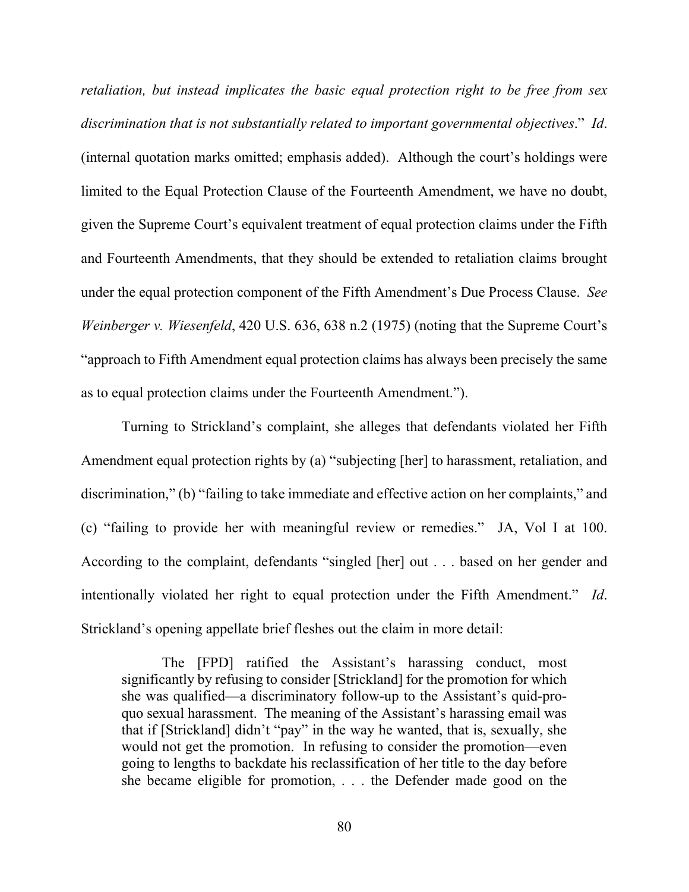*retaliation, but instead implicates the basic equal protection right to be free from sex discrimination that is not substantially related to important governmental objectives*." *Id*. (internal quotation marks omitted; emphasis added). Although the court's holdings were limited to the Equal Protection Clause of the Fourteenth Amendment, we have no doubt, given the Supreme Court's equivalent treatment of equal protection claims under the Fifth and Fourteenth Amendments, that they should be extended to retaliation claims brought under the equal protection component of the Fifth Amendment's Due Process Clause. *See Weinberger v. Wiesenfeld*, 420 U.S. 636, 638 n.2 (1975) (noting that the Supreme Court's "approach to Fifth Amendment equal protection claims has always been precisely the same as to equal protection claims under the Fourteenth Amendment.").

Turning to Strickland's complaint, she alleges that defendants violated her Fifth Amendment equal protection rights by (a) "subjecting [her] to harassment, retaliation, and discrimination," (b) "failing to take immediate and effective action on her complaints," and (c) "failing to provide her with meaningful review or remedies." JA, Vol I at 100. According to the complaint, defendants "singled [her] out . . . based on her gender and intentionally violated her right to equal protection under the Fifth Amendment." *Id*. Strickland's opening appellate brief fleshes out the claim in more detail:

The [FPD] ratified the Assistant's harassing conduct, most significantly by refusing to consider [Strickland] for the promotion for which she was qualified—a discriminatory follow-up to the Assistant's quid-proquo sexual harassment. The meaning of the Assistant's harassing email was that if [Strickland] didn't "pay" in the way he wanted, that is, sexually, she would not get the promotion. In refusing to consider the promotion—even going to lengths to backdate his reclassification of her title to the day before she became eligible for promotion, . . . the Defender made good on the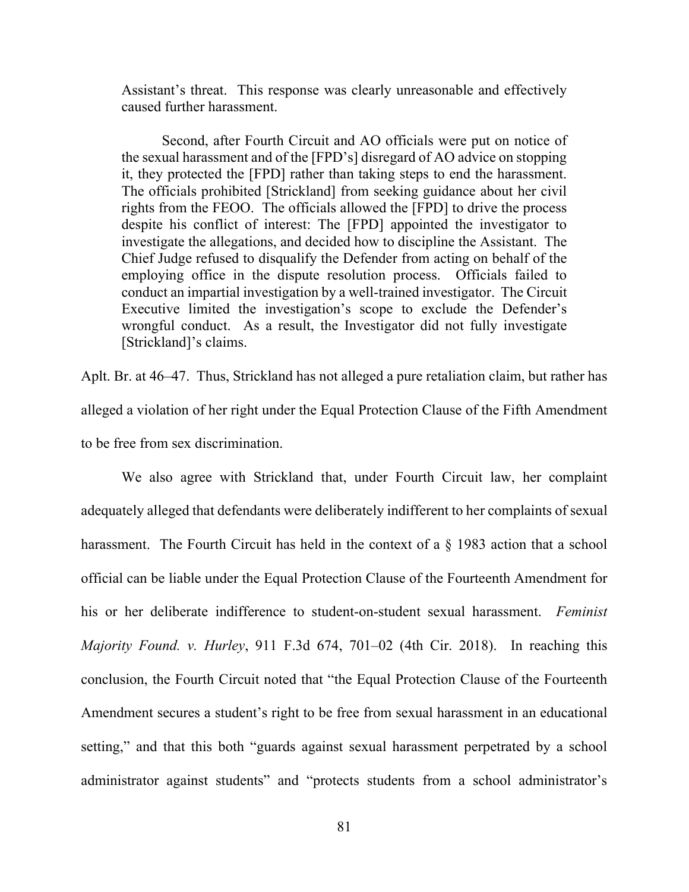Assistant's threat. This response was clearly unreasonable and effectively caused further harassment.

Second, after Fourth Circuit and AO officials were put on notice of the sexual harassment and of the [FPD's] disregard of AO advice on stopping it, they protected the [FPD] rather than taking steps to end the harassment. The officials prohibited [Strickland] from seeking guidance about her civil rights from the FEOO. The officials allowed the [FPD] to drive the process despite his conflict of interest: The [FPD] appointed the investigator to investigate the allegations, and decided how to discipline the Assistant. The Chief Judge refused to disqualify the Defender from acting on behalf of the employing office in the dispute resolution process. Officials failed to conduct an impartial investigation by a well-trained investigator. The Circuit Executive limited the investigation's scope to exclude the Defender's wrongful conduct. As a result, the Investigator did not fully investigate [Strickland]'s claims.

Aplt. Br. at 46–47. Thus, Strickland has not alleged a pure retaliation claim, but rather has alleged a violation of her right under the Equal Protection Clause of the Fifth Amendment to be free from sex discrimination.

We also agree with Strickland that, under Fourth Circuit law, her complaint adequately alleged that defendants were deliberately indifferent to her complaints of sexual harassment. The Fourth Circuit has held in the context of a § 1983 action that a school official can be liable under the Equal Protection Clause of the Fourteenth Amendment for his or her deliberate indifference to student-on-student sexual harassment. *Feminist Majority Found. v. Hurley*, 911 F.3d 674, 701–02 (4th Cir. 2018). In reaching this conclusion, the Fourth Circuit noted that "the Equal Protection Clause of the Fourteenth Amendment secures a student's right to be free from sexual harassment in an educational setting," and that this both "guards against sexual harassment perpetrated by a school administrator against students" and "protects students from a school administrator's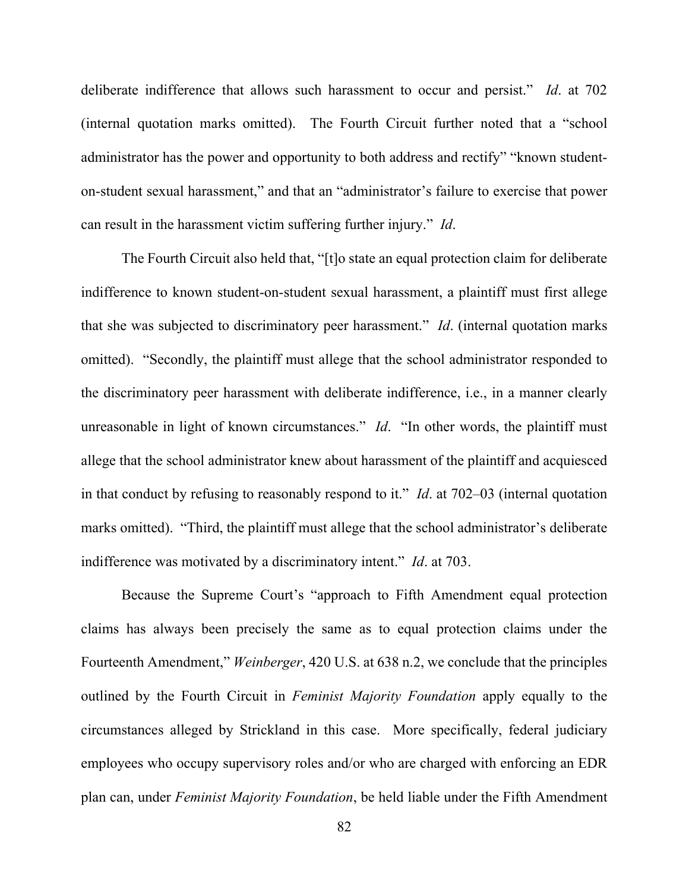deliberate indifference that allows such harassment to occur and persist." *Id*. at 702 (internal quotation marks omitted). The Fourth Circuit further noted that a "school administrator has the power and opportunity to both address and rectify" "known studenton-student sexual harassment," and that an "administrator's failure to exercise that power can result in the harassment victim suffering further injury." *Id*.

The Fourth Circuit also held that, "[t]o state an equal protection claim for deliberate indifference to known student-on-student sexual harassment, a plaintiff must first allege that she was subjected to discriminatory peer harassment." *Id*. (internal quotation marks omitted). "Secondly, the plaintiff must allege that the school administrator responded to the discriminatory peer harassment with deliberate indifference, i.e., in a manner clearly unreasonable in light of known circumstances." *Id*. "In other words, the plaintiff must allege that the school administrator knew about harassment of the plaintiff and acquiesced in that conduct by refusing to reasonably respond to it." *Id*. at 702–03 (internal quotation marks omitted). "Third, the plaintiff must allege that the school administrator's deliberate indifference was motivated by a discriminatory intent." *Id*. at 703.

Because the Supreme Court's "approach to Fifth Amendment equal protection claims has always been precisely the same as to equal protection claims under the Fourteenth Amendment," *Weinberger*, 420 U.S. at 638 n.2, we conclude that the principles outlined by the Fourth Circuit in *Feminist Majority Foundation* apply equally to the circumstances alleged by Strickland in this case. More specifically, federal judiciary employees who occupy supervisory roles and/or who are charged with enforcing an EDR plan can, under *Feminist Majority Foundation*, be held liable under the Fifth Amendment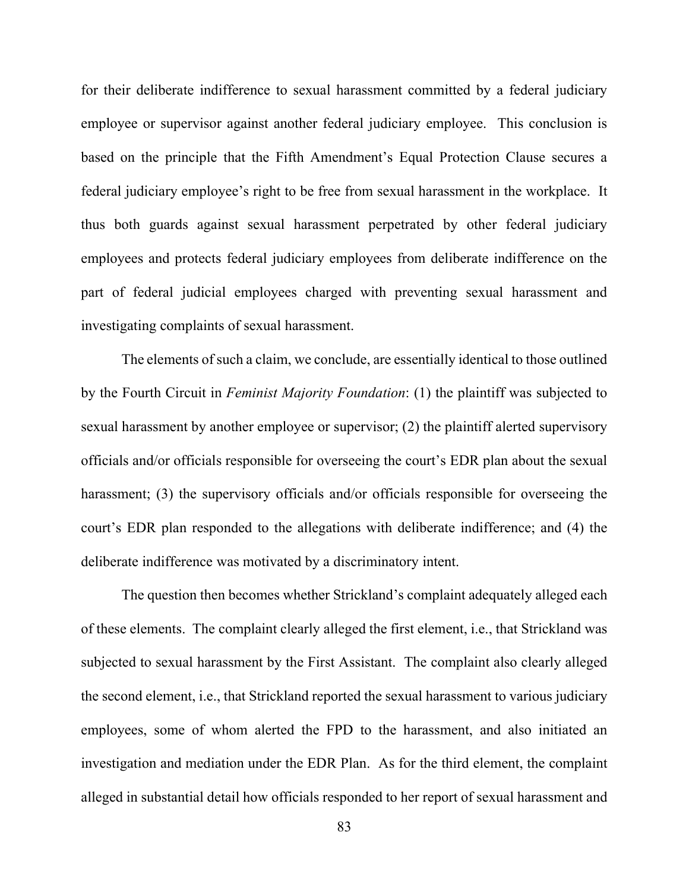for their deliberate indifference to sexual harassment committed by a federal judiciary employee or supervisor against another federal judiciary employee. This conclusion is based on the principle that the Fifth Amendment's Equal Protection Clause secures a federal judiciary employee's right to be free from sexual harassment in the workplace. It thus both guards against sexual harassment perpetrated by other federal judiciary employees and protects federal judiciary employees from deliberate indifference on the part of federal judicial employees charged with preventing sexual harassment and investigating complaints of sexual harassment.

The elements of such a claim, we conclude, are essentially identical to those outlined by the Fourth Circuit in *Feminist Majority Foundation*: (1) the plaintiff was subjected to sexual harassment by another employee or supervisor; (2) the plaintiff alerted supervisory officials and/or officials responsible for overseeing the court's EDR plan about the sexual harassment; (3) the supervisory officials and/or officials responsible for overseeing the court's EDR plan responded to the allegations with deliberate indifference; and (4) the deliberate indifference was motivated by a discriminatory intent.

The question then becomes whether Strickland's complaint adequately alleged each of these elements. The complaint clearly alleged the first element, i.e., that Strickland was subjected to sexual harassment by the First Assistant. The complaint also clearly alleged the second element, i.e., that Strickland reported the sexual harassment to various judiciary employees, some of whom alerted the FPD to the harassment, and also initiated an investigation and mediation under the EDR Plan. As for the third element, the complaint alleged in substantial detail how officials responded to her report of sexual harassment and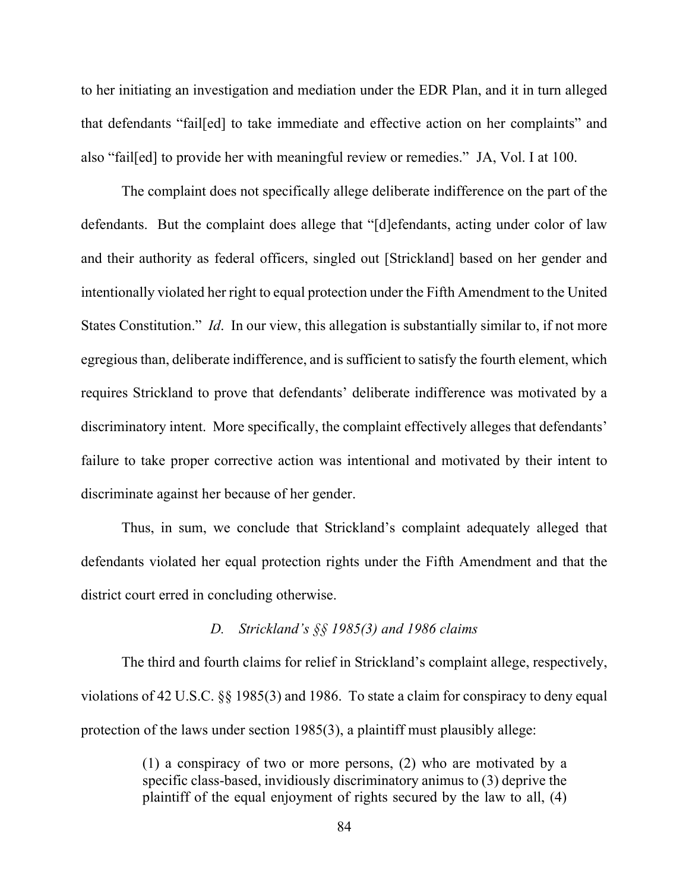to her initiating an investigation and mediation under the EDR Plan, and it in turn alleged that defendants "fail[ed] to take immediate and effective action on her complaints" and also "fail[ed] to provide her with meaningful review or remedies." JA, Vol. I at 100.

The complaint does not specifically allege deliberate indifference on the part of the defendants. But the complaint does allege that "[d]efendants, acting under color of law and their authority as federal officers, singled out [Strickland] based on her gender and intentionally violated her right to equal protection under the Fifth Amendment to the United States Constitution." *Id*. In our view, this allegation is substantially similar to, if not more egregious than, deliberate indifference, and is sufficient to satisfy the fourth element, which requires Strickland to prove that defendants' deliberate indifference was motivated by a discriminatory intent. More specifically, the complaint effectively alleges that defendants' failure to take proper corrective action was intentional and motivated by their intent to discriminate against her because of her gender.

Thus, in sum, we conclude that Strickland's complaint adequately alleged that defendants violated her equal protection rights under the Fifth Amendment and that the district court erred in concluding otherwise.

# *D. Strickland's §§ 1985(3) and 1986 claims*

The third and fourth claims for relief in Strickland's complaint allege, respectively, violations of 42 U.S.C. §§ 1985(3) and 1986. To state a claim for conspiracy to deny equal protection of the laws under section 1985(3), a plaintiff must plausibly allege:

> (1) a conspiracy of two or more persons, (2) who are motivated by a specific class-based, invidiously discriminatory animus to (3) deprive the plaintiff of the equal enjoyment of rights secured by the law to all, (4)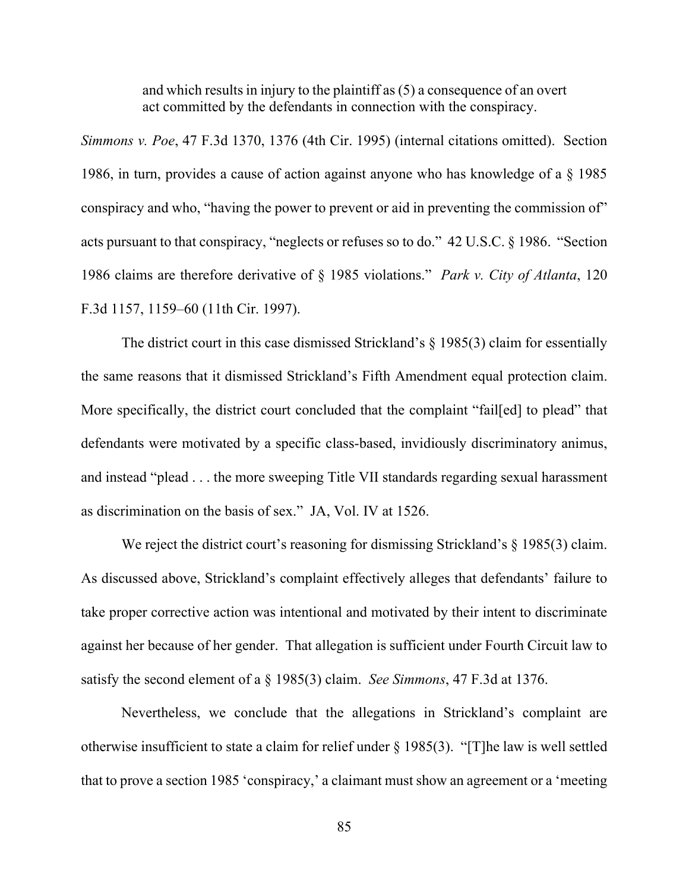and which results in injury to the plaintiff as (5) a consequence of an overt act committed by the defendants in connection with the conspiracy.

*Simmons v. Poe*, 47 F.3d 1370, 1376 (4th Cir. 1995) (internal citations omitted). Section 1986, in turn, provides a cause of action against anyone who has knowledge of a § 1985 conspiracy and who, "having the power to prevent or aid in preventing the commission of" acts pursuant to that conspiracy, "neglects or refuses so to do." 42 U.S.C. § 1986. "Section 1986 claims are therefore derivative of § 1985 violations." *Park v. City of Atlanta*, 120 F.3d 1157, 1159–60 (11th Cir. 1997).

The district court in this case dismissed Strickland's § 1985(3) claim for essentially the same reasons that it dismissed Strickland's Fifth Amendment equal protection claim. More specifically, the district court concluded that the complaint "fail[ed] to plead" that defendants were motivated by a specific class-based, invidiously discriminatory animus, and instead "plead . . . the more sweeping Title VII standards regarding sexual harassment as discrimination on the basis of sex." JA, Vol. IV at 1526.

We reject the district court's reasoning for dismissing Strickland's § 1985(3) claim. As discussed above, Strickland's complaint effectively alleges that defendants' failure to take proper corrective action was intentional and motivated by their intent to discriminate against her because of her gender. That allegation is sufficient under Fourth Circuit law to satisfy the second element of a § 1985(3) claim. *See Simmons*, 47 F.3d at 1376.

Nevertheless, we conclude that the allegations in Strickland's complaint are otherwise insufficient to state a claim for relief under § 1985(3). "[T]he law is well settled that to prove a section 1985 'conspiracy,' a claimant must show an agreement or a 'meeting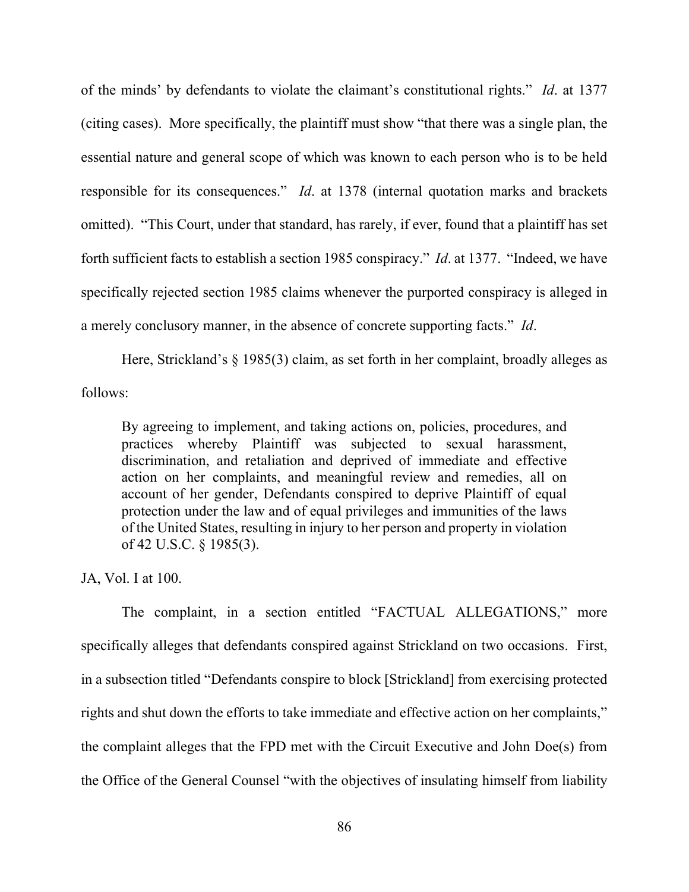of the minds' by defendants to violate the claimant's constitutional rights." *Id*. at 1377 (citing cases). More specifically, the plaintiff must show "that there was a single plan, the essential nature and general scope of which was known to each person who is to be held responsible for its consequences." *Id*. at 1378 (internal quotation marks and brackets omitted). "This Court, under that standard, has rarely, if ever, found that a plaintiff has set forth sufficient facts to establish a section 1985 conspiracy." *Id*. at 1377. "Indeed, we have specifically rejected section 1985 claims whenever the purported conspiracy is alleged in a merely conclusory manner, in the absence of concrete supporting facts." *Id*.

Here, Strickland's  $\S$  1985(3) claim, as set forth in her complaint, broadly alleges as follows:

By agreeing to implement, and taking actions on, policies, procedures, and practices whereby Plaintiff was subjected to sexual harassment, discrimination, and retaliation and deprived of immediate and effective action on her complaints, and meaningful review and remedies, all on account of her gender, Defendants conspired to deprive Plaintiff of equal protection under the law and of equal privileges and immunities of the laws of the United States, resulting in injury to her person and property in violation of 42 U.S.C. § 1985(3).

JA, Vol. I at 100.

The complaint, in a section entitled "FACTUAL ALLEGATIONS," more specifically alleges that defendants conspired against Strickland on two occasions. First, in a subsection titled "Defendants conspire to block [Strickland] from exercising protected rights and shut down the efforts to take immediate and effective action on her complaints," the complaint alleges that the FPD met with the Circuit Executive and John Doe(s) from the Office of the General Counsel "with the objectives of insulating himself from liability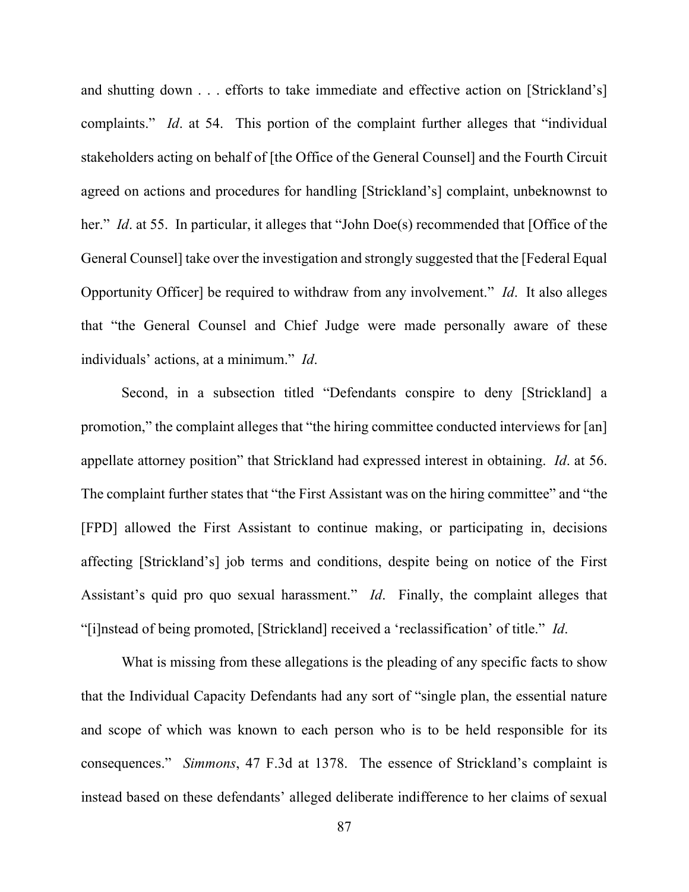and shutting down . . . efforts to take immediate and effective action on [Strickland's] complaints." *Id*. at 54. This portion of the complaint further alleges that "individual stakeholders acting on behalf of [the Office of the General Counsel] and the Fourth Circuit agreed on actions and procedures for handling [Strickland's] complaint, unbeknownst to her." *Id.* at 55. In particular, it alleges that "John Doe(s) recommended that [Office of the General Counsel] take over the investigation and strongly suggested that the [Federal Equal Opportunity Officer] be required to withdraw from any involvement." *Id*. It also alleges that "the General Counsel and Chief Judge were made personally aware of these individuals' actions, at a minimum." *Id*.

Second, in a subsection titled "Defendants conspire to deny [Strickland] a promotion," the complaint alleges that "the hiring committee conducted interviews for [an] appellate attorney position" that Strickland had expressed interest in obtaining. *Id*. at 56. The complaint further states that "the First Assistant was on the hiring committee" and "the [FPD] allowed the First Assistant to continue making, or participating in, decisions affecting [Strickland's] job terms and conditions, despite being on notice of the First Assistant's quid pro quo sexual harassment." *Id*. Finally, the complaint alleges that "[i]nstead of being promoted, [Strickland] received a 'reclassification' of title." *Id*.

What is missing from these allegations is the pleading of any specific facts to show that the Individual Capacity Defendants had any sort of "single plan, the essential nature and scope of which was known to each person who is to be held responsible for its consequences." *Simmons*, 47 F.3d at 1378. The essence of Strickland's complaint is instead based on these defendants' alleged deliberate indifference to her claims of sexual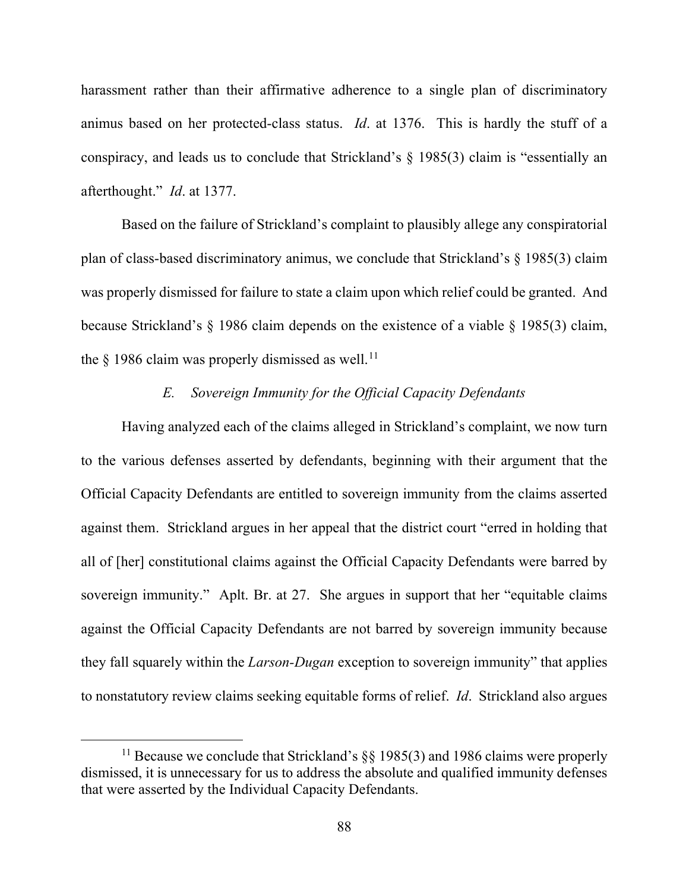harassment rather than their affirmative adherence to a single plan of discriminatory animus based on her protected-class status. *Id*. at 1376. This is hardly the stuff of a conspiracy, and leads us to conclude that Strickland's  $\S$  1985(3) claim is "essentially an afterthought." *Id*. at 1377.

Based on the failure of Strickland's complaint to plausibly allege any conspiratorial plan of class-based discriminatory animus, we conclude that Strickland's § 1985(3) claim was properly dismissed for failure to state a claim upon which relief could be granted. And because Strickland's § 1986 claim depends on the existence of a viable § 1985(3) claim, the  $\S$  1986 claim was properly dismissed as well.<sup>[11](#page-87-0)</sup>

# *E. Sovereign Immunity for the Official Capacity Defendants*

Having analyzed each of the claims alleged in Strickland's complaint, we now turn to the various defenses asserted by defendants, beginning with their argument that the Official Capacity Defendants are entitled to sovereign immunity from the claims asserted against them. Strickland argues in her appeal that the district court "erred in holding that all of [her] constitutional claims against the Official Capacity Defendants were barred by sovereign immunity." Aplt. Br. at 27. She argues in support that her "equitable claims against the Official Capacity Defendants are not barred by sovereign immunity because they fall squarely within the *Larson-Dugan* exception to sovereign immunity" that applies to nonstatutory review claims seeking equitable forms of relief. *Id*. Strickland also argues

<span id="page-87-0"></span><sup>&</sup>lt;sup>11</sup> Because we conclude that Strickland's  $\S$ § 1985(3) and 1986 claims were properly dismissed, it is unnecessary for us to address the absolute and qualified immunity defenses that were asserted by the Individual Capacity Defendants.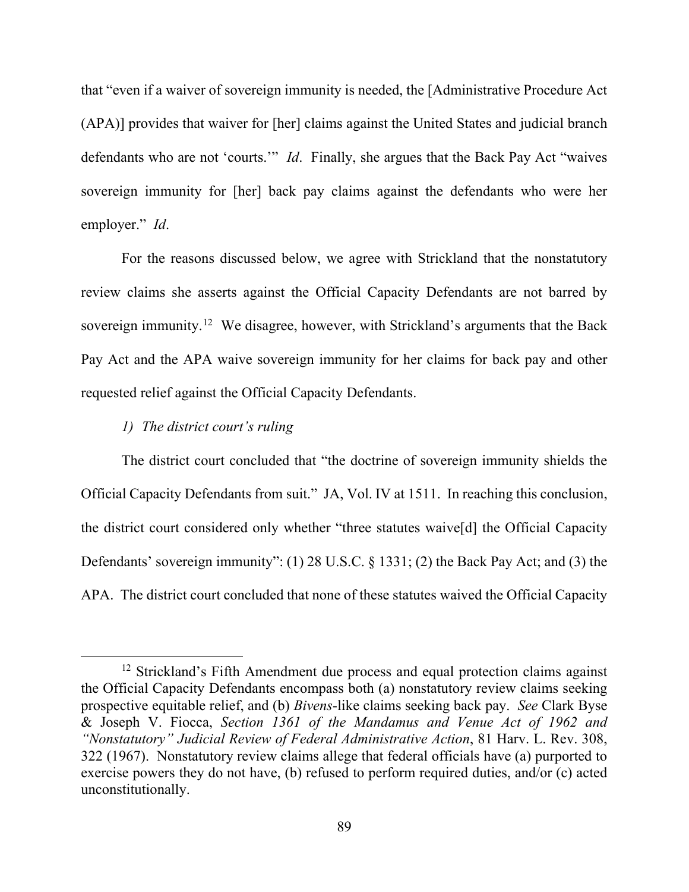that "even if a waiver of sovereign immunity is needed, the [Administrative Procedure Act (APA)] provides that waiver for [her] claims against the United States and judicial branch defendants who are not 'courts.'" *Id*. Finally, she argues that the Back Pay Act "waives sovereign immunity for [her] back pay claims against the defendants who were her employer." *Id*.

For the reasons discussed below, we agree with Strickland that the nonstatutory review claims she asserts against the Official Capacity Defendants are not barred by sovereign immunity.<sup>[12](#page-88-0)</sup> We disagree, however, with Strickland's arguments that the Back Pay Act and the APA waive sovereign immunity for her claims for back pay and other requested relief against the Official Capacity Defendants.

## *1) The district court's ruling*

The district court concluded that "the doctrine of sovereign immunity shields the Official Capacity Defendants from suit." JA, Vol. IV at 1511. In reaching this conclusion, the district court considered only whether "three statutes waive[d] the Official Capacity Defendants' sovereign immunity": (1) 28 U.S.C. § 1331; (2) the Back Pay Act; and (3) the APA. The district court concluded that none of these statutes waived the Official Capacity

<span id="page-88-0"></span> $12$  Strickland's Fifth Amendment due process and equal protection claims against the Official Capacity Defendants encompass both (a) nonstatutory review claims seeking prospective equitable relief, and (b) *Bivens*-like claims seeking back pay. *See* Clark Byse & Joseph V. Fiocca, *Section 1361 of the Mandamus and Venue Act of 1962 and "Nonstatutory" Judicial Review of Federal Administrative Action*, 81 Harv. L. Rev. 308, 322 (1967). Nonstatutory review claims allege that federal officials have (a) purported to exercise powers they do not have, (b) refused to perform required duties, and/or (c) acted unconstitutionally.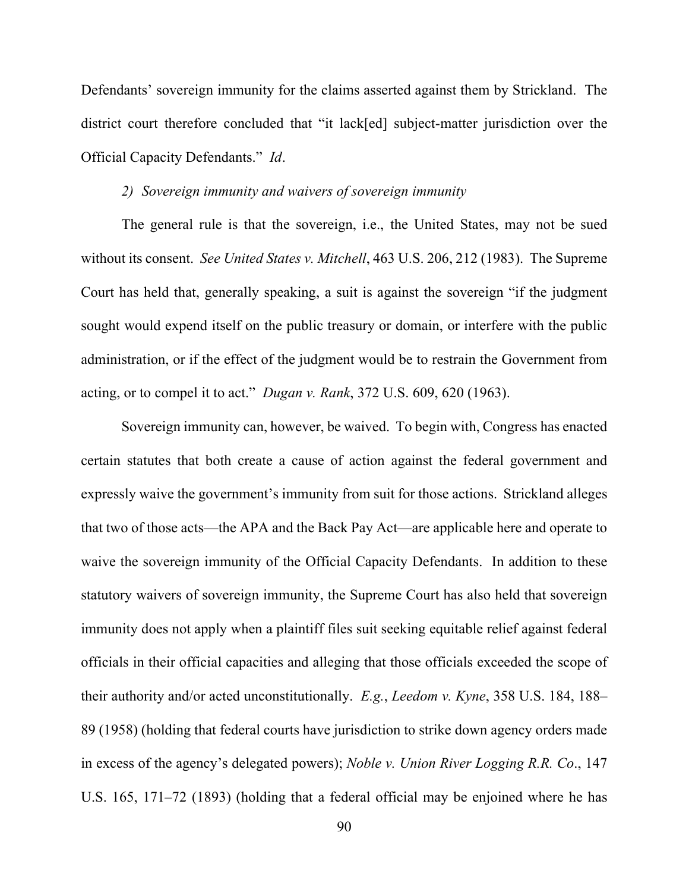Defendants' sovereign immunity for the claims asserted against them by Strickland. The district court therefore concluded that "it lack[ed] subject-matter jurisdiction over the Official Capacity Defendants." *Id*.

#### *2) Sovereign immunity and waivers of sovereign immunity*

The general rule is that the sovereign, i.e., the United States, may not be sued without its consent. *See United States v. Mitchell*, 463 U.S. 206, 212 (1983). The Supreme Court has held that, generally speaking, a suit is against the sovereign "if the judgment sought would expend itself on the public treasury or domain, or interfere with the public administration, or if the effect of the judgment would be to restrain the Government from acting, or to compel it to act." *Dugan v. Rank*, 372 U.S. 609, 620 (1963).

Sovereign immunity can, however, be waived. To begin with, Congress has enacted certain statutes that both create a cause of action against the federal government and expressly waive the government's immunity from suit for those actions. Strickland alleges that two of those acts—the APA and the Back Pay Act—are applicable here and operate to waive the sovereign immunity of the Official Capacity Defendants. In addition to these statutory waivers of sovereign immunity, the Supreme Court has also held that sovereign immunity does not apply when a plaintiff files suit seeking equitable relief against federal officials in their official capacities and alleging that those officials exceeded the scope of their authority and/or acted unconstitutionally. *E.g.*, *Leedom v. Kyne*, 358 U.S. 184, 188– 89 (1958) (holding that federal courts have jurisdiction to strike down agency orders made in excess of the agency's delegated powers); *Noble v. Union River Logging R.R. Co*., 147 U.S. 165, 171–72 (1893) (holding that a federal official may be enjoined where he has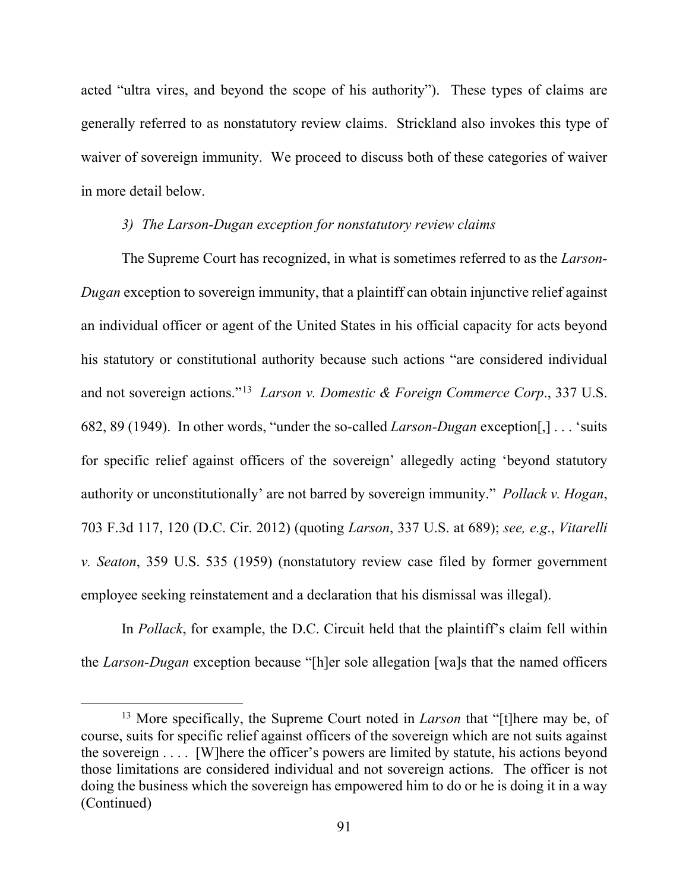acted "ultra vires, and beyond the scope of his authority"). These types of claims are generally referred to as nonstatutory review claims. Strickland also invokes this type of waiver of sovereign immunity. We proceed to discuss both of these categories of waiver in more detail below.

## *3) The Larson-Dugan exception for nonstatutory review claims*

The Supreme Court has recognized, in what is sometimes referred to as the *Larson-Dugan* exception to sovereign immunity, that a plaintiff can obtain injunctive relief against an individual officer or agent of the United States in his official capacity for acts beyond his statutory or constitutional authority because such actions "are considered individual and not sovereign actions."[13](#page-90-0) *Larson v. Domestic & Foreign Commerce Corp*., 337 U.S. 682, 89 (1949). In other words, "under the so-called *Larson-Dugan* exception[,] . . . 'suits for specific relief against officers of the sovereign' allegedly acting 'beyond statutory authority or unconstitutionally' are not barred by sovereign immunity." *Pollack v. Hogan*, 703 F.3d 117, 120 (D.C. Cir. 2012) (quoting *Larson*, 337 U.S. at 689); *see, e.g*., *Vitarelli v. Seaton*, 359 U.S. 535 (1959) (nonstatutory review case filed by former government employee seeking reinstatement and a declaration that his dismissal was illegal).

In *Pollack*, for example, the D.C. Circuit held that the plaintiff's claim fell within the *Larson-Dugan* exception because "[h]er sole allegation [wa]s that the named officers

<span id="page-90-0"></span><sup>13</sup> More specifically, the Supreme Court noted in *Larson* that "[t]here may be, of course, suits for specific relief against officers of the sovereign which are not suits against the sovereign . . . . [W]here the officer's powers are limited by statute, his actions beyond those limitations are considered individual and not sovereign actions. The officer is not doing the business which the sovereign has empowered him to do or he is doing it in a way (Continued)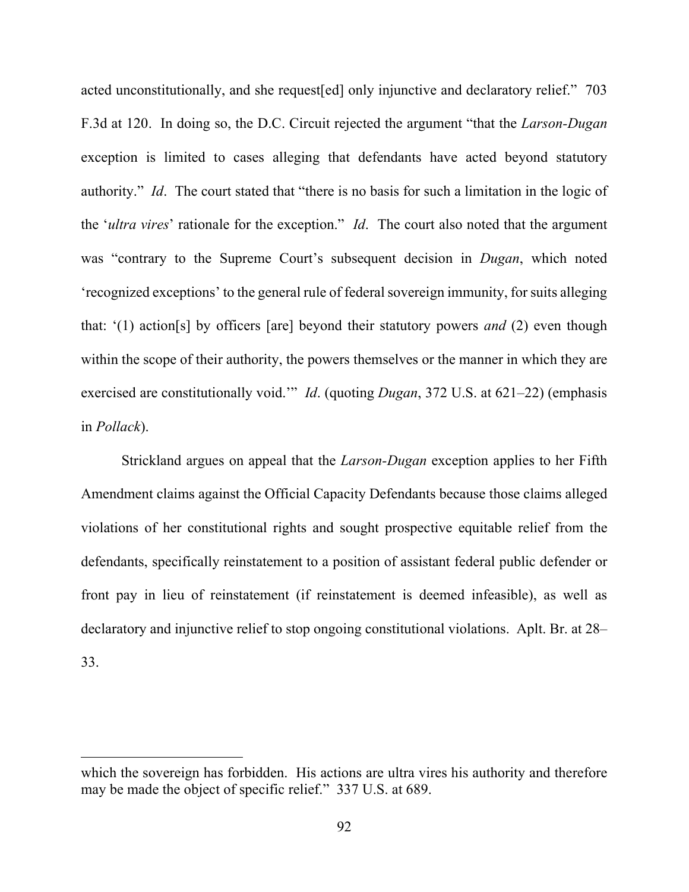acted unconstitutionally, and she request[ed] only injunctive and declaratory relief." 703 F.3d at 120. In doing so, the D.C. Circuit rejected the argument "that the *Larson-Dugan* exception is limited to cases alleging that defendants have acted beyond statutory authority." *Id*. The court stated that "there is no basis for such a limitation in the logic of the '*ultra vires*' rationale for the exception." *Id*. The court also noted that the argument was "contrary to the Supreme Court's subsequent decision in *Dugan*, which noted 'recognized exceptions' to the general rule of federal sovereign immunity, for suits alleging that: '(1) action[s] by officers [are] beyond their statutory powers *and* (2) even though within the scope of their authority, the powers themselves or the manner in which they are exercised are constitutionally void.'" *Id*. (quoting *Dugan*, 372 U.S. at 621–22) (emphasis in *Pollack*).

Strickland argues on appeal that the *Larson-Dugan* exception applies to her Fifth Amendment claims against the Official Capacity Defendants because those claims alleged violations of her constitutional rights and sought prospective equitable relief from the defendants, specifically reinstatement to a position of assistant federal public defender or front pay in lieu of reinstatement (if reinstatement is deemed infeasible), as well as declaratory and injunctive relief to stop ongoing constitutional violations. Aplt. Br. at 28– 33.

which the sovereign has forbidden. His actions are ultra vires his authority and therefore may be made the object of specific relief." 337 U.S. at 689.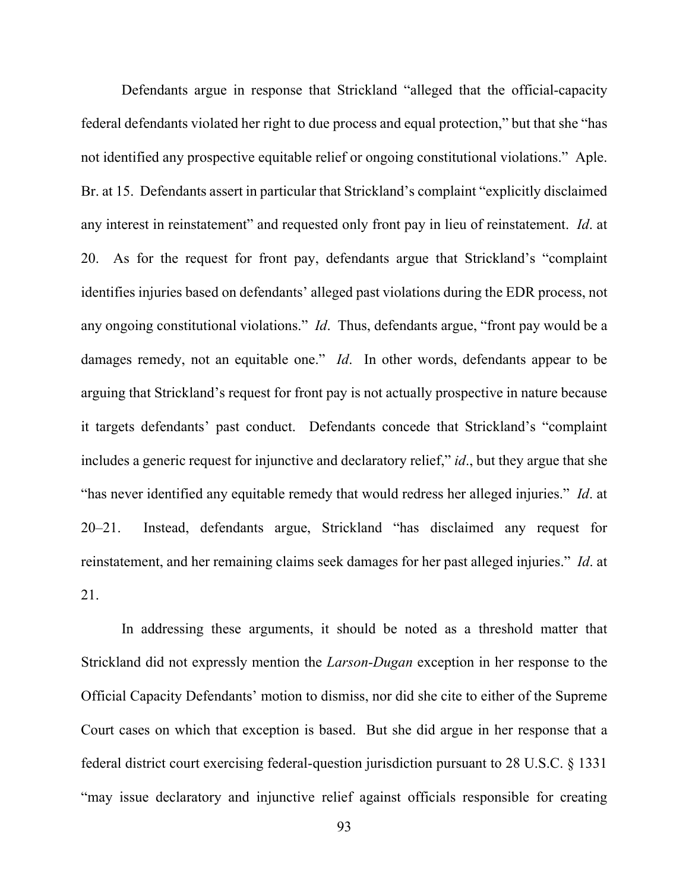Defendants argue in response that Strickland "alleged that the official-capacity federal defendants violated her right to due process and equal protection," but that she "has not identified any prospective equitable relief or ongoing constitutional violations." Aple. Br. at 15. Defendants assert in particular that Strickland's complaint "explicitly disclaimed any interest in reinstatement" and requested only front pay in lieu of reinstatement. *Id*. at 20. As for the request for front pay, defendants argue that Strickland's "complaint identifies injuries based on defendants' alleged past violations during the EDR process, not any ongoing constitutional violations." *Id*. Thus, defendants argue, "front pay would be a damages remedy, not an equitable one." *Id*. In other words, defendants appear to be arguing that Strickland's request for front pay is not actually prospective in nature because it targets defendants' past conduct. Defendants concede that Strickland's "complaint includes a generic request for injunctive and declaratory relief," *id*., but they argue that she "has never identified any equitable remedy that would redress her alleged injuries." *Id*. at 20–21. Instead, defendants argue, Strickland "has disclaimed any request for reinstatement, and her remaining claims seek damages for her past alleged injuries." *Id*. at 21.

In addressing these arguments, it should be noted as a threshold matter that Strickland did not expressly mention the *Larson-Dugan* exception in her response to the Official Capacity Defendants' motion to dismiss, nor did she cite to either of the Supreme Court cases on which that exception is based. But she did argue in her response that a federal district court exercising federal-question jurisdiction pursuant to 28 U.S.C. § 1331 "may issue declaratory and injunctive relief against officials responsible for creating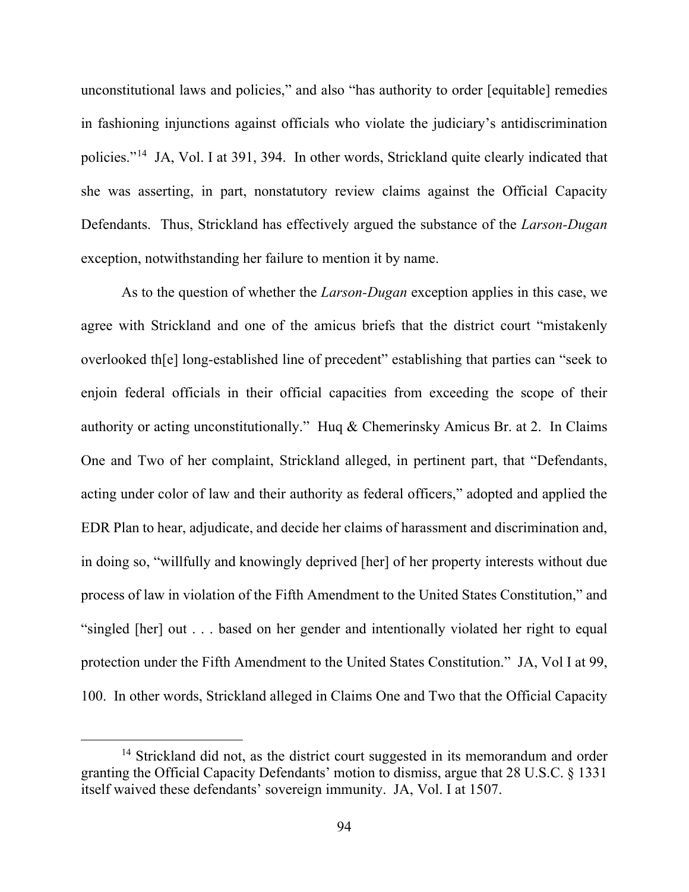unconstitutional laws and policies," and also "has authority to order [equitable] remedies in fashioning injunctions against officials who violate the judiciary's antidiscrimination policies."[14](#page-93-0) JA, Vol. I at 391, 394. In other words, Strickland quite clearly indicated that she was asserting, in part, nonstatutory review claims against the Official Capacity Defendants. Thus, Strickland has effectively argued the substance of the *Larson-Dugan* exception, notwithstanding her failure to mention it by name.

As to the question of whether the *Larson-Dugan* exception applies in this case, we agree with Strickland and one of the amicus briefs that the district court "mistakenly overlooked th[e] long-established line of precedent" establishing that parties can "seek to enjoin federal officials in their official capacities from exceeding the scope of their authority or acting unconstitutionally." Huq & Chemerinsky Amicus Br. at 2. In Claims One and Two of her complaint, Strickland alleged, in pertinent part, that "Defendants, acting under color of law and their authority as federal officers," adopted and applied the EDR Plan to hear, adjudicate, and decide her claims of harassment and discrimination and, in doing so, "willfully and knowingly deprived [her] of her property interests without due process of law in violation of the Fifth Amendment to the United States Constitution," and "singled [her] out . . . based on her gender and intentionally violated her right to equal protection under the Fifth Amendment to the United States Constitution." JA, Vol I at 99, 100. In other words, Strickland alleged in Claims One and Two that the Official Capacity

<span id="page-93-0"></span><sup>&</sup>lt;sup>14</sup> Strickland did not, as the district court suggested in its memorandum and order granting the Official Capacity Defendants' motion to dismiss, argue that 28 U.S.C. § 1331 itself waived these defendants' sovereign immunity. JA, Vol. I at 1507.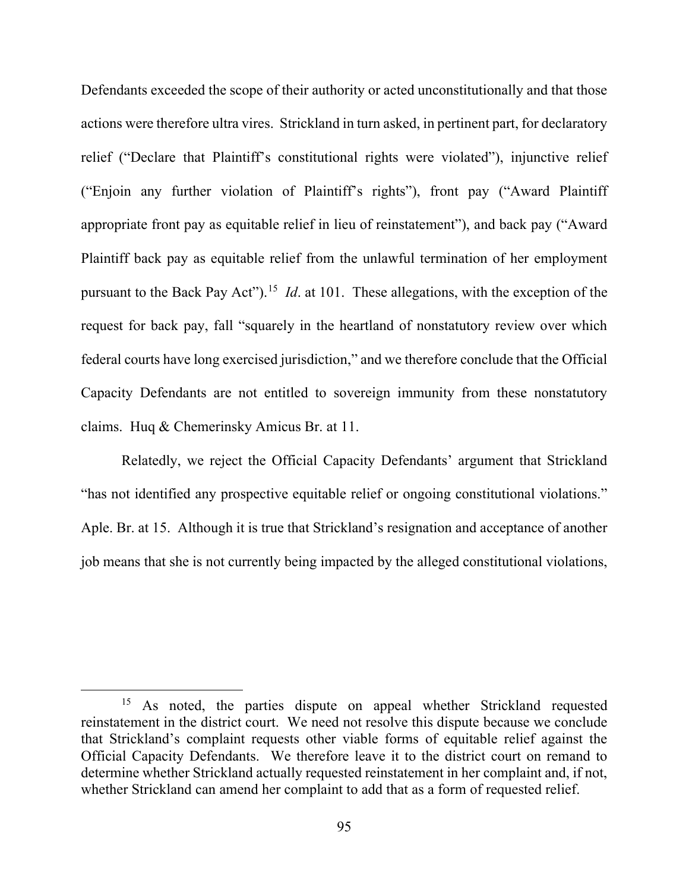Defendants exceeded the scope of their authority or acted unconstitutionally and that those actions were therefore ultra vires. Strickland in turn asked, in pertinent part, for declaratory relief ("Declare that Plaintiff's constitutional rights were violated"), injunctive relief ("Enjoin any further violation of Plaintiff's rights"), front pay ("Award Plaintiff appropriate front pay as equitable relief in lieu of reinstatement"), and back pay ("Award Plaintiff back pay as equitable relief from the unlawful termination of her employment pursuant to the Back Pay Act").[15](#page-94-0) *Id*. at 101. These allegations, with the exception of the request for back pay, fall "squarely in the heartland of nonstatutory review over which federal courts have long exercised jurisdiction," and we therefore conclude that the Official Capacity Defendants are not entitled to sovereign immunity from these nonstatutory claims. Huq & Chemerinsky Amicus Br. at 11.

Relatedly, we reject the Official Capacity Defendants' argument that Strickland "has not identified any prospective equitable relief or ongoing constitutional violations." Aple. Br. at 15. Although it is true that Strickland's resignation and acceptance of another job means that she is not currently being impacted by the alleged constitutional violations,

<span id="page-94-0"></span><sup>&</sup>lt;sup>15</sup> As noted, the parties dispute on appeal whether Strickland requested reinstatement in the district court. We need not resolve this dispute because we conclude that Strickland's complaint requests other viable forms of equitable relief against the Official Capacity Defendants. We therefore leave it to the district court on remand to determine whether Strickland actually requested reinstatement in her complaint and, if not, whether Strickland can amend her complaint to add that as a form of requested relief.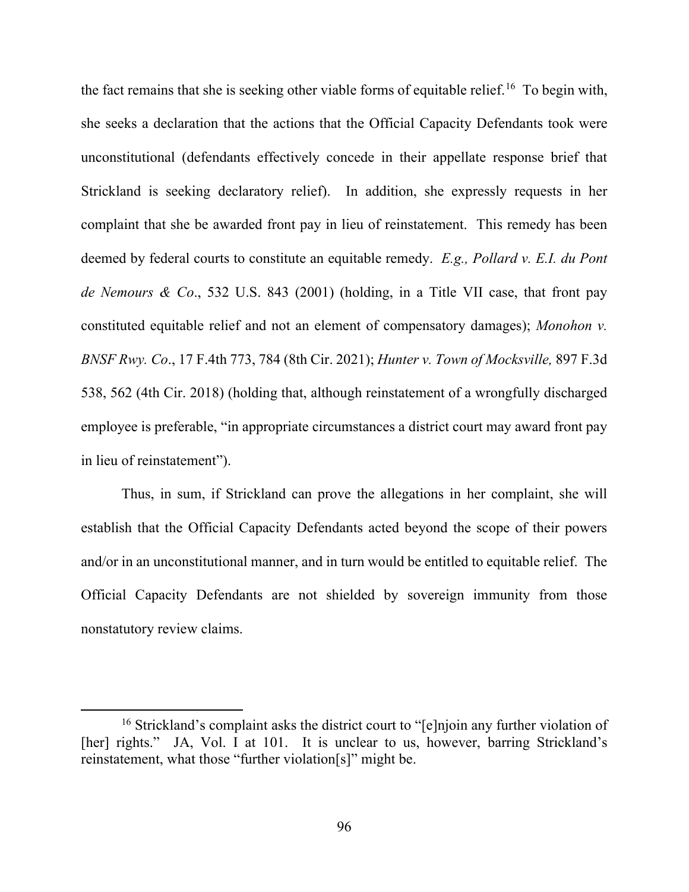the fact remains that she is seeking other viable forms of equitable relief.<sup>[16](#page-95-0)</sup> To begin with, she seeks a declaration that the actions that the Official Capacity Defendants took were unconstitutional (defendants effectively concede in their appellate response brief that Strickland is seeking declaratory relief). In addition, she expressly requests in her complaint that she be awarded front pay in lieu of reinstatement. This remedy has been deemed by federal courts to constitute an equitable remedy. *E.g., Pollard v. E.I. du Pont de Nemours & Co*., 532 U.S. 843 (2001) (holding, in a Title VII case, that front pay constituted equitable relief and not an element of compensatory damages); *Monohon v. BNSF Rwy. Co*., 17 F.4th 773, 784 (8th Cir. 2021); *Hunter v. Town of Mocksville,* 897 F.3d 538, 562 (4th Cir. 2018) (holding that, although reinstatement of a wrongfully discharged employee is preferable, "in appropriate circumstances a district court may award front pay in lieu of reinstatement").

Thus, in sum, if Strickland can prove the allegations in her complaint, she will establish that the Official Capacity Defendants acted beyond the scope of their powers and/or in an unconstitutional manner, and in turn would be entitled to equitable relief. The Official Capacity Defendants are not shielded by sovereign immunity from those nonstatutory review claims.

<span id="page-95-0"></span><sup>&</sup>lt;sup>16</sup> Strickland's complaint asks the district court to "[e]njoin any further violation of [her] rights." JA, Vol. I at 101. It is unclear to us, however, barring Strickland's reinstatement, what those "further violation[s]" might be.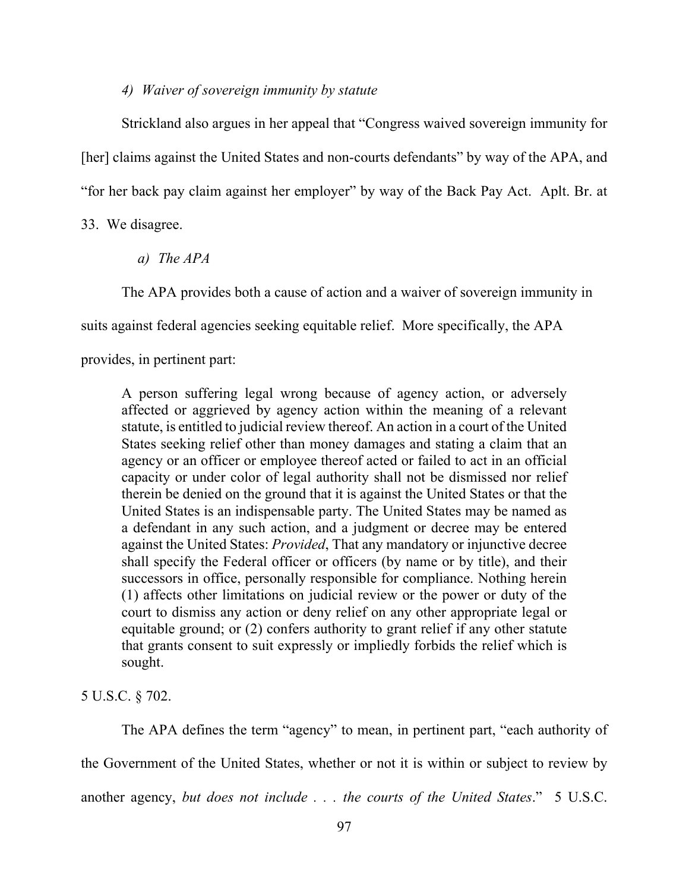### *4) Waiver of sovereign immunity by statute*

Strickland also argues in her appeal that "Congress waived sovereign immunity for [her] claims against the United States and non-courts defendants" by way of the APA, and "for her back pay claim against her employer" by way of the Back Pay Act. Aplt. Br. at

33. We disagree.

*a) The APA*

The APA provides both a cause of action and a waiver of sovereign immunity in

suits against federal agencies seeking equitable relief. More specifically, the APA

provides, in pertinent part:

A person suffering legal wrong because of agency action, or adversely affected or aggrieved by agency action within the meaning of a relevant statute, is entitled to judicial review thereof. An action in a court of the United States seeking relief other than money damages and stating a claim that an agency or an officer or employee thereof acted or failed to act in an official capacity or under color of legal authority shall not be dismissed nor relief therein be denied on the ground that it is against the United States or that the United States is an indispensable party. The United States may be named as a defendant in any such action, and a judgment or decree may be entered against the United States: *Provided*, That any mandatory or injunctive decree shall specify the Federal officer or officers (by name or by title), and their successors in office, personally responsible for compliance. Nothing herein (1) affects other limitations on judicial review or the power or duty of the court to dismiss any action or deny relief on any other appropriate legal or equitable ground; or (2) confers authority to grant relief if any other statute that grants consent to suit expressly or impliedly forbids the relief which is sought.

5 U.S.C. § 702.

The APA defines the term "agency" to mean, in pertinent part, "each authority of the Government of the United States, whether or not it is within or subject to review by another agency, *but does not include . . . the courts of the United States*." 5 U.S.C.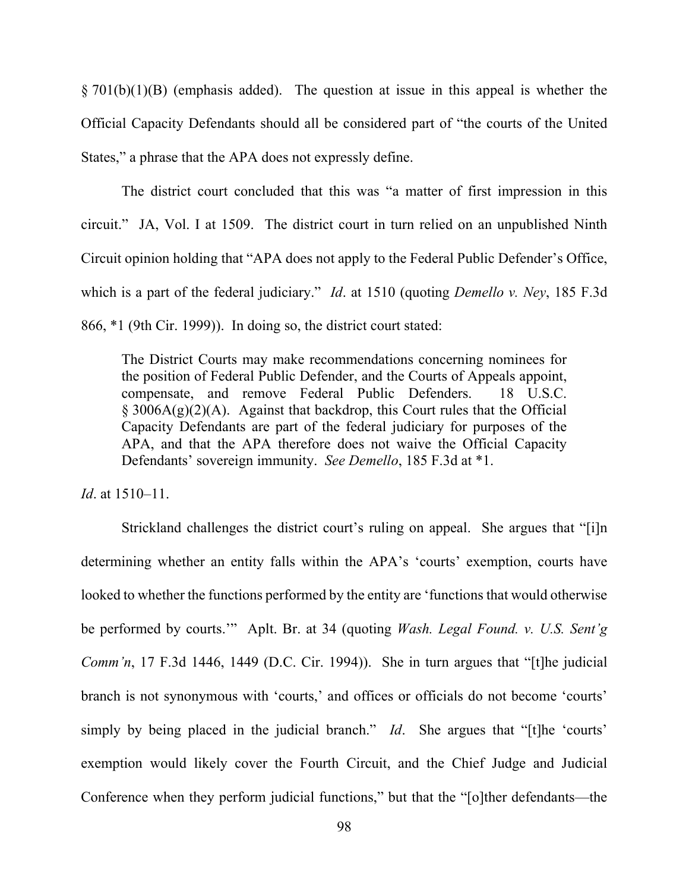$\S 701(b)(1)(B)$  (emphasis added). The question at issue in this appeal is whether the Official Capacity Defendants should all be considered part of "the courts of the United States," a phrase that the APA does not expressly define.

The district court concluded that this was "a matter of first impression in this circuit." JA, Vol. I at 1509. The district court in turn relied on an unpublished Ninth Circuit opinion holding that "APA does not apply to the Federal Public Defender's Office, which is a part of the federal judiciary." *Id*. at 1510 (quoting *Demello v. Ney*, 185 F.3d 866, \*1 (9th Cir. 1999)). In doing so, the district court stated:

The District Courts may make recommendations concerning nominees for the position of Federal Public Defender, and the Courts of Appeals appoint, compensate, and remove Federal Public Defenders. 18 U.S.C.  $\S$  3006A(g)(2)(A). Against that backdrop, this Court rules that the Official Capacity Defendants are part of the federal judiciary for purposes of the APA, and that the APA therefore does not waive the Official Capacity Defendants' sovereign immunity. *See Demello*, 185 F.3d at \*1.

*Id*. at 1510–11.

Strickland challenges the district court's ruling on appeal. She argues that "[i]n determining whether an entity falls within the APA's 'courts' exemption, courts have looked to whether the functions performed by the entity are 'functions that would otherwise be performed by courts.'" Aplt. Br. at 34 (quoting *Wash. Legal Found. v. U.S. Sent'g Comm'n*, 17 F.3d 1446, 1449 (D.C. Cir. 1994)). She in turn argues that "[t]he judicial branch is not synonymous with 'courts,' and offices or officials do not become 'courts' simply by being placed in the judicial branch." *Id*. She argues that "[t]he 'courts' exemption would likely cover the Fourth Circuit, and the Chief Judge and Judicial Conference when they perform judicial functions," but that the "[o]ther defendants—the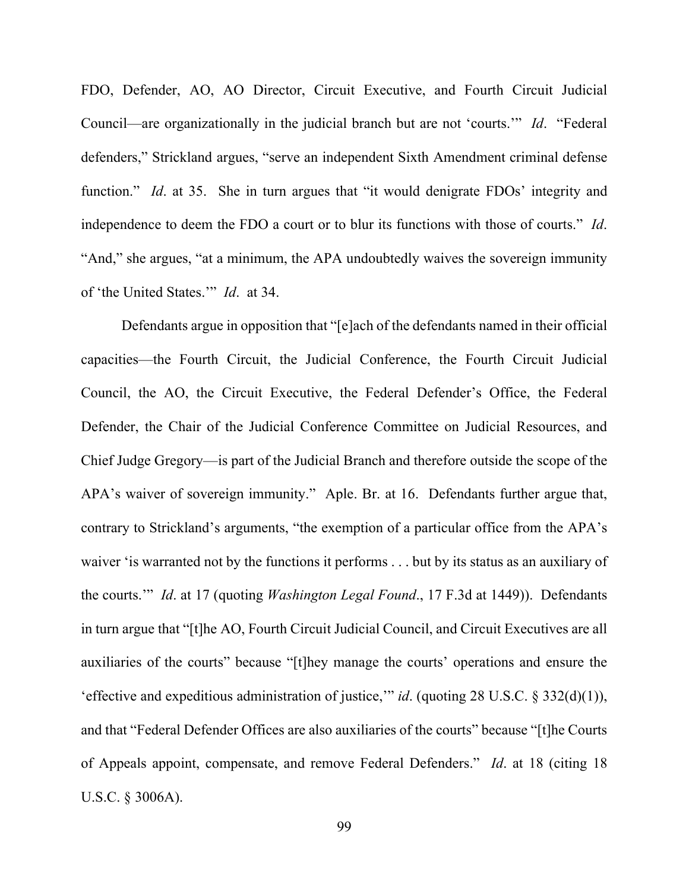FDO, Defender, AO, AO Director, Circuit Executive, and Fourth Circuit Judicial Council—are organizationally in the judicial branch but are not 'courts.'" *Id*. "Federal defenders," Strickland argues, "serve an independent Sixth Amendment criminal defense function." *Id.* at 35. She in turn argues that "it would denigrate FDOs' integrity and independence to deem the FDO a court or to blur its functions with those of courts." *Id*. "And," she argues, "at a minimum, the APA undoubtedly waives the sovereign immunity of 'the United States.'" *Id*. at 34.

Defendants argue in opposition that "[e]ach of the defendants named in their official capacities—the Fourth Circuit, the Judicial Conference, the Fourth Circuit Judicial Council, the AO, the Circuit Executive, the Federal Defender's Office, the Federal Defender, the Chair of the Judicial Conference Committee on Judicial Resources, and Chief Judge Gregory—is part of the Judicial Branch and therefore outside the scope of the APA's waiver of sovereign immunity." Aple. Br. at 16. Defendants further argue that, contrary to Strickland's arguments, "the exemption of a particular office from the APA's waiver 'is warranted not by the functions it performs . . . but by its status as an auxiliary of the courts.'" *Id*. at 17 (quoting *Washington Legal Found*., 17 F.3d at 1449)). Defendants in turn argue that "[t]he AO, Fourth Circuit Judicial Council, and Circuit Executives are all auxiliaries of the courts" because "[t]hey manage the courts' operations and ensure the 'effective and expeditious administration of justice,'" *id*. (quoting 28 U.S.C. § 332(d)(1)), and that "Federal Defender Offices are also auxiliaries of the courts" because "[t]he Courts of Appeals appoint, compensate, and remove Federal Defenders." *Id*. at 18 (citing 18 U.S.C. § 3006A).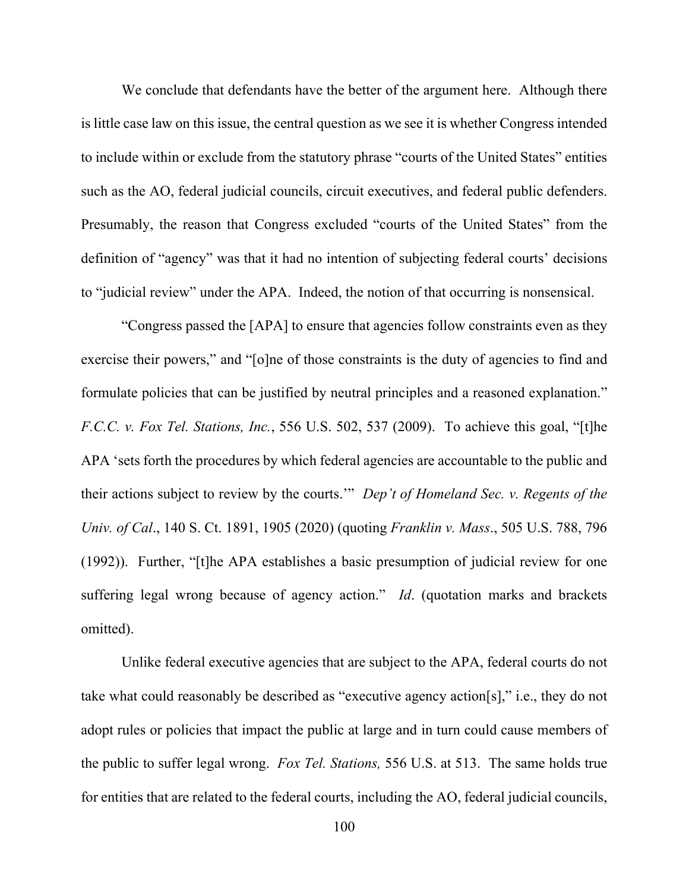We conclude that defendants have the better of the argument here. Although there is little case law on this issue, the central question as we see it is whether Congress intended to include within or exclude from the statutory phrase "courts of the United States" entities such as the AO, federal judicial councils, circuit executives, and federal public defenders. Presumably, the reason that Congress excluded "courts of the United States" from the definition of "agency" was that it had no intention of subjecting federal courts' decisions to "judicial review" under the APA. Indeed, the notion of that occurring is nonsensical.

"Congress passed the [APA] to ensure that agencies follow constraints even as they exercise their powers," and "[o]ne of those constraints is the duty of agencies to find and formulate policies that can be justified by neutral principles and a reasoned explanation." *F.C.C. v. Fox Tel. Stations, Inc.*, 556 U.S. 502, 537 (2009). To achieve this goal, "[t]he APA 'sets forth the procedures by which federal agencies are accountable to the public and their actions subject to review by the courts.'" *Dep't of Homeland Sec. v. Regents of the Univ. of Cal*., 140 S. Ct. 1891, 1905 (2020) (quoting *Franklin v. Mass*., 505 U.S. 788, 796 (1992)). Further, "[t]he APA establishes a basic presumption of judicial review for one suffering legal wrong because of agency action." *Id*. (quotation marks and brackets omitted).

Unlike federal executive agencies that are subject to the APA, federal courts do not take what could reasonably be described as "executive agency action[s]," i.e., they do not adopt rules or policies that impact the public at large and in turn could cause members of the public to suffer legal wrong. *Fox Tel. Stations,* 556 U.S. at 513. The same holds true for entities that are related to the federal courts, including the AO, federal judicial councils,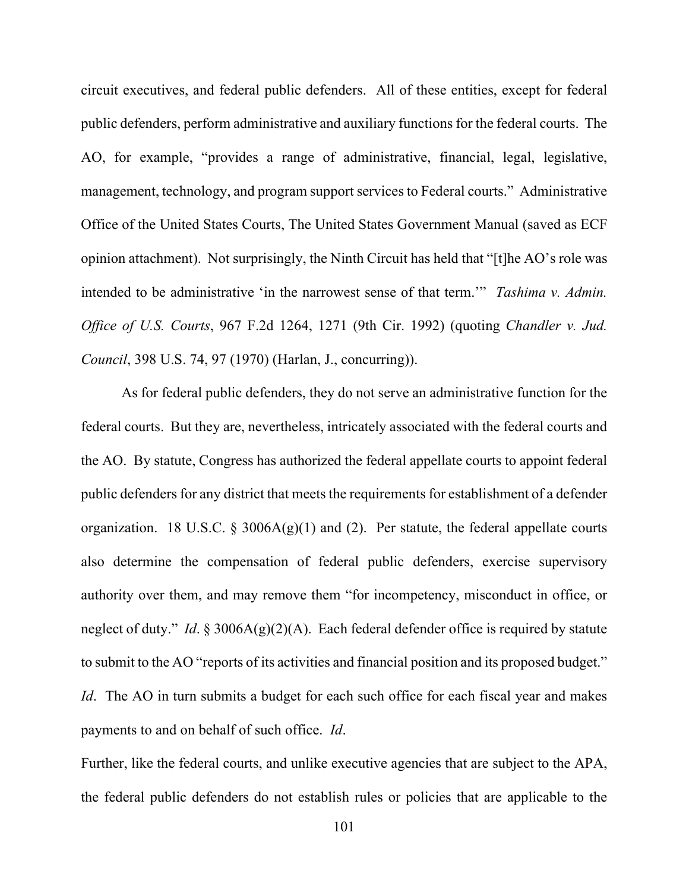circuit executives, and federal public defenders. All of these entities, except for federal public defenders, perform administrative and auxiliary functions for the federal courts. The AO, for example, "provides a range of administrative, financial, legal, legislative, management, technology, and program support services to Federal courts." Administrative Office of the United States Courts, The United States Government Manual (saved as ECF opinion attachment). Not surprisingly, the Ninth Circuit has held that "[t]he AO's role was intended to be administrative 'in the narrowest sense of that term.'" *Tashima v. Admin. Office of U.S. Courts*, 967 F.2d 1264, 1271 (9th Cir. 1992) (quoting *Chandler v. Jud. Council*, 398 U.S. 74, 97 (1970) (Harlan, J., concurring)).

As for federal public defenders, they do not serve an administrative function for the federal courts. But they are, nevertheless, intricately associated with the federal courts and the AO. By statute, Congress has authorized the federal appellate courts to appoint federal public defenders for any district that meets the requirements for establishment of a defender organization. 18 U.S.C. § 3006A(g)(1) and (2). Per statute, the federal appellate courts also determine the compensation of federal public defenders, exercise supervisory authority over them, and may remove them "for incompetency, misconduct in office, or neglect of duty." *Id*. § 3006A(g)(2)(A). Each federal defender office is required by statute to submit to the AO "reports of its activities and financial position and its proposed budget." *Id*. The AO in turn submits a budget for each such office for each fiscal year and makes payments to and on behalf of such office. *Id*.

Further, like the federal courts, and unlike executive agencies that are subject to the APA, the federal public defenders do not establish rules or policies that are applicable to the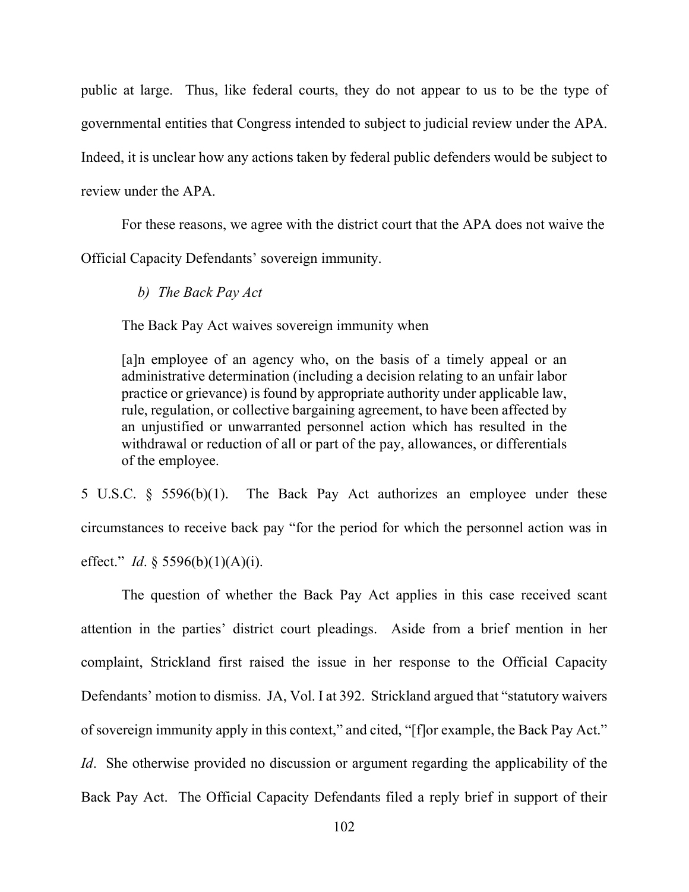public at large. Thus, like federal courts, they do not appear to us to be the type of governmental entities that Congress intended to subject to judicial review under the APA. Indeed, it is unclear how any actions taken by federal public defenders would be subject to review under the APA.

For these reasons, we agree with the district court that the APA does not waive the Official Capacity Defendants' sovereign immunity.

*b) The Back Pay Act*

The Back Pay Act waives sovereign immunity when

[a]n employee of an agency who, on the basis of a timely appeal or an administrative determination (including a decision relating to an unfair labor practice or grievance) is found by appropriate authority under applicable law, rule, regulation, or collective bargaining agreement, to have been affected by an unjustified or unwarranted personnel action which has resulted in the withdrawal or reduction of all or part of the pay, allowances, or differentials of the employee.

5 U.S.C. § 5596(b)(1). The Back Pay Act authorizes an employee under these circumstances to receive back pay "for the period for which the personnel action was in effect." *Id*. § 5596(b)(1)(A)(i).

The question of whether the Back Pay Act applies in this case received scant attention in the parties' district court pleadings. Aside from a brief mention in her complaint, Strickland first raised the issue in her response to the Official Capacity Defendants' motion to dismiss. JA, Vol. I at 392. Strickland argued that "statutory waivers of sovereign immunity apply in this context," and cited, "[f]or example, the Back Pay Act." *Id.* She otherwise provided no discussion or argument regarding the applicability of the Back Pay Act. The Official Capacity Defendants filed a reply brief in support of their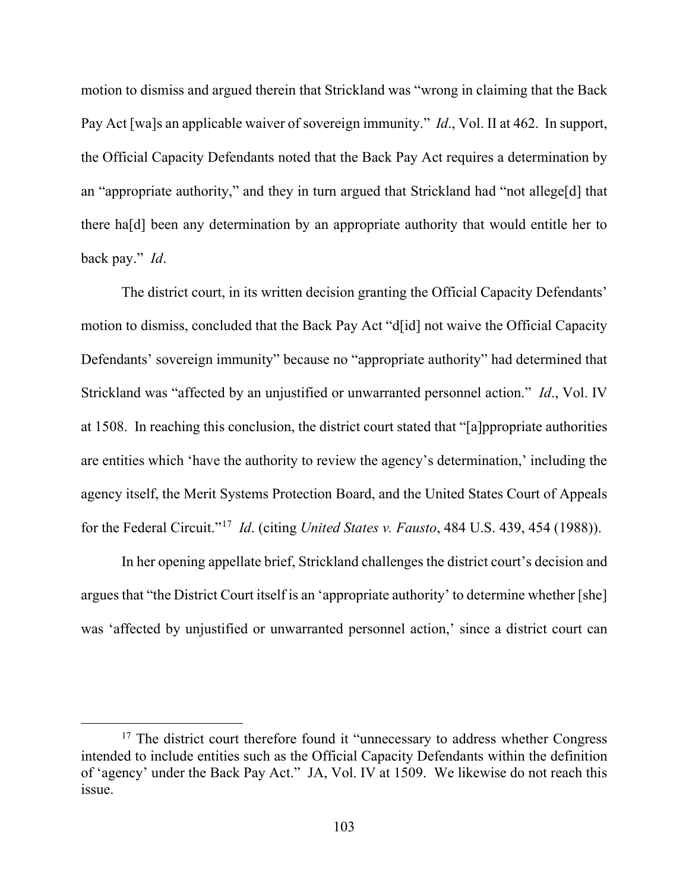motion to dismiss and argued therein that Strickland was "wrong in claiming that the Back Pay Act [wa]s an applicable waiver of sovereign immunity." *Id*., Vol. II at 462. In support, the Official Capacity Defendants noted that the Back Pay Act requires a determination by an "appropriate authority," and they in turn argued that Strickland had "not allege[d] that there ha[d] been any determination by an appropriate authority that would entitle her to back pay." *Id*.

The district court, in its written decision granting the Official Capacity Defendants' motion to dismiss, concluded that the Back Pay Act "d[id] not waive the Official Capacity Defendants' sovereign immunity" because no "appropriate authority" had determined that Strickland was "affected by an unjustified or unwarranted personnel action." *Id*., Vol. IV at 1508. In reaching this conclusion, the district court stated that "[a]ppropriate authorities are entities which 'have the authority to review the agency's determination,' including the agency itself, the Merit Systems Protection Board, and the United States Court of Appeals for the Federal Circuit."[17](#page-102-0) *Id*. (citing *United States v. Fausto*, 484 U.S. 439, 454 (1988)).

In her opening appellate brief, Strickland challenges the district court's decision and argues that "the District Court itself is an 'appropriate authority' to determine whether [she] was 'affected by unjustified or unwarranted personnel action,' since a district court can

<span id="page-102-0"></span> $17$  The district court therefore found it "unnecessary to address whether Congress intended to include entities such as the Official Capacity Defendants within the definition of 'agency' under the Back Pay Act." JA, Vol. IV at 1509. We likewise do not reach this issue.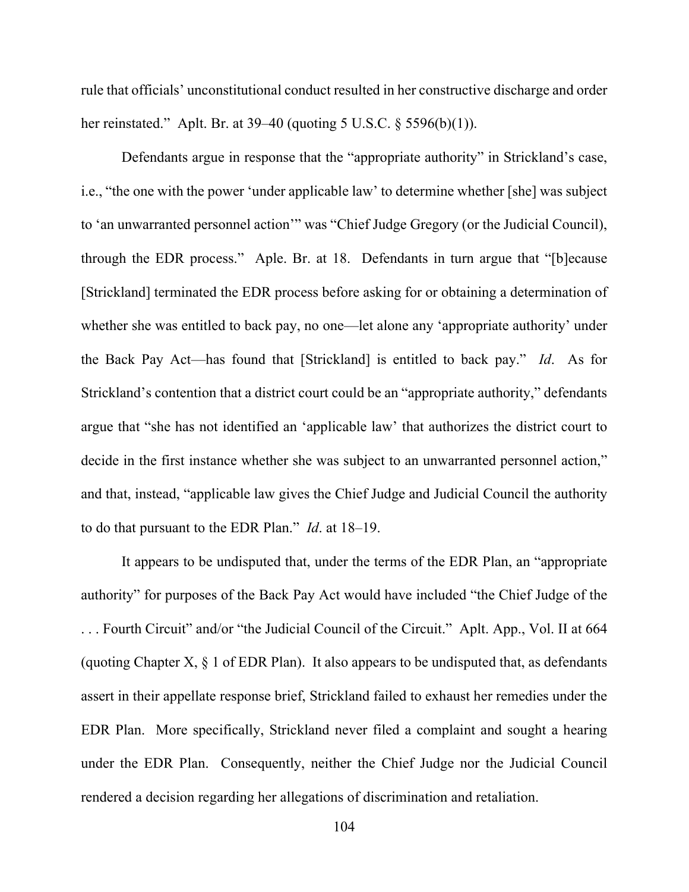rule that officials' unconstitutional conduct resulted in her constructive discharge and order her reinstated." Aplt. Br. at 39–40 (quoting 5 U.S.C. § 5596(b)(1)).

Defendants argue in response that the "appropriate authority" in Strickland's case, i.e., "the one with the power 'under applicable law' to determine whether [she] was subject to 'an unwarranted personnel action'" was "Chief Judge Gregory (or the Judicial Council), through the EDR process." Aple. Br. at 18. Defendants in turn argue that "[b]ecause [Strickland] terminated the EDR process before asking for or obtaining a determination of whether she was entitled to back pay, no one—let alone any 'appropriate authority' under the Back Pay Act—has found that [Strickland] is entitled to back pay." *Id*. As for Strickland's contention that a district court could be an "appropriate authority," defendants argue that "she has not identified an 'applicable law' that authorizes the district court to decide in the first instance whether she was subject to an unwarranted personnel action," and that, instead, "applicable law gives the Chief Judge and Judicial Council the authority to do that pursuant to the EDR Plan." *Id*. at 18–19.

It appears to be undisputed that, under the terms of the EDR Plan, an "appropriate authority" for purposes of the Back Pay Act would have included "the Chief Judge of the . . . Fourth Circuit" and/or "the Judicial Council of the Circuit." Aplt. App., Vol. II at 664 (quoting Chapter X, § 1 of EDR Plan). It also appears to be undisputed that, as defendants assert in their appellate response brief, Strickland failed to exhaust her remedies under the EDR Plan. More specifically, Strickland never filed a complaint and sought a hearing under the EDR Plan. Consequently, neither the Chief Judge nor the Judicial Council rendered a decision regarding her allegations of discrimination and retaliation.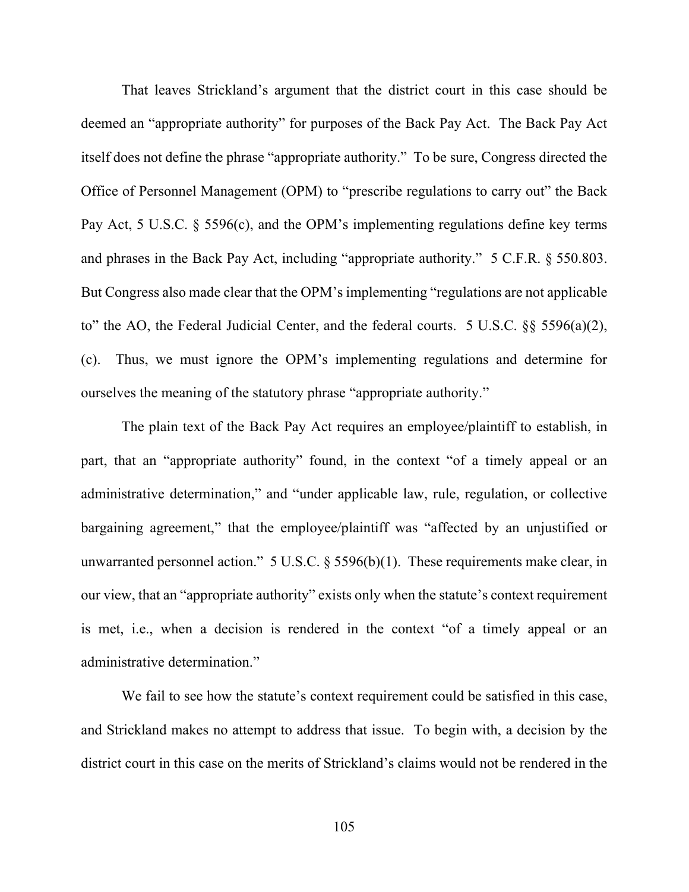That leaves Strickland's argument that the district court in this case should be deemed an "appropriate authority" for purposes of the Back Pay Act. The Back Pay Act itself does not define the phrase "appropriate authority." To be sure, Congress directed the Office of Personnel Management (OPM) to "prescribe regulations to carry out" the Back Pay Act, 5 U.S.C. § 5596(c), and the OPM's implementing regulations define key terms and phrases in the Back Pay Act, including "appropriate authority." 5 C.F.R. § 550.803. But Congress also made clear that the OPM's implementing "regulations are not applicable to" the AO, the Federal Judicial Center, and the federal courts. 5 U.S.C. §§ 5596(a)(2), (c). Thus, we must ignore the OPM's implementing regulations and determine for ourselves the meaning of the statutory phrase "appropriate authority."

The plain text of the Back Pay Act requires an employee/plaintiff to establish, in part, that an "appropriate authority" found, in the context "of a timely appeal or an administrative determination," and "under applicable law, rule, regulation, or collective bargaining agreement," that the employee/plaintiff was "affected by an unjustified or unwarranted personnel action."  $5 \text{ U.S.C.}$  §  $5596(b)(1)$ . These requirements make clear, in our view, that an "appropriate authority" exists only when the statute's context requirement is met, i.e., when a decision is rendered in the context "of a timely appeal or an administrative determination."

We fail to see how the statute's context requirement could be satisfied in this case, and Strickland makes no attempt to address that issue. To begin with, a decision by the district court in this case on the merits of Strickland's claims would not be rendered in the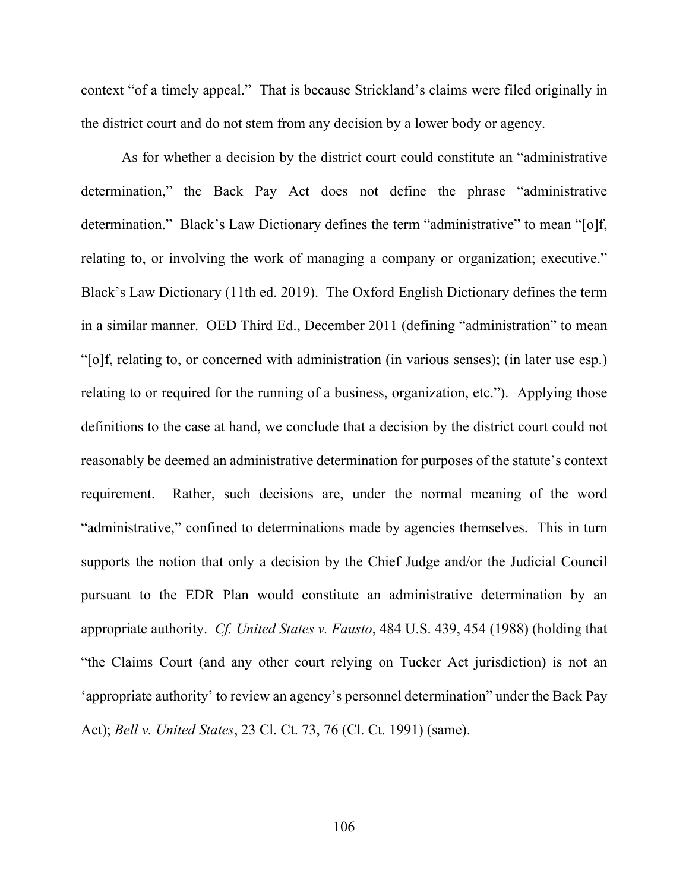context "of a timely appeal." That is because Strickland's claims were filed originally in the district court and do not stem from any decision by a lower body or agency.

As for whether a decision by the district court could constitute an "administrative determination," the Back Pay Act does not define the phrase "administrative determination." Black's Law Dictionary defines the term "administrative" to mean "[o]f, relating to, or involving the work of managing a company or organization; executive." Black's Law Dictionary (11th ed. 2019). The Oxford English Dictionary defines the term in a similar manner. OED Third Ed., December 2011 (defining "administration" to mean "[o]f, relating to, or concerned with administration (in various senses); (in later use esp.) relating to or required for the running of a business, organization, etc."). Applying those definitions to the case at hand, we conclude that a decision by the district court could not reasonably be deemed an administrative determination for purposes of the statute's context requirement. Rather, such decisions are, under the normal meaning of the word "administrative," confined to determinations made by agencies themselves. This in turn supports the notion that only a decision by the Chief Judge and/or the Judicial Council pursuant to the EDR Plan would constitute an administrative determination by an appropriate authority. *Cf. United States v. Fausto*, 484 U.S. 439, 454 (1988) (holding that "the Claims Court (and any other court relying on Tucker Act jurisdiction) is not an 'appropriate authority' to review an agency's personnel determination" under the Back Pay Act); *Bell v. United States*, 23 Cl. Ct. 73, 76 (Cl. Ct. 1991) (same).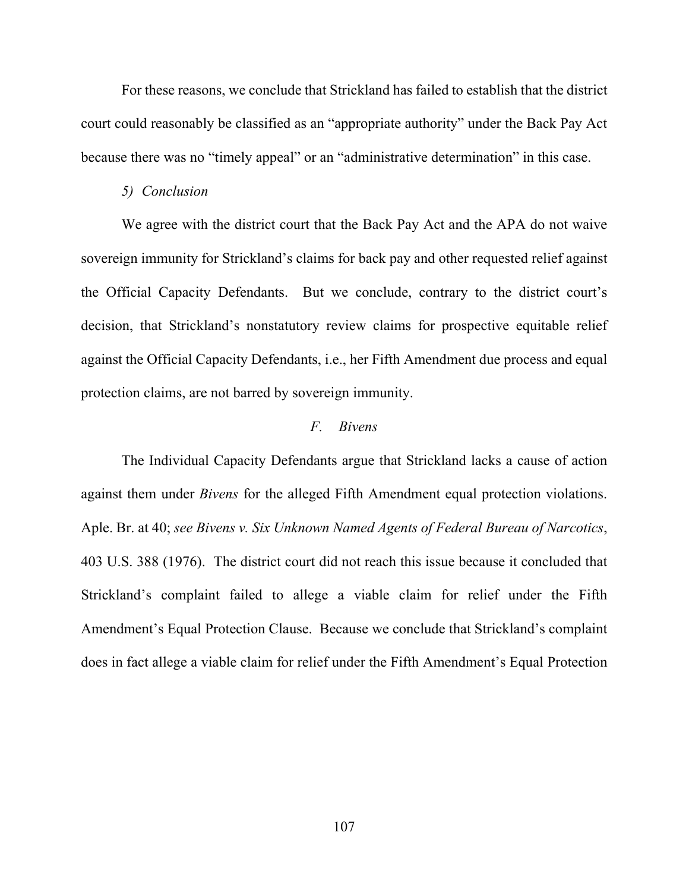For these reasons, we conclude that Strickland has failed to establish that the district court could reasonably be classified as an "appropriate authority" under the Back Pay Act because there was no "timely appeal" or an "administrative determination" in this case.

#### *5) Conclusion*

We agree with the district court that the Back Pay Act and the APA do not waive sovereign immunity for Strickland's claims for back pay and other requested relief against the Official Capacity Defendants. But we conclude, contrary to the district court's decision, that Strickland's nonstatutory review claims for prospective equitable relief against the Official Capacity Defendants, i.e., her Fifth Amendment due process and equal protection claims, are not barred by sovereign immunity.

### *F. Bivens*

The Individual Capacity Defendants argue that Strickland lacks a cause of action against them under *Bivens* for the alleged Fifth Amendment equal protection violations. Aple. Br. at 40; *see Bivens v. Six Unknown Named Agents of Federal Bureau of Narcotics*, 403 U.S. 388 (1976). The district court did not reach this issue because it concluded that Strickland's complaint failed to allege a viable claim for relief under the Fifth Amendment's Equal Protection Clause. Because we conclude that Strickland's complaint does in fact allege a viable claim for relief under the Fifth Amendment's Equal Protection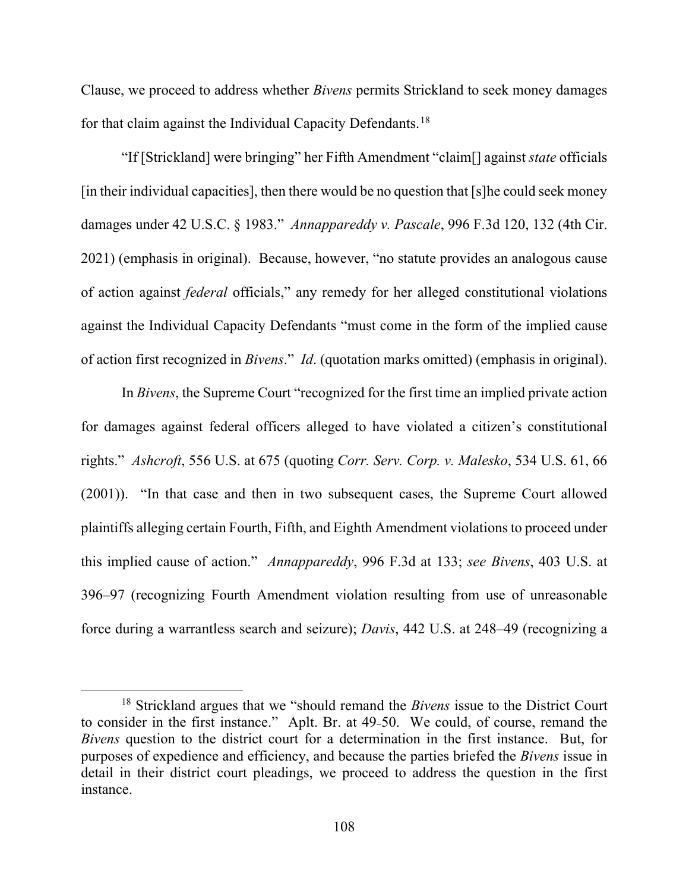Clause, we proceed to address whether *Bivens* permits Strickland to seek money damages for that claim against the Individual Capacity Defendants.<sup>[18](#page-107-0)</sup>

"If [Strickland] were bringing" her Fifth Amendment "claim[] against *state* officials [in their individual capacities], then there would be no question that [s]he could seek money damages under 42 U.S.C. § 1983." *Annappareddy v. Pascale*, 996 F.3d 120, 132 (4th Cir. 2021) (emphasis in original). Because, however, "no statute provides an analogous cause of action against *federal* officials," any remedy for her alleged constitutional violations against the Individual Capacity Defendants "must come in the form of the implied cause of action first recognized in *Bivens*." *Id*. (quotation marks omitted) (emphasis in original).

In *Bivens*, the Supreme Court "recognized for the first time an implied private action for damages against federal officers alleged to have violated a citizen's constitutional rights." *Ashcroft*, 556 U.S. at 675 (quoting *Corr. Serv. Corp. v. Malesko*, 534 U.S. 61, 66 (2001)). "In that case and then in two subsequent cases, the Supreme Court allowed plaintiffs alleging certain Fourth, Fifth, and Eighth Amendment violations to proceed under this implied cause of action." *Annappareddy*, 996 F.3d at 133; *see Bivens*, 403 U.S. at 396–97 (recognizing Fourth Amendment violation resulting from use of unreasonable force during a warrantless search and seizure); *Davis*, 442 U.S. at 248–49 (recognizing a

<span id="page-107-0"></span><sup>18</sup> Strickland argues that we "should remand the *Bivens* issue to the District Court to consider in the first instance." Aplt. Br. at 49–50. We could, of course, remand the *Bivens* question to the district court for a determination in the first instance. But, for purposes of expedience and efficiency, and because the parties briefed the *Bivens* issue in detail in their district court pleadings, we proceed to address the question in the first instance.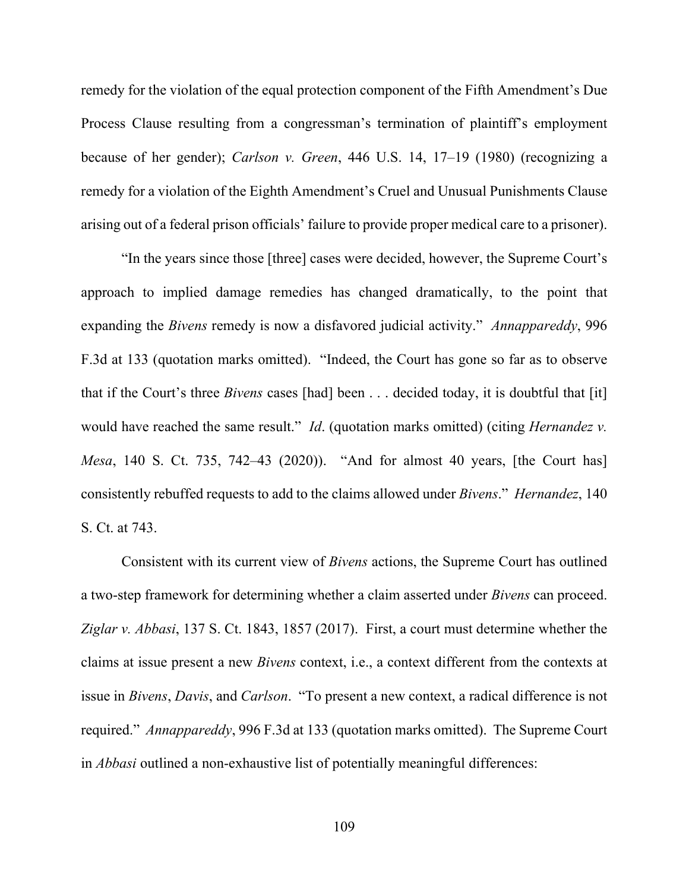remedy for the violation of the equal protection component of the Fifth Amendment's Due Process Clause resulting from a congressman's termination of plaintiff's employment because of her gender); *Carlson v. Green*, 446 U.S. 14, 17–19 (1980) (recognizing a remedy for a violation of the Eighth Amendment's Cruel and Unusual Punishments Clause arising out of a federal prison officials' failure to provide proper medical care to a prisoner).

"In the years since those [three] cases were decided, however, the Supreme Court's approach to implied damage remedies has changed dramatically, to the point that expanding the *Bivens* remedy is now a disfavored judicial activity." *Annappareddy*, 996 F.3d at 133 (quotation marks omitted). "Indeed, the Court has gone so far as to observe that if the Court's three *Bivens* cases [had] been . . . decided today, it is doubtful that [it] would have reached the same result." *Id*. (quotation marks omitted) (citing *Hernandez v. Mesa*, 140 S. Ct. 735, 742–43 (2020)). "And for almost 40 years, [the Court has] consistently rebuffed requests to add to the claims allowed under *Bivens*." *Hernandez*, 140 S. Ct. at 743.

Consistent with its current view of *Bivens* actions, the Supreme Court has outlined a two-step framework for determining whether a claim asserted under *Bivens* can proceed. *Ziglar v. Abbasi*, 137 S. Ct. 1843, 1857 (2017). First, a court must determine whether the claims at issue present a new *Bivens* context, i.e., a context different from the contexts at issue in *Bivens*, *Davis*, and *Carlson*. "To present a new context, a radical difference is not required." *Annappareddy*, 996 F.3d at 133 (quotation marks omitted). The Supreme Court in *Abbasi* outlined a non-exhaustive list of potentially meaningful differences: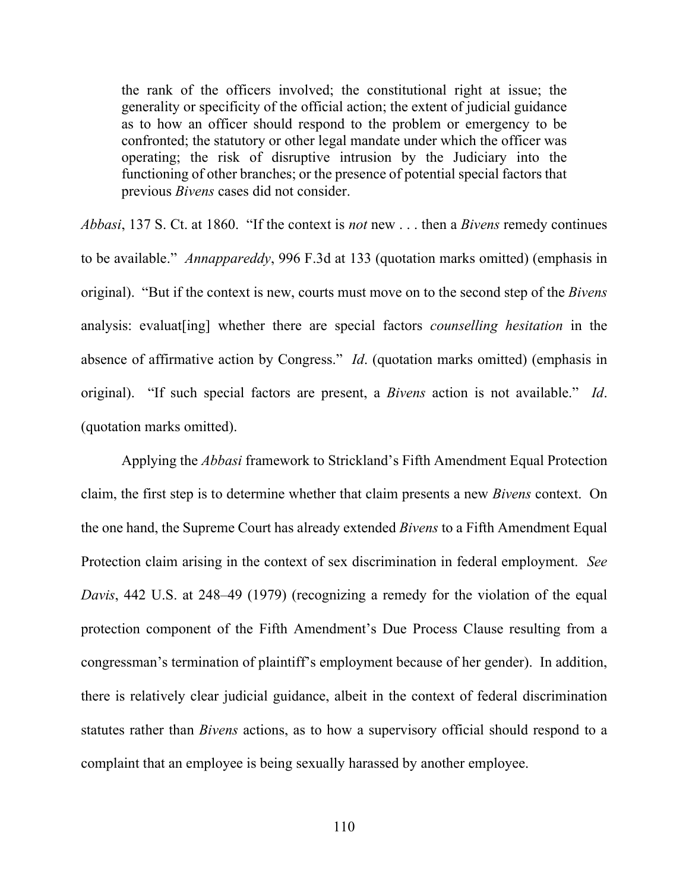the rank of the officers involved; the constitutional right at issue; the generality or specificity of the official action; the extent of judicial guidance as to how an officer should respond to the problem or emergency to be confronted; the statutory or other legal mandate under which the officer was operating; the risk of disruptive intrusion by the Judiciary into the functioning of other branches; or the presence of potential special factors that previous *Bivens* cases did not consider.

*Abbasi*, 137 S. Ct. at 1860. "If the context is *not* new . . . then a *Bivens* remedy continues to be available." *Annappareddy*, 996 F.3d at 133 (quotation marks omitted) (emphasis in original). "But if the context is new, courts must move on to the second step of the *Bivens* analysis: evaluat[ing] whether there are special factors *counselling hesitation* in the absence of affirmative action by Congress." *Id*. (quotation marks omitted) (emphasis in original). "If such special factors are present, a *Bivens* action is not available." *Id*. (quotation marks omitted).

Applying the *Abbasi* framework to Strickland's Fifth Amendment Equal Protection claim, the first step is to determine whether that claim presents a new *Bivens* context. On the one hand, the Supreme Court has already extended *Bivens* to a Fifth Amendment Equal Protection claim arising in the context of sex discrimination in federal employment. *See Davis*, 442 U.S. at 248–49 (1979) (recognizing a remedy for the violation of the equal protection component of the Fifth Amendment's Due Process Clause resulting from a congressman's termination of plaintiff's employment because of her gender). In addition, there is relatively clear judicial guidance, albeit in the context of federal discrimination statutes rather than *Bivens* actions, as to how a supervisory official should respond to a complaint that an employee is being sexually harassed by another employee.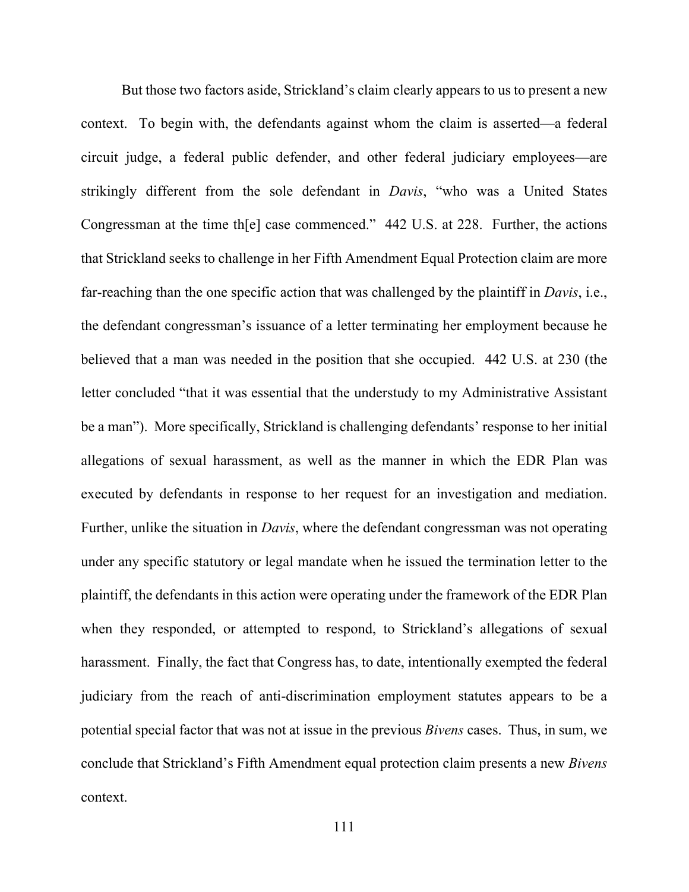But those two factors aside, Strickland's claim clearly appears to us to present a new context. To begin with, the defendants against whom the claim is asserted—a federal circuit judge, a federal public defender, and other federal judiciary employees—are strikingly different from the sole defendant in *Davis*, "who was a United States Congressman at the time th[e] case commenced." 442 U.S. at 228. Further, the actions that Strickland seeks to challenge in her Fifth Amendment Equal Protection claim are more far-reaching than the one specific action that was challenged by the plaintiff in *Davis*, i.e., the defendant congressman's issuance of a letter terminating her employment because he believed that a man was needed in the position that she occupied. 442 U.S. at 230 (the letter concluded "that it was essential that the understudy to my Administrative Assistant be a man"). More specifically, Strickland is challenging defendants' response to her initial allegations of sexual harassment, as well as the manner in which the EDR Plan was executed by defendants in response to her request for an investigation and mediation. Further, unlike the situation in *Davis*, where the defendant congressman was not operating under any specific statutory or legal mandate when he issued the termination letter to the plaintiff, the defendants in this action were operating under the framework of the EDR Plan when they responded, or attempted to respond, to Strickland's allegations of sexual harassment. Finally, the fact that Congress has, to date, intentionally exempted the federal judiciary from the reach of anti-discrimination employment statutes appears to be a potential special factor that was not at issue in the previous *Bivens* cases. Thus, in sum, we conclude that Strickland's Fifth Amendment equal protection claim presents a new *Bivens* context.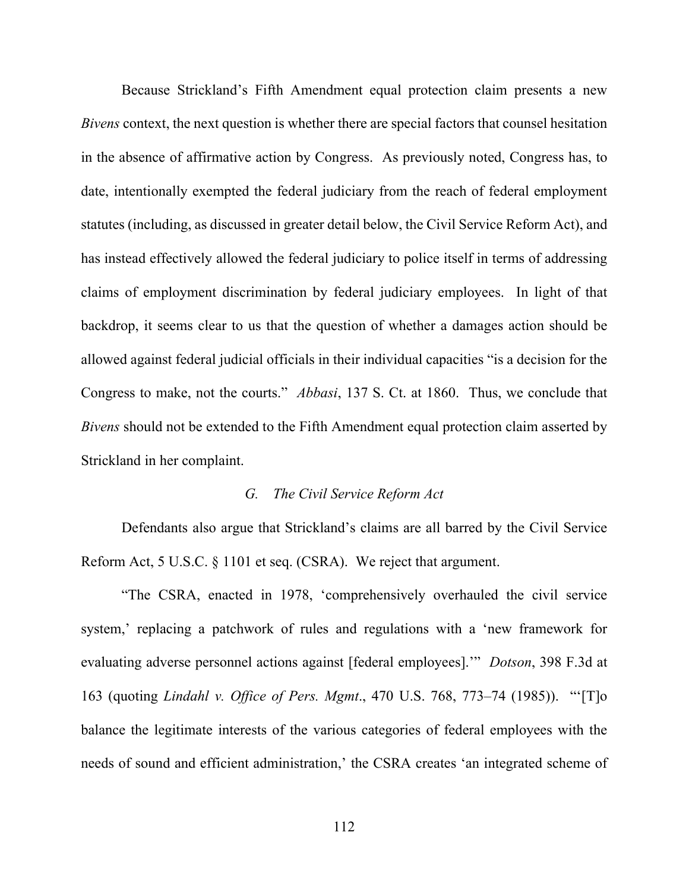Because Strickland's Fifth Amendment equal protection claim presents a new *Bivens* context, the next question is whether there are special factors that counsel hesitation in the absence of affirmative action by Congress. As previously noted, Congress has, to date, intentionally exempted the federal judiciary from the reach of federal employment statutes (including, as discussed in greater detail below, the Civil Service Reform Act), and has instead effectively allowed the federal judiciary to police itself in terms of addressing claims of employment discrimination by federal judiciary employees. In light of that backdrop, it seems clear to us that the question of whether a damages action should be allowed against federal judicial officials in their individual capacities "is a decision for the Congress to make, not the courts." *Abbasi*, 137 S. Ct. at 1860. Thus, we conclude that *Bivens* should not be extended to the Fifth Amendment equal protection claim asserted by Strickland in her complaint.

## *G. The Civil Service Reform Act*

Defendants also argue that Strickland's claims are all barred by the Civil Service Reform Act, 5 U.S.C. § 1101 et seq. (CSRA). We reject that argument.

"The CSRA, enacted in 1978, 'comprehensively overhauled the civil service system,' replacing a patchwork of rules and regulations with a 'new framework for evaluating adverse personnel actions against [federal employees].'" *Dotson*, 398 F.3d at 163 (quoting *Lindahl v. Office of Pers. Mgmt*., 470 U.S. 768, 773–74 (1985)). "'[T]o balance the legitimate interests of the various categories of federal employees with the needs of sound and efficient administration,' the CSRA creates 'an integrated scheme of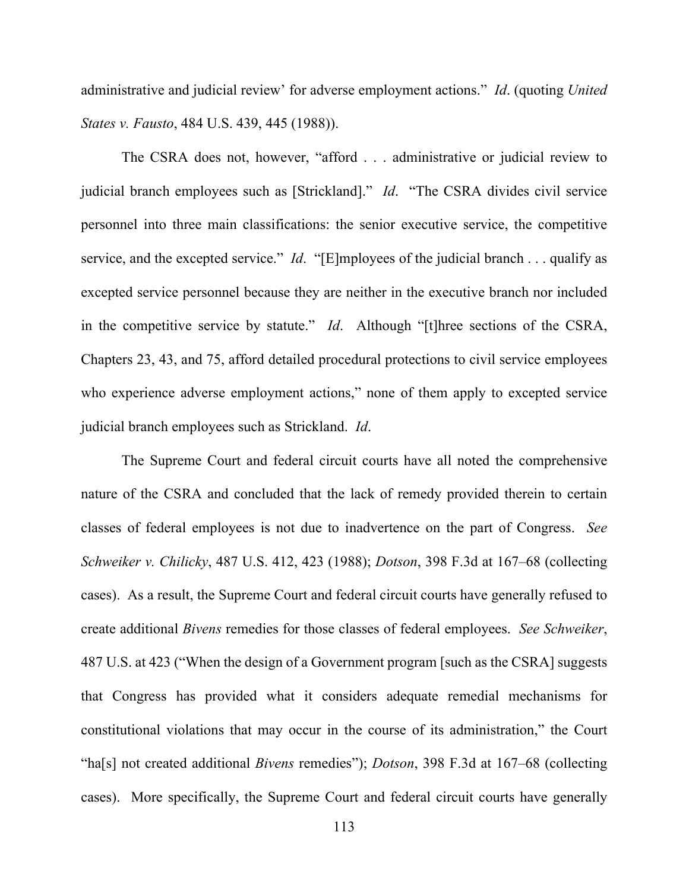administrative and judicial review' for adverse employment actions." *Id*. (quoting *United States v. Fausto*, 484 U.S. 439, 445 (1988)).

The CSRA does not, however, "afford . . . administrative or judicial review to judicial branch employees such as [Strickland]." *Id*. "The CSRA divides civil service personnel into three main classifications: the senior executive service, the competitive service, and the excepted service." *Id*. "[E]mployees of the judicial branch . . . qualify as excepted service personnel because they are neither in the executive branch nor included in the competitive service by statute." *Id*. Although "[t]hree sections of the CSRA, Chapters 23, 43, and 75, afford detailed procedural protections to civil service employees who experience adverse employment actions," none of them apply to excepted service judicial branch employees such as Strickland. *Id*.

The Supreme Court and federal circuit courts have all noted the comprehensive nature of the CSRA and concluded that the lack of remedy provided therein to certain classes of federal employees is not due to inadvertence on the part of Congress. *See Schweiker v. Chilicky*, 487 U.S. 412, 423 (1988); *Dotson*, 398 F.3d at 167–68 (collecting cases). As a result, the Supreme Court and federal circuit courts have generally refused to create additional *Bivens* remedies for those classes of federal employees. *See Schweiker*, 487 U.S. at 423 ("When the design of a Government program [such as the CSRA] suggests that Congress has provided what it considers adequate remedial mechanisms for constitutional violations that may occur in the course of its administration," the Court "ha[s] not created additional *Bivens* remedies"); *Dotson*, 398 F.3d at 167–68 (collecting cases). More specifically, the Supreme Court and federal circuit courts have generally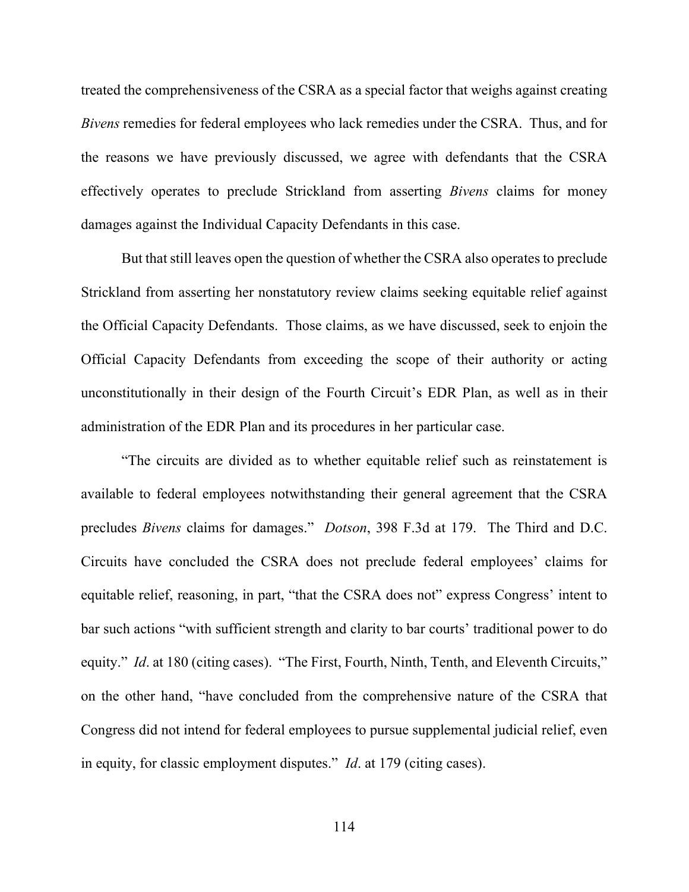treated the comprehensiveness of the CSRA as a special factor that weighs against creating *Bivens* remedies for federal employees who lack remedies under the CSRA. Thus, and for the reasons we have previously discussed, we agree with defendants that the CSRA effectively operates to preclude Strickland from asserting *Bivens* claims for money damages against the Individual Capacity Defendants in this case.

But that still leaves open the question of whether the CSRA also operates to preclude Strickland from asserting her nonstatutory review claims seeking equitable relief against the Official Capacity Defendants. Those claims, as we have discussed, seek to enjoin the Official Capacity Defendants from exceeding the scope of their authority or acting unconstitutionally in their design of the Fourth Circuit's EDR Plan, as well as in their administration of the EDR Plan and its procedures in her particular case.

"The circuits are divided as to whether equitable relief such as reinstatement is available to federal employees notwithstanding their general agreement that the CSRA precludes *Bivens* claims for damages." *Dotson*, 398 F.3d at 179. The Third and D.C. Circuits have concluded the CSRA does not preclude federal employees' claims for equitable relief, reasoning, in part, "that the CSRA does not" express Congress' intent to bar such actions "with sufficient strength and clarity to bar courts' traditional power to do equity." *Id.* at 180 (citing cases). "The First, Fourth, Ninth, Tenth, and Eleventh Circuits," on the other hand, "have concluded from the comprehensive nature of the CSRA that Congress did not intend for federal employees to pursue supplemental judicial relief, even in equity, for classic employment disputes." *Id*. at 179 (citing cases).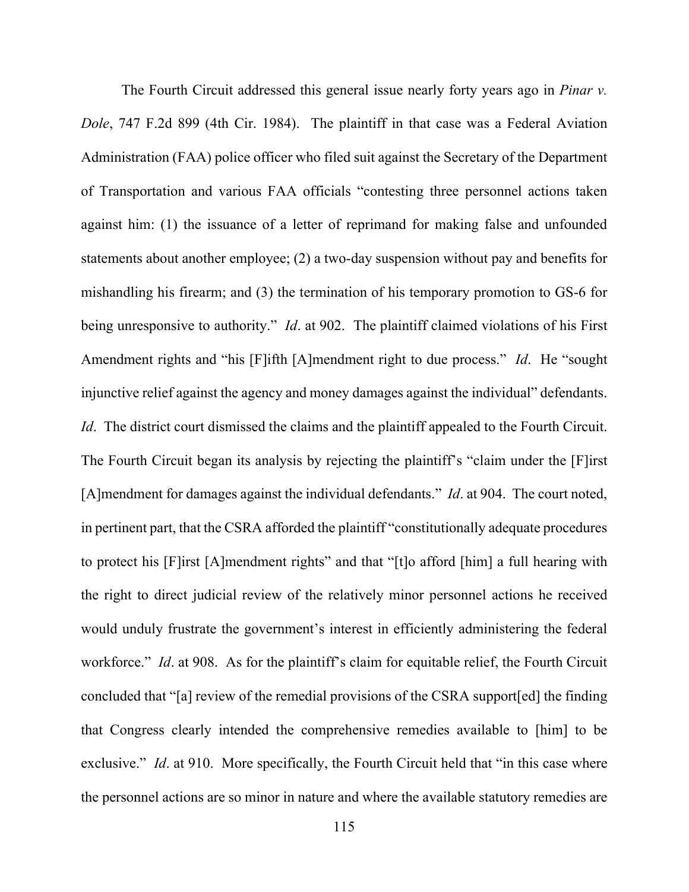The Fourth Circuit addressed this general issue nearly forty years ago in *Pinar v. Dole*, 747 F.2d 899 (4th Cir. 1984). The plaintiff in that case was a Federal Aviation Administration (FAA) police officer who filed suit against the Secretary of the Department of Transportation and various FAA officials "contesting three personnel actions taken against him: (1) the issuance of a letter of reprimand for making false and unfounded statements about another employee; (2) a two-day suspension without pay and benefits for mishandling his firearm; and (3) the termination of his temporary promotion to GS-6 for being unresponsive to authority." *Id*. at 902. The plaintiff claimed violations of his First Amendment rights and "his [F]ifth [A]mendment right to due process." *Id*. He "sought injunctive relief against the agency and money damages against the individual" defendants. *Id.* The district court dismissed the claims and the plaintiff appealed to the Fourth Circuit. The Fourth Circuit began its analysis by rejecting the plaintiff's "claim under the [F]irst [A]mendment for damages against the individual defendants." *Id*. at 904. The court noted, in pertinent part, that the CSRA afforded the plaintiff "constitutionally adequate procedures to protect his [F]irst [A]mendment rights" and that "[t]o afford [him] a full hearing with the right to direct judicial review of the relatively minor personnel actions he received would unduly frustrate the government's interest in efficiently administering the federal workforce." *Id*. at 908. As for the plaintiff's claim for equitable relief, the Fourth Circuit concluded that "[a] review of the remedial provisions of the CSRA support[ed] the finding that Congress clearly intended the comprehensive remedies available to [him] to be exclusive." *Id.* at 910. More specifically, the Fourth Circuit held that "in this case where the personnel actions are so minor in nature and where the available statutory remedies are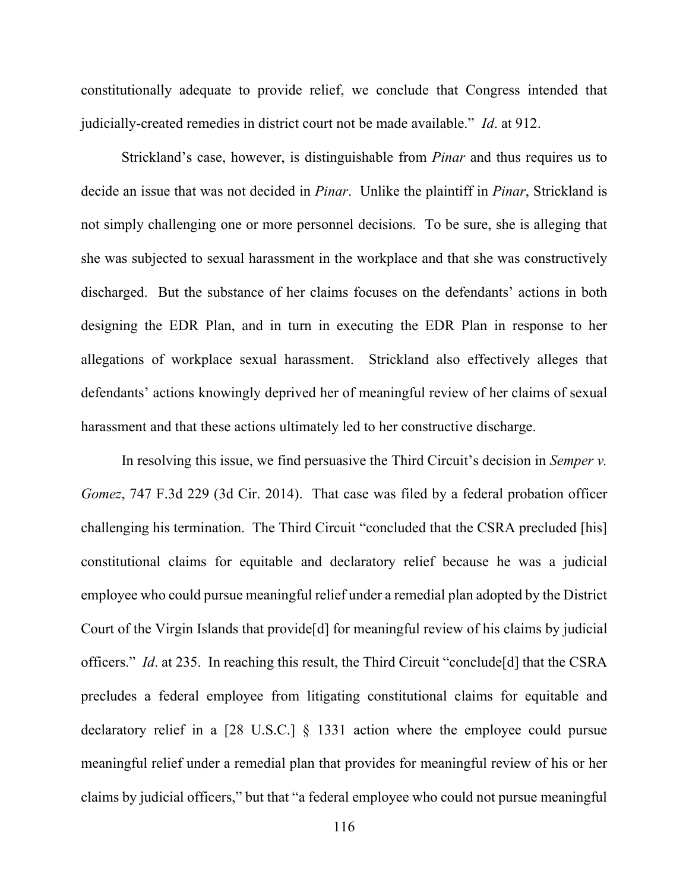constitutionally adequate to provide relief, we conclude that Congress intended that judicially-created remedies in district court not be made available." *Id*. at 912.

Strickland's case, however, is distinguishable from *Pinar* and thus requires us to decide an issue that was not decided in *Pinar*. Unlike the plaintiff in *Pinar*, Strickland is not simply challenging one or more personnel decisions. To be sure, she is alleging that she was subjected to sexual harassment in the workplace and that she was constructively discharged. But the substance of her claims focuses on the defendants' actions in both designing the EDR Plan, and in turn in executing the EDR Plan in response to her allegations of workplace sexual harassment. Strickland also effectively alleges that defendants' actions knowingly deprived her of meaningful review of her claims of sexual harassment and that these actions ultimately led to her constructive discharge.

In resolving this issue, we find persuasive the Third Circuit's decision in *Semper v. Gomez*, 747 F.3d 229 (3d Cir. 2014). That case was filed by a federal probation officer challenging his termination. The Third Circuit "concluded that the CSRA precluded [his] constitutional claims for equitable and declaratory relief because he was a judicial employee who could pursue meaningful relief under a remedial plan adopted by the District Court of the Virgin Islands that provide[d] for meaningful review of his claims by judicial officers." *Id*. at 235. In reaching this result, the Third Circuit "conclude[d] that the CSRA precludes a federal employee from litigating constitutional claims for equitable and declaratory relief in a [28 U.S.C.] § 1331 action where the employee could pursue meaningful relief under a remedial plan that provides for meaningful review of his or her claims by judicial officers," but that "a federal employee who could not pursue meaningful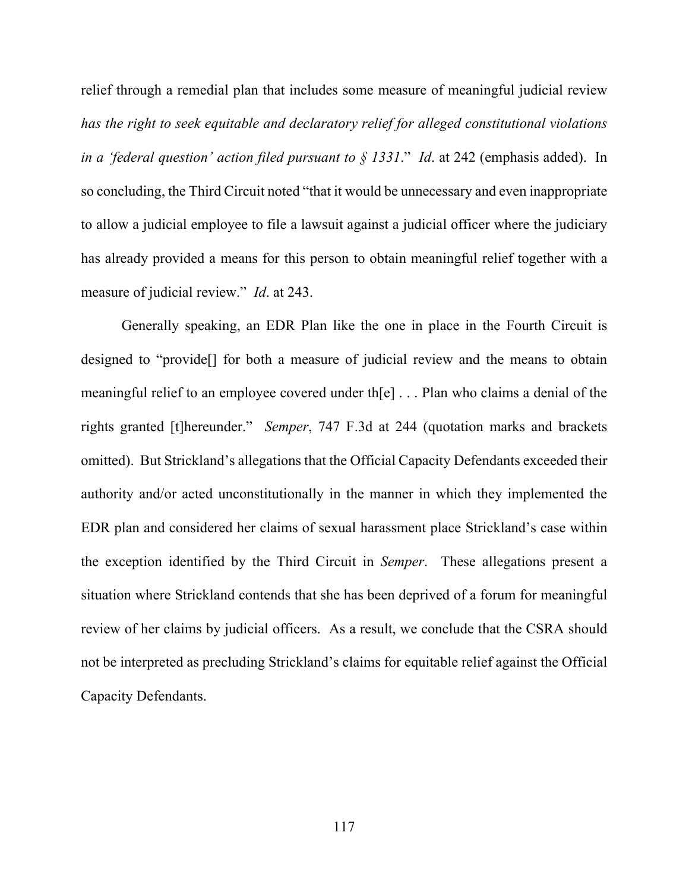relief through a remedial plan that includes some measure of meaningful judicial review *has the right to seek equitable and declaratory relief for alleged constitutional violations in a 'federal question' action filed pursuant to § 1331*." *Id*. at 242 (emphasis added). In so concluding, the Third Circuit noted "that it would be unnecessary and even inappropriate to allow a judicial employee to file a lawsuit against a judicial officer where the judiciary has already provided a means for this person to obtain meaningful relief together with a measure of judicial review." *Id*. at 243.

Generally speaking, an EDR Plan like the one in place in the Fourth Circuit is designed to "provide[] for both a measure of judicial review and the means to obtain meaningful relief to an employee covered under th[e] . . . Plan who claims a denial of the rights granted [t]hereunder." *Semper*, 747 F.3d at 244 (quotation marks and brackets omitted). But Strickland's allegations that the Official Capacity Defendants exceeded their authority and/or acted unconstitutionally in the manner in which they implemented the EDR plan and considered her claims of sexual harassment place Strickland's case within the exception identified by the Third Circuit in *Semper*. These allegations present a situation where Strickland contends that she has been deprived of a forum for meaningful review of her claims by judicial officers. As a result, we conclude that the CSRA should not be interpreted as precluding Strickland's claims for equitable relief against the Official Capacity Defendants.